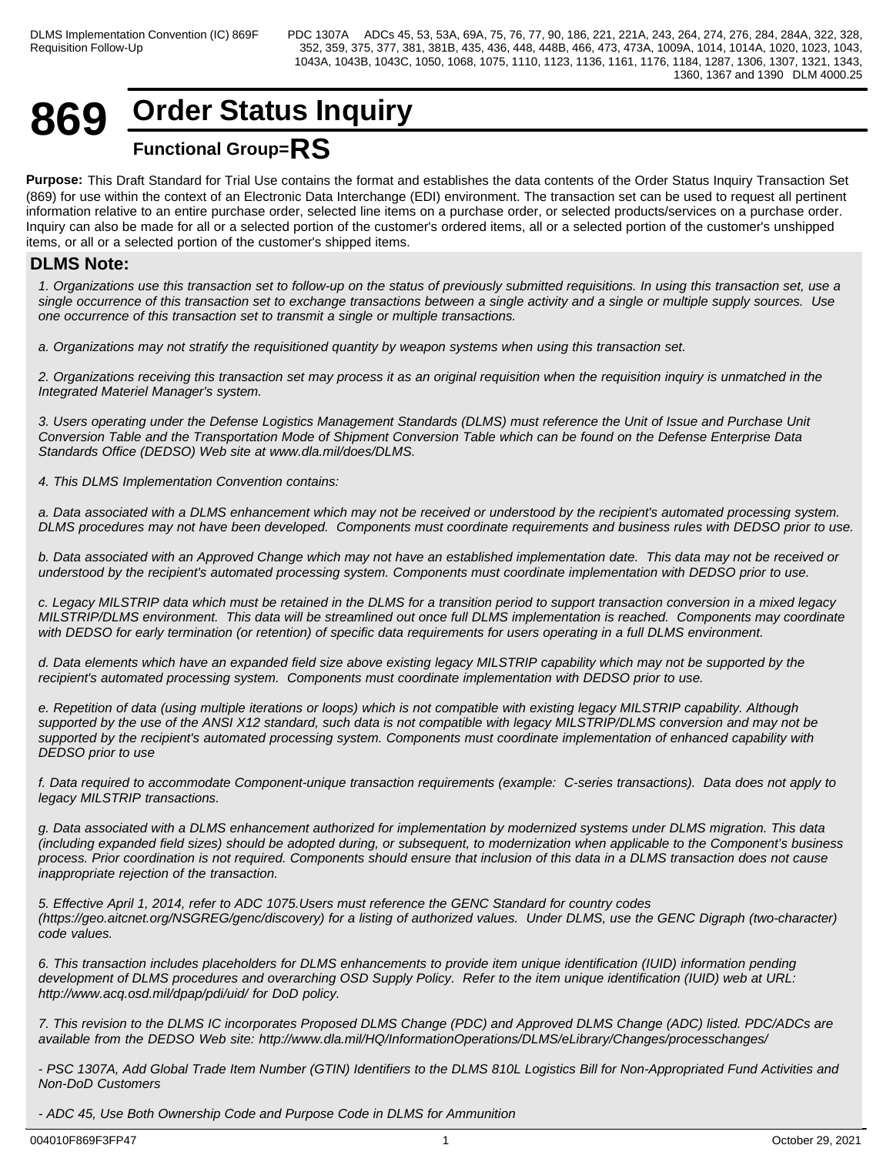# **869 Order Status Inquiry Functional Group=RS**

**Purpose:** This Draft Standard for Trial Use contains the format and establishes the data contents of the Order Status Inquiry Transaction Set (869) for use within the context of an Electronic Data Interchange (EDI) environment. The transaction set can be used to request all pertinent information relative to an entire purchase order, selected line items on a purchase order, or selected products/services on a purchase order. Inquiry can also be made for all or a selected portion of the customer's ordered items, all or a selected portion of the customer's unshipped items, or all or a selected portion of the customer's shipped items.

# **DLMS Note:**

*1. Organizations use this transaction set to follow-up on the status of previously submitted requisitions. In using this transaction set, use a single occurrence of this transaction set to exchange transactions between a single activity and a single or multiple supply sources. Use one occurrence of this transaction set to transmit a single or multiple transactions.*

*a. Organizations may not stratify the requisitioned quantity by weapon systems when using this transaction set.*

*2. Organizations receiving this transaction set may process it as an original requisition when the requisition inquiry is unmatched in the Integrated Materiel Manager's system.*

*3. Users operating under the Defense Logistics Management Standards (DLMS) must reference the Unit of Issue and Purchase Unit Conversion Table and the Transportation Mode of Shipment Conversion Table which can be found on the Defense Enterprise Data Standards Office (DEDSO) Web site at www.dla.mil/does/DLMS.*

*4. This DLMS Implementation Convention contains:*

*a. Data associated with a DLMS enhancement which may not be received or understood by the recipient's automated processing system. DLMS procedures may not have been developed. Components must coordinate requirements and business rules with DEDSO prior to use.*

*b. Data associated with an Approved Change which may not have an established implementation date. This data may not be received or understood by the recipient's automated processing system. Components must coordinate implementation with DEDSO prior to use.*

*c. Legacy MILSTRIP data which must be retained in the DLMS for a transition period to support transaction conversion in a mixed legacy MILSTRIP/DLMS environment. This data will be streamlined out once full DLMS implementation is reached. Components may coordinate with DEDSO for early termination (or retention) of specific data requirements for users operating in a full DLMS environment.*

*d. Data elements which have an expanded field size above existing legacy MILSTRIP capability which may not be supported by the recipient's automated processing system. Components must coordinate implementation with DEDSO prior to use.* 

*e. Repetition of data (using multiple iterations or loops) which is not compatible with existing legacy MILSTRIP capability. Although supported by the use of the ANSI X12 standard, such data is not compatible with legacy MILSTRIP/DLMS conversion and may not be supported by the recipient's automated processing system. Components must coordinate implementation of enhanced capability with DEDSO prior to use*

*f. Data required to accommodate Component-unique transaction requirements (example: C-series transactions). Data does not apply to legacy MILSTRIP transactions.*

*g. Data associated with a DLMS enhancement authorized for implementation by modernized systems under DLMS migration. This data (including expanded field sizes) should be adopted during, or subsequent, to modernization when applicable to the Component's business process. Prior coordination is not required. Components should ensure that inclusion of this data in a DLMS transaction does not cause inappropriate rejection of the transaction.*

*5. Effective April 1, 2014, refer to ADC 1075.Users must reference the GENC Standard for country codes (https://geo.aitcnet.org/NSGREG/genc/discovery) for a listing of authorized values. Under DLMS, use the GENC Digraph (two-character) code values.*

*6. This transaction includes placeholders for DLMS enhancements to provide item unique identification (IUID) information pending development of DLMS procedures and overarching OSD Supply Policy. Refer to the item unique identification (IUID) web at URL: http://www.acq.osd.mil/dpap/pdi/uid/ for DoD policy.*

*7. This revision to the DLMS IC incorporates Proposed DLMS Change (PDC) and Approved DLMS Change (ADC) listed. PDC/ADCs are available from the DEDSO Web site: http://www.dla.mil/HQ/InformationOperations/DLMS/eLibrary/Changes/processchanges/*

*- PSC 1307A, Add Global Trade Item Number (GTIN) Identifiers to the DLMS 810L Logistics Bill for Non-Appropriated Fund Activities and Non-DoD Customers*

*- ADC 45, Use Both Ownership Code and Purpose Code in DLMS for Ammunition*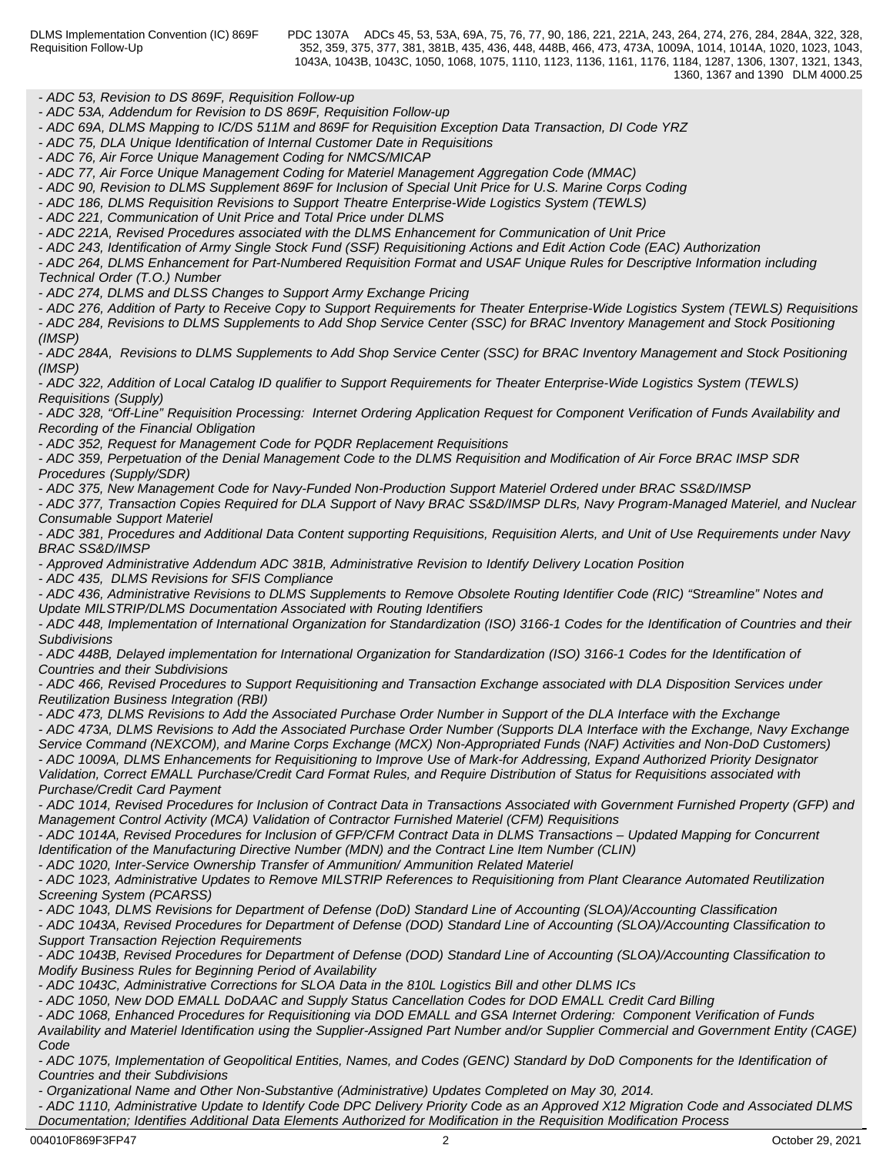*- ADC 53, Revision to DS 869F, Requisition Follow-up*

*- ADC 53A, Addendum for Revision to DS 869F, Requisition Follow-up*

*- ADC 69A, DLMS Mapping to IC/DS 511M and 869F for Requisition Exception Data Transaction, DI Code YRZ*

*- ADC 75, DLA Unique Identification of Internal Customer Date in Requisitions* 

*- ADC 76, Air Force Unique Management Coding for NMCS/MICAP*

*- ADC 77, Air Force Unique Management Coding for Materiel Management Aggregation Code (MMAC)*

*- ADC 90, Revision to DLMS Supplement 869F for Inclusion of Special Unit Price for U.S. Marine Corps Coding*

*- ADC 186, DLMS Requisition Revisions to Support Theatre Enterprise-Wide Logistics System (TEWLS)*

*- ADC 221, Communication of Unit Price and Total Price under DLMS*

*- ADC 221A, Revised Procedures associated with the DLMS Enhancement for Communication of Unit Price*

*- ADC 243, Identification of Army Single Stock Fund (SSF) Requisitioning Actions and Edit Action Code (EAC) Authorization*

*- ADC 264, DLMS Enhancement for Part-Numbered Requisition Format and USAF Unique Rules for Descriptive Information including Technical Order (T.O.) Number*

*- ADC 274, DLMS and DLSS Changes to Support Army Exchange Pricing*

*- ADC 276, Addition of Party to Receive Copy to Support Requirements for Theater Enterprise-Wide Logistics System (TEWLS) Requisitions - ADC 284, Revisions to DLMS Supplements to Add Shop Service Center (SSC) for BRAC Inventory Management and Stock Positioning*

*(IMSP)*

*- ADC 284A, Revisions to DLMS Supplements to Add Shop Service Center (SSC) for BRAC Inventory Management and Stock Positioning (IMSP)*

*- ADC 322, Addition of Local Catalog ID qualifier to Support Requirements for Theater Enterprise-Wide Logistics System (TEWLS) Requisitions (Supply)*

*- ADC 328, "Off-Line" Requisition Processing: Internet Ordering Application Request for Component Verification of Funds Availability and Recording of the Financial Obligation*

*- ADC 352, Request for Management Code for PQDR Replacement Requisitions*

*- ADC 359, Perpetuation of the Denial Management Code to the DLMS Requisition and Modification of Air Force BRAC IMSP SDR Procedures (Supply/SDR)*

*- ADC 375, New Management Code for Navy-Funded Non-Production Support Materiel Ordered under BRAC SS&D/IMSP*

*- ADC 377, Transaction Copies Required for DLA Support of Navy BRAC SS&D/IMSP DLRs, Navy Program-Managed Materiel, and Nuclear Consumable Support Materiel*

*- ADC 381, Procedures and Additional Data Content supporting Requisitions, Requisition Alerts, and Unit of Use Requirements under Navy BRAC SS&D/IMSP*

*- Approved Administrative Addendum ADC 381B, Administrative Revision to Identify Delivery Location Position*

*- ADC 435, DLMS Revisions for SFIS Compliance*

*- ADC 436, Administrative Revisions to DLMS Supplements to Remove Obsolete Routing Identifier Code (RIC) "Streamline" Notes and Update MILSTRIP/DLMS Documentation Associated with Routing Identifiers*

*- ADC 448, Implementation of International Organization for Standardization (ISO) 3166-1 Codes for the Identification of Countries and their Subdivisions*

*- ADC 448B, Delayed implementation for International Organization for Standardization (ISO) 3166-1 Codes for the Identification of Countries and their Subdivisions*

*- ADC 466, Revised Procedures to Support Requisitioning and Transaction Exchange associated with DLA Disposition Services under Reutilization Business Integration (RBI)*

*- ADC 473, DLMS Revisions to Add the Associated Purchase Order Number in Support of the DLA Interface with the Exchange*

*- ADC 473A, DLMS Revisions to Add the Associated Purchase Order Number (Supports DLA Interface with the Exchange, Navy Exchange Service Command (NEXCOM), and Marine Corps Exchange (MCX) Non-Appropriated Funds (NAF) Activities and Non-DoD Customers) - ADC 1009A, DLMS Enhancements for Requisitioning to Improve Use of Mark-for Addressing, Expand Authorized Priority Designator Validation, Correct EMALL Purchase/Credit Card Format Rules, and Require Distribution of Status for Requisitions associated with Purchase/Credit Card Payment*

*- ADC 1014, Revised Procedures for Inclusion of Contract Data in Transactions Associated with Government Furnished Property (GFP) and Management Control Activity (MCA) Validation of Contractor Furnished Materiel (CFM) Requisitions*

*- ADC 1014A, Revised Procedures for Inclusion of GFP/CFM Contract Data in DLMS Transactions – Updated Mapping for Concurrent Identification of the Manufacturing Directive Number (MDN) and the Contract Line Item Number (CLIN)*

*- ADC 1020, Inter-Service Ownership Transfer of Ammunition/ Ammunition Related Materiel*

*- ADC 1023, Administrative Updates to Remove MILSTRIP References to Requisitioning from Plant Clearance Automated Reutilization Screening System (PCARSS)*

*- ADC 1043, DLMS Revisions for Department of Defense (DoD) Standard Line of Accounting (SLOA)/Accounting Classification*

*- ADC 1043A, Revised Procedures for Department of Defense (DOD) Standard Line of Accounting (SLOA)/Accounting Classification to Support Transaction Rejection Requirements*

*- ADC 1043B, Revised Procedures for Department of Defense (DOD) Standard Line of Accounting (SLOA)/Accounting Classification to Modify Business Rules for Beginning Period of Availability*

*- ADC 1043C, Administrative Corrections for SLOA Data in the 810L Logistics Bill and other DLMS ICs*

*- ADC 1050, New DOD EMALL DoDAAC and Supply Status Cancellation Codes for DOD EMALL Credit Card Billing*

*- ADC 1068, Enhanced Procedures for Requisitioning via DOD EMALL and GSA Internet Ordering: Component Verification of Funds Availability and Materiel Identification using the Supplier-Assigned Part Number and/or Supplier Commercial and Government Entity (CAGE)*

*Code* **Code Code Code Code Code Code Code Code Code Code Code** *- ADC 1075, Implementation of Geopolitical Entities, Names, and Codes (GENC) Standard by DoD Components for the Identification of Countries and their Subdivisions*

*- Organizational Name and Other Non-Substantive (Administrative) Updates Completed on May 30, 2014.*

*- ADC 1110, Administrative Update to Identify Code DPC Delivery Priority Code as an Approved X12 Migration Code and Associated DLMS Documentation; Identifies Additional Data Elements Authorized for Modification in the Requisition Modification Process*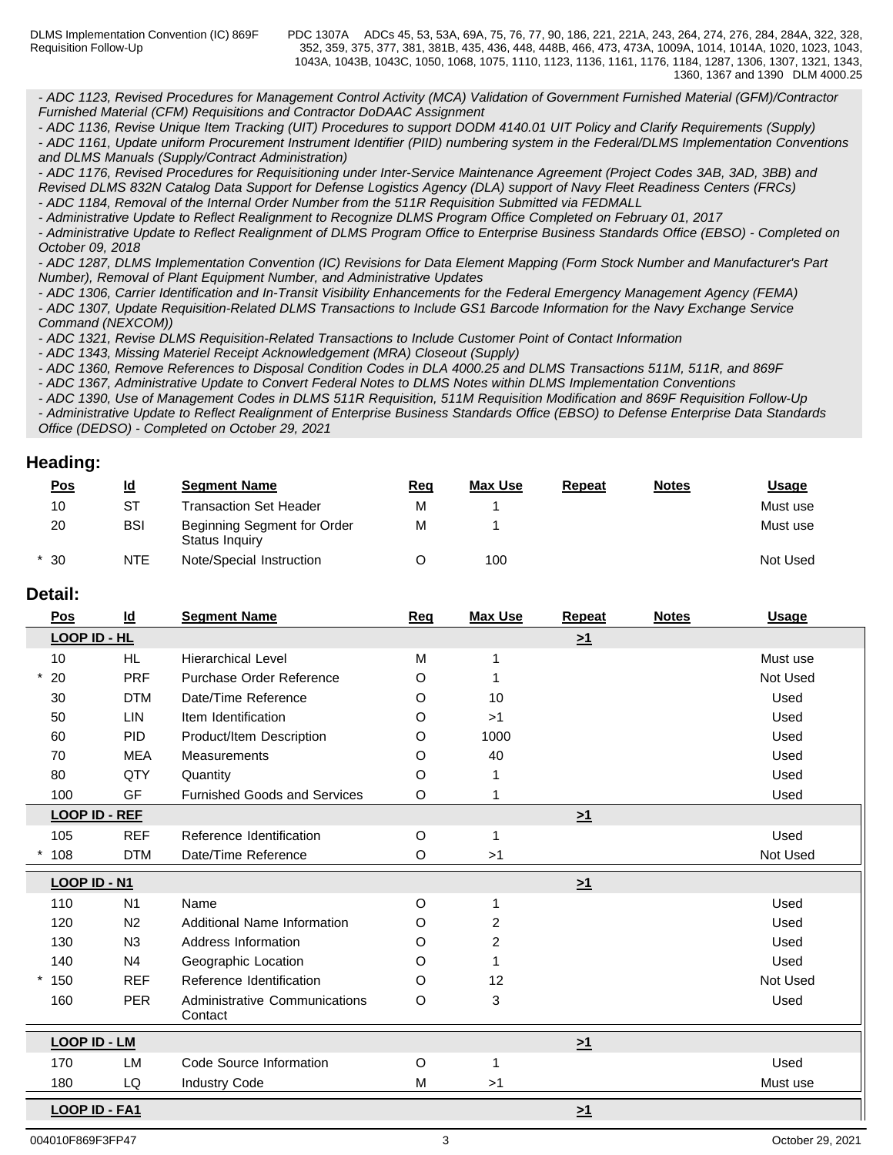*- ADC 1123, Revised Procedures for Management Control Activity (MCA) Validation of Government Furnished Material (GFM)/Contractor Furnished Material (CFM) Requisitions and Contractor DoDAAC Assignment*

*- ADC 1136, Revise Unique Item Tracking (UIT) Procedures to support DODM 4140.01 UIT Policy and Clarify Requirements (Supply)*

*- ADC 1161, Update uniform Procurement Instrument Identifier (PIID) numbering system in the Federal/DLMS Implementation Conventions and DLMS Manuals (Supply/Contract Administration)*

*- ADC 1176, Revised Procedures for Requisitioning under Inter-Service Maintenance Agreement (Project Codes 3AB, 3AD, 3BB) and Revised DLMS 832N Catalog Data Support for Defense Logistics Agency (DLA) support of Navy Fleet Readiness Centers (FRCs)*

*- ADC 1184, Removal of the Internal Order Number from the 511R Requisition Submitted via FEDMALL*

*- Administrative Update to Reflect Realignment to Recognize DLMS Program Office Completed on February 01, 2017 - Administrative Update to Reflect Realignment of DLMS Program Office to Enterprise Business Standards Office (EBSO) - Completed on October 09, 2018*

*- ADC 1287, DLMS Implementation Convention (IC) Revisions for Data Element Mapping (Form Stock Number and Manufacturer's Part Number), Removal of Plant Equipment Number, and Administrative Updates*

*- ADC 1306, Carrier Identification and In-Transit Visibility Enhancements for the Federal Emergency Management Agency (FEMA)*

*- ADC 1307, Update Requisition-Related DLMS Transactions to Include GS1 Barcode Information for the Navy Exchange Service Command (NEXCOM))*

*- ADC 1321, Revise DLMS Requisition-Related Transactions to Include Customer Point of Contact Information*

*- ADC 1343, Missing Materiel Receipt Acknowledgement (MRA) Closeout (Supply)*

*- ADC 1360, Remove References to Disposal Condition Codes in DLA 4000.25 and DLMS Transactions 511M, 511R, and 869F*

*- ADC 1367, Administrative Update to Convert Federal Notes to DLMS Notes within DLMS Implementation Conventions*

*- ADC 1390, Use of Management Codes in DLMS 511R Requisition, 511M Requisition Modification and 869F Requisition Follow-Up - Administrative Update to Reflect Realignment of Enterprise Business Standards Office (EBSO) to Defense Enterprise Data Standards Office (DEDSO) - Completed on October 29, 2021*

# **Heading:**

| <u>Pos</u> | <u>ld</u>  | <b>Segment Name</b>                           | <u>Req</u> | <b>Max Use</b> | <b>Repeat</b> | <b>Notes</b> | <u>Usage</u> |
|------------|------------|-----------------------------------------------|------------|----------------|---------------|--------------|--------------|
| 10         | SТ         | <b>Transaction Set Header</b>                 | м          |                |               |              | Must use     |
| 20         | <b>BSI</b> | Beginning Segment for Order<br>Status Inquiry | М          |                |               |              | Must use     |
| $*30$      | <b>NTE</b> | Note/Special Instruction                      |            | 100            |               |              | Not Used     |

## **Detail:**

| Pos                  | $\underline{\mathsf{Id}}$ | <b>Segment Name</b>                      | Req     | <b>Max Use</b> | Repeat   | <b>Notes</b> | <b>Usage</b> |
|----------------------|---------------------------|------------------------------------------|---------|----------------|----------|--------------|--------------|
| LOOP ID - HL         |                           |                                          |         |                | $\geq 1$ |              |              |
| 10                   | HL.                       | <b>Hierarchical Level</b>                | M       |                |          |              | Must use     |
| 20                   | <b>PRF</b>                | Purchase Order Reference                 | O       |                |          |              | Not Used     |
| 30                   | <b>DTM</b>                | Date/Time Reference                      | O       | 10             |          |              | Used         |
| 50                   | LIN                       | Item Identification                      | O       | >1             |          |              | Used         |
| 60                   | <b>PID</b>                | Product/Item Description                 | O       | 1000           |          |              | Used         |
| 70                   | <b>MEA</b>                | <b>Measurements</b>                      | O       | 40             |          |              | Used         |
| 80                   | QTY                       | Quantity                                 | O       |                |          |              | Used         |
| 100                  | GF                        | <b>Furnished Goods and Services</b>      | O       |                |          |              | Used         |
| <b>LOOP ID - REF</b> |                           |                                          |         |                | $\geq 1$ |              |              |
| 105                  | <b>REF</b>                | Reference Identification                 | O       |                |          |              | Used         |
| 108                  | <b>DTM</b>                | Date/Time Reference                      | $\circ$ | >1             |          |              | Not Used     |
| LOOP ID - N1         |                           |                                          |         |                | $\geq 1$ |              |              |
| 110                  | N <sub>1</sub>            | Name                                     | O       |                |          |              | Used         |
| 120                  | N <sub>2</sub>            | Additional Name Information              | O       | 2              |          |              | Used         |
| 130                  | N3                        | Address Information                      | O       | $\overline{c}$ |          |              | Used         |
| 140                  | N <sub>4</sub>            | Geographic Location                      | O       |                |          |              | Used         |
| $*150$               | <b>REF</b>                | Reference Identification                 | O       | 12             |          |              | Not Used     |
| 160                  | <b>PER</b>                | Administrative Communications<br>Contact | O       | 3              |          |              | Used         |
| <b>LOOP ID - LM</b>  |                           |                                          |         |                | $\geq 1$ |              |              |
| 170                  | LM                        | Code Source Information                  | O       |                |          |              | Used         |
| 180                  | LQ                        | <b>Industry Code</b>                     | M       | >1             |          |              | Must use     |
| LOOP ID - FA1        |                           |                                          |         |                | $\geq 1$ |              |              |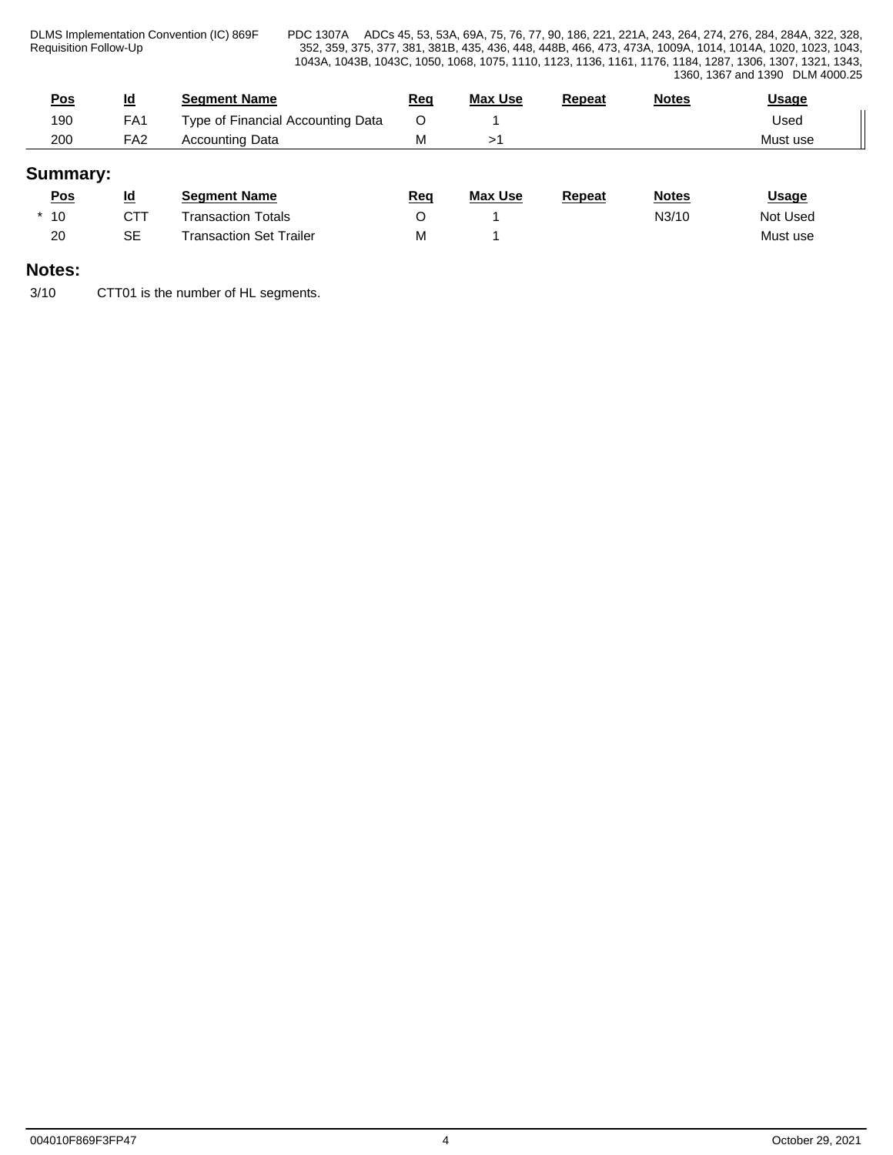DLMS Implementation Convention (IC) 869F Requisition Follow-Up

PDC 1307A ADCs 45, 53, 53A, 69A, 75, 76, 77, 90, 186, 221, 221A, 243, 264, 274, 276, 284, 284A, 322, 328, 352, 359, 375, 377, 381, 381B, 435, 436, 448, 448B, 466, 473, 473A, 1009A, 1014, 1014A, 1020, 1023, 1043, 1043A, 1043B, 1043C, 1050, 1068, 1075, 1110, 1123, 1136, 1161, 1176, 1184, 1287, 1306, 1307, 1321, 1343, 1360, 1367 and 1390 DLM 4000.25

| <u>Pos</u> | Id<br>--        | <b>Seament Name</b>               | <u>Red</u> | <b>Max Use</b> | Repeat | <b>Notes</b> | <u>Usage</u> |  |
|------------|-----------------|-----------------------------------|------------|----------------|--------|--------------|--------------|--|
| 190        | FA1             | Type of Financial Accounting Data |            |                |        |              | Used         |  |
| 200        | FA <sub>2</sub> | <b>Accounting Data</b>            | 1 V I      |                |        |              | Must use     |  |

# **Summary:**

| <u>Pos</u> | <u>ia</u> | Seament Name                   | <u>Req</u> | <b>Max Use</b> | <b>Repeat</b> | <u>Notes</u> | <u>Usage</u> |  |
|------------|-----------|--------------------------------|------------|----------------|---------------|--------------|--------------|--|
| $*10$      | CTT       | <sup>-</sup> ransaction Totals |            |                |               | N3/10        | Not Used     |  |
| 20         | <b>SE</b> | Transaction Set Trailer        | М          |                |               |              | Must use     |  |

# **Notes:**

3/10 CTT01 is the number of HL segments.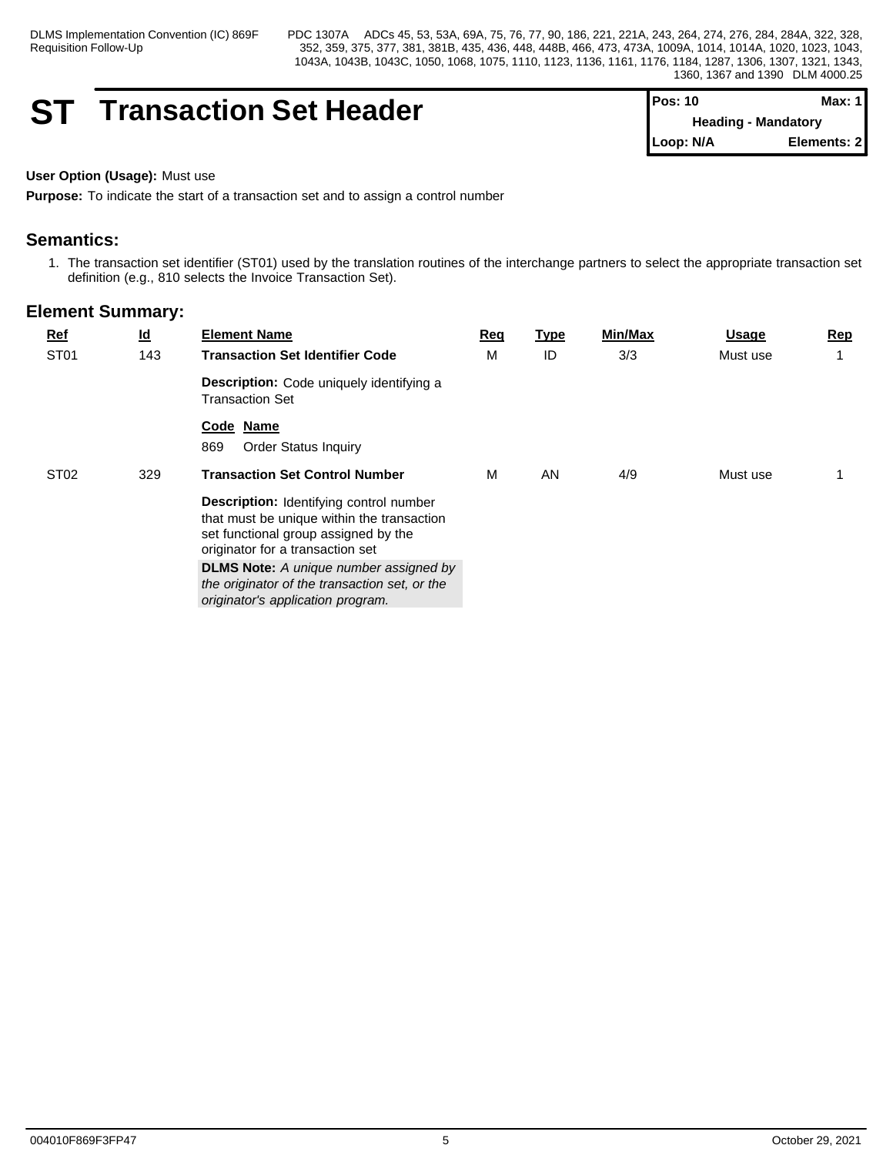# **ST Transaction Set Header**

| IPos: 10    | Max: 1 I                   |
|-------------|----------------------------|
|             | <b>Heading - Mandatory</b> |
| l Loop: N/A | Elements: 21               |

## **User Option (Usage):** Must use

**Purpose:** To indicate the start of a transaction set and to assign a control number

# **Semantics:**

1. The transaction set identifier (ST01) used by the translation routines of the interchange partners to select the appropriate transaction set definition (e.g., 810 selects the Invoice Transaction Set).

| $Ref$            | $\underline{\mathsf{Id}}$ | <b>Element Name</b>                                                                                                                                               | Req | <u>Type</u> | Min/Max | <u>Usage</u> | Rep |
|------------------|---------------------------|-------------------------------------------------------------------------------------------------------------------------------------------------------------------|-----|-------------|---------|--------------|-----|
| ST <sub>01</sub> | 143                       | <b>Transaction Set Identifier Code</b>                                                                                                                            | M   | ID          | 3/3     | Must use     |     |
|                  |                           | Description: Code uniquely identifying a<br><b>Transaction Set</b>                                                                                                |     |             |         |              |     |
|                  |                           | Code Name<br>869<br><b>Order Status Inquiry</b>                                                                                                                   |     |             |         |              |     |
| ST <sub>02</sub> | 329                       | <b>Transaction Set Control Number</b>                                                                                                                             | M   | AN          | 4/9     | Must use     |     |
|                  |                           | Description: Identifying control number<br>that must be unique within the transaction<br>set functional group assigned by the<br>originator for a transaction set |     |             |         |              |     |
|                  |                           | <b>DLMS Note:</b> A unique number assigned by<br>the originator of the transaction set, or the<br>originator's application program.                               |     |             |         |              |     |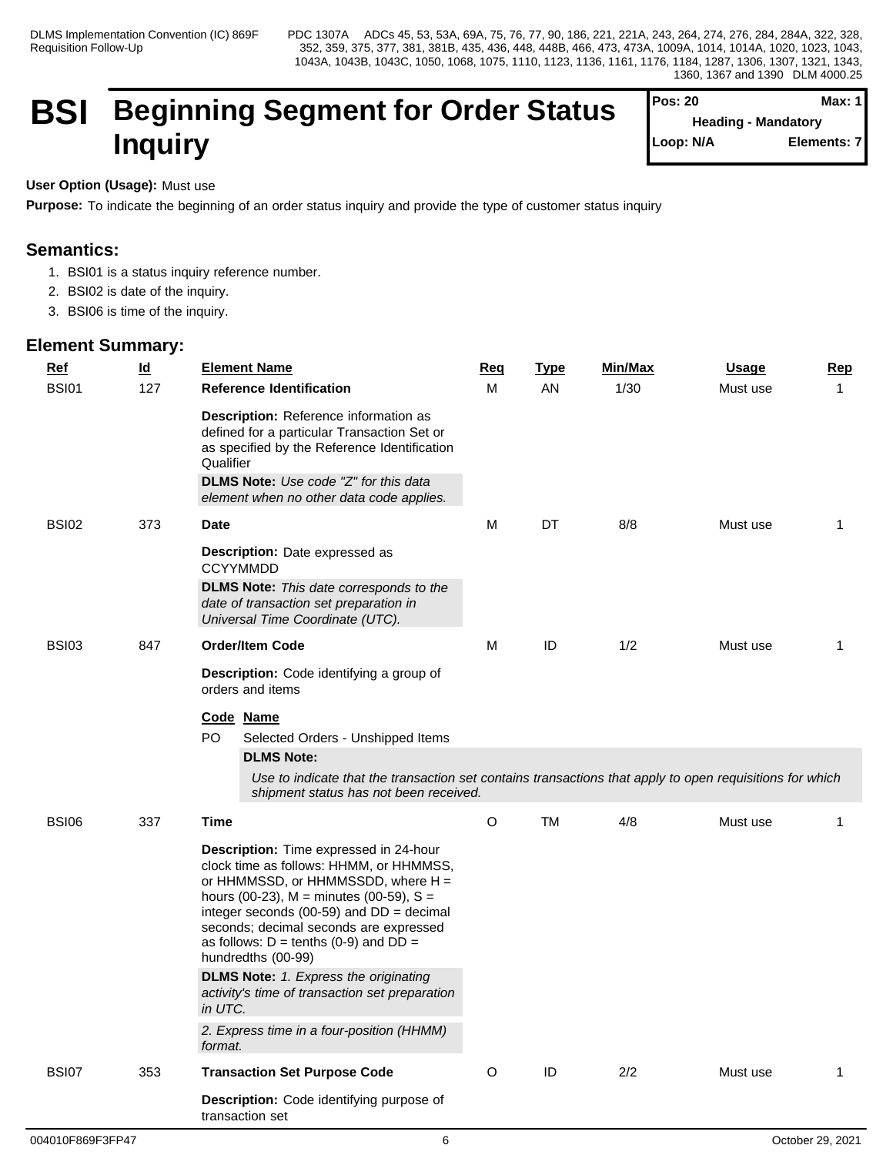# **BSI Beginning Segment for Order Status Inquiry**

| <b>Pos: 20</b> | Max: 1                     |  |
|----------------|----------------------------|--|
|                | <b>Heading - Mandatory</b> |  |
| Loop: N/A      | Elements: 7                |  |

## **User Option (Usage):** Must use

**Purpose:** To indicate the beginning of an order status inquiry and provide the type of customer status inquiry

# **Semantics:**

- 1. BSI01 is a status inquiry reference number.
- 2. BSI02 is date of the inquiry.
- 3. BSI06 is time of the inquiry.

| $Ref$        | $\underline{\mathsf{Id}}$ | <b>Element Name</b>                                                                                                                                                                                                                                                                                                                      | <b>Req</b>  | <b>Type</b> | Min/Max | <u>Usage</u> | <b>Rep</b>  |
|--------------|---------------------------|------------------------------------------------------------------------------------------------------------------------------------------------------------------------------------------------------------------------------------------------------------------------------------------------------------------------------------------|-------------|-------------|---------|--------------|-------------|
| <b>BSI01</b> | 127                       | <b>Reference Identification</b>                                                                                                                                                                                                                                                                                                          | M           | AN          | 1/30    | Must use     | $\mathbf 1$ |
|              |                           | Description: Reference information as<br>defined for a particular Transaction Set or<br>as specified by the Reference Identification<br>Qualifier<br><b>DLMS Note:</b> Use code "Z" for this data<br>element when no other data code applies.                                                                                            |             |             |         |              |             |
| <b>BSI02</b> | 373                       | <b>Date</b>                                                                                                                                                                                                                                                                                                                              | M           | DT          | 8/8     | Must use     | -1          |
|              |                           | <b>Description:</b> Date expressed as<br><b>CCYYMMDD</b>                                                                                                                                                                                                                                                                                 |             |             |         |              |             |
|              |                           | <b>DLMS Note:</b> This date corresponds to the<br>date of transaction set preparation in<br>Universal Time Coordinate (UTC).                                                                                                                                                                                                             |             |             |         |              |             |
| <b>BSI03</b> | 847                       | <b>Order/Item Code</b>                                                                                                                                                                                                                                                                                                                   | M           | ID          | 1/2     | Must use     | 1           |
|              |                           | Description: Code identifying a group of<br>orders and items                                                                                                                                                                                                                                                                             |             |             |         |              |             |
|              |                           | Code Name<br>PO<br>Selected Orders - Unshipped Items<br><b>DLMS Note:</b><br>Use to indicate that the transaction set contains transactions that apply to open requisitions for which<br>shipment status has not been received.                                                                                                          |             |             |         |              |             |
| <b>BSI06</b> | 337                       | <b>Time</b>                                                                                                                                                                                                                                                                                                                              | O           | <b>TM</b>   | 4/8     | Must use     |             |
|              |                           | Description: Time expressed in 24-hour<br>clock time as follows: HHMM, or HHMMSS,<br>or HHMMSSD, or HHMMSSDD, where H =<br>hours (00-23), $M =$ minutes (00-59), $S =$<br>integer seconds (00-59) and $DD = decimal$<br>seconds; decimal seconds are expressed<br>as follows: $D = \text{tenths}$ (0-9) and $DD =$<br>hundredths (00-99) |             |             |         |              |             |
|              |                           | <b>DLMS Note:</b> 1. Express the originating<br>activity's time of transaction set preparation<br>in UTC.                                                                                                                                                                                                                                |             |             |         |              |             |
|              |                           | 2. Express time in a four-position (HHMM)<br>format.                                                                                                                                                                                                                                                                                     |             |             |         |              |             |
| <b>BSI07</b> | 353                       | <b>Transaction Set Purpose Code</b>                                                                                                                                                                                                                                                                                                      | $\mathsf O$ | $\sf ID$    | $2/2$   | Must use     | 1           |
|              |                           | Description: Code identifying purpose of<br>transaction set                                                                                                                                                                                                                                                                              |             |             |         |              |             |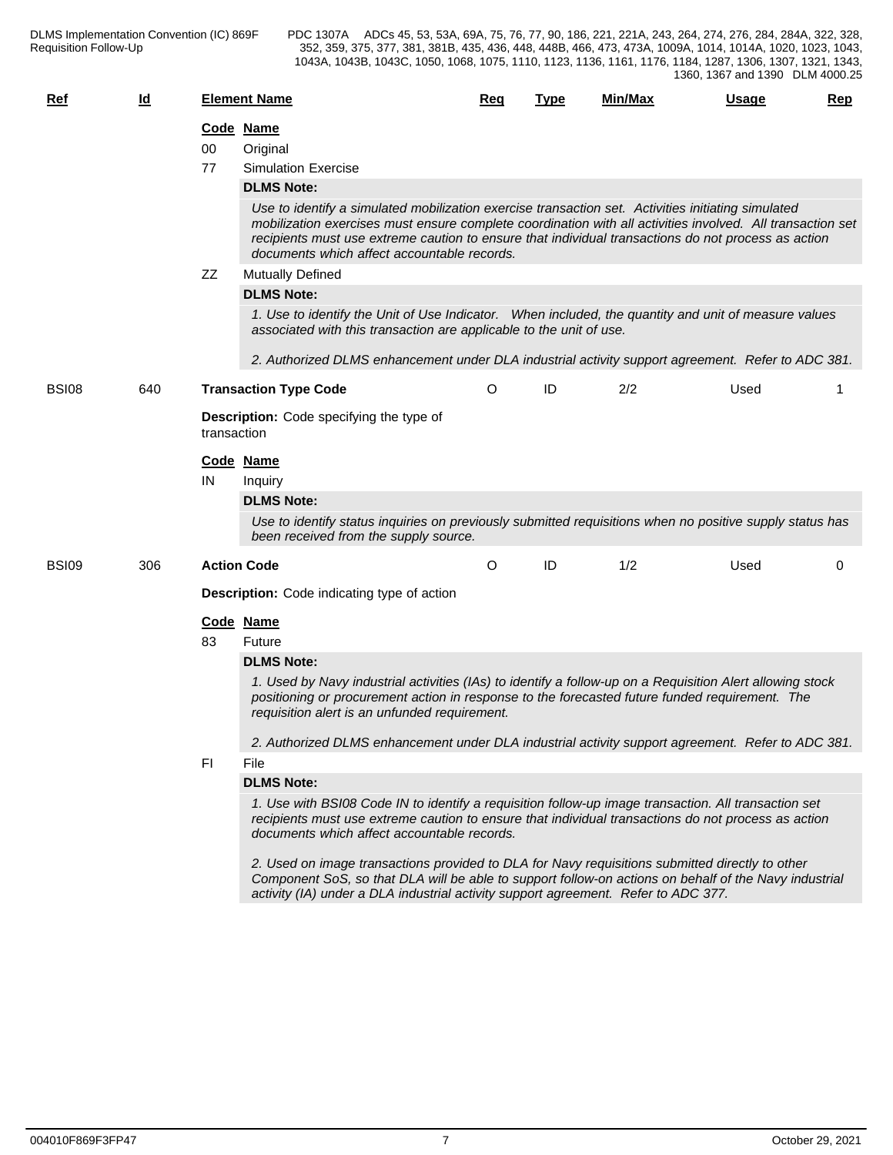| $Ref$        | $\underline{\mathsf{Id}}$ |             | <b>Element Name</b>                                                                                                                                                                                                                                                                                                                                                                         | <b>Req</b> | <b>Type</b> | Min/Max | <b>Usage</b> | Rep |
|--------------|---------------------------|-------------|---------------------------------------------------------------------------------------------------------------------------------------------------------------------------------------------------------------------------------------------------------------------------------------------------------------------------------------------------------------------------------------------|------------|-------------|---------|--------------|-----|
|              |                           | 00<br>77    | Code Name<br>Original<br><b>Simulation Exercise</b>                                                                                                                                                                                                                                                                                                                                         |            |             |         |              |     |
|              |                           |             | <b>DLMS Note:</b><br>Use to identify a simulated mobilization exercise transaction set. Activities initiating simulated<br>mobilization exercises must ensure complete coordination with all activities involved. All transaction set<br>recipients must use extreme caution to ensure that individual transactions do not process as action<br>documents which affect accountable records. |            |             |         |              |     |
|              |                           | ZZ          | <b>Mutually Defined</b>                                                                                                                                                                                                                                                                                                                                                                     |            |             |         |              |     |
|              |                           |             | <b>DLMS Note:</b>                                                                                                                                                                                                                                                                                                                                                                           |            |             |         |              |     |
|              |                           |             | 1. Use to identify the Unit of Use Indicator. When included, the quantity and unit of measure values<br>associated with this transaction are applicable to the unit of use.<br>2. Authorized DLMS enhancement under DLA industrial activity support agreement. Refer to ADC 381.                                                                                                            |            |             |         |              |     |
| <b>BSI08</b> | 640                       |             | <b>Transaction Type Code</b>                                                                                                                                                                                                                                                                                                                                                                | O          | ID          | 2/2     | Used         | 1   |
|              |                           | transaction | <b>Description:</b> Code specifying the type of                                                                                                                                                                                                                                                                                                                                             |            |             |         |              |     |
|              |                           |             | Code Name                                                                                                                                                                                                                                                                                                                                                                                   |            |             |         |              |     |
|              |                           | IN          | Inquiry                                                                                                                                                                                                                                                                                                                                                                                     |            |             |         |              |     |
|              |                           |             | <b>DLMS Note:</b>                                                                                                                                                                                                                                                                                                                                                                           |            |             |         |              |     |
|              |                           |             | Use to identify status inquiries on previously submitted requisitions when no positive supply status has<br>been received from the supply source.                                                                                                                                                                                                                                           |            |             |         |              |     |
| <b>BSI09</b> | 306                       |             | <b>Action Code</b>                                                                                                                                                                                                                                                                                                                                                                          | O          | ID          | 1/2     | Used         | 0   |
|              |                           |             | <b>Description:</b> Code indicating type of action                                                                                                                                                                                                                                                                                                                                          |            |             |         |              |     |
|              |                           |             | Code Name                                                                                                                                                                                                                                                                                                                                                                                   |            |             |         |              |     |
|              |                           | 83          | Future                                                                                                                                                                                                                                                                                                                                                                                      |            |             |         |              |     |
|              |                           |             | <b>DLMS Note:</b>                                                                                                                                                                                                                                                                                                                                                                           |            |             |         |              |     |
|              |                           |             | 1. Used by Navy industrial activities (IAs) to identify a follow-up on a Requisition Alert allowing stock<br>positioning or procurement action in response to the forecasted future funded requirement. The<br>requisition alert is an unfunded requirement.                                                                                                                                |            |             |         |              |     |
|              |                           |             | 2. Authorized DLMS enhancement under DLA industrial activity support agreement. Refer to ADC 381.                                                                                                                                                                                                                                                                                           |            |             |         |              |     |
|              |                           | FI.         | File                                                                                                                                                                                                                                                                                                                                                                                        |            |             |         |              |     |
|              |                           |             | <b>DLMS Note:</b>                                                                                                                                                                                                                                                                                                                                                                           |            |             |         |              |     |
|              |                           |             | 1. Use with BSI08 Code IN to identify a requisition follow-up image transaction. All transaction set<br>recipients must use extreme caution to ensure that individual transactions do not process as action<br>documents which affect accountable records.                                                                                                                                  |            |             |         |              |     |
|              |                           |             | 2. Used on image transactions provided to DLA for Navy requisitions submitted directly to other<br>Component SoS, so that DLA will be able to support follow-on actions on behalf of the Navy industrial<br>activity (IA) under a DLA industrial activity support agreement. Refer to ADC 377.                                                                                              |            |             |         |              |     |
|              |                           |             |                                                                                                                                                                                                                                                                                                                                                                                             |            |             |         |              |     |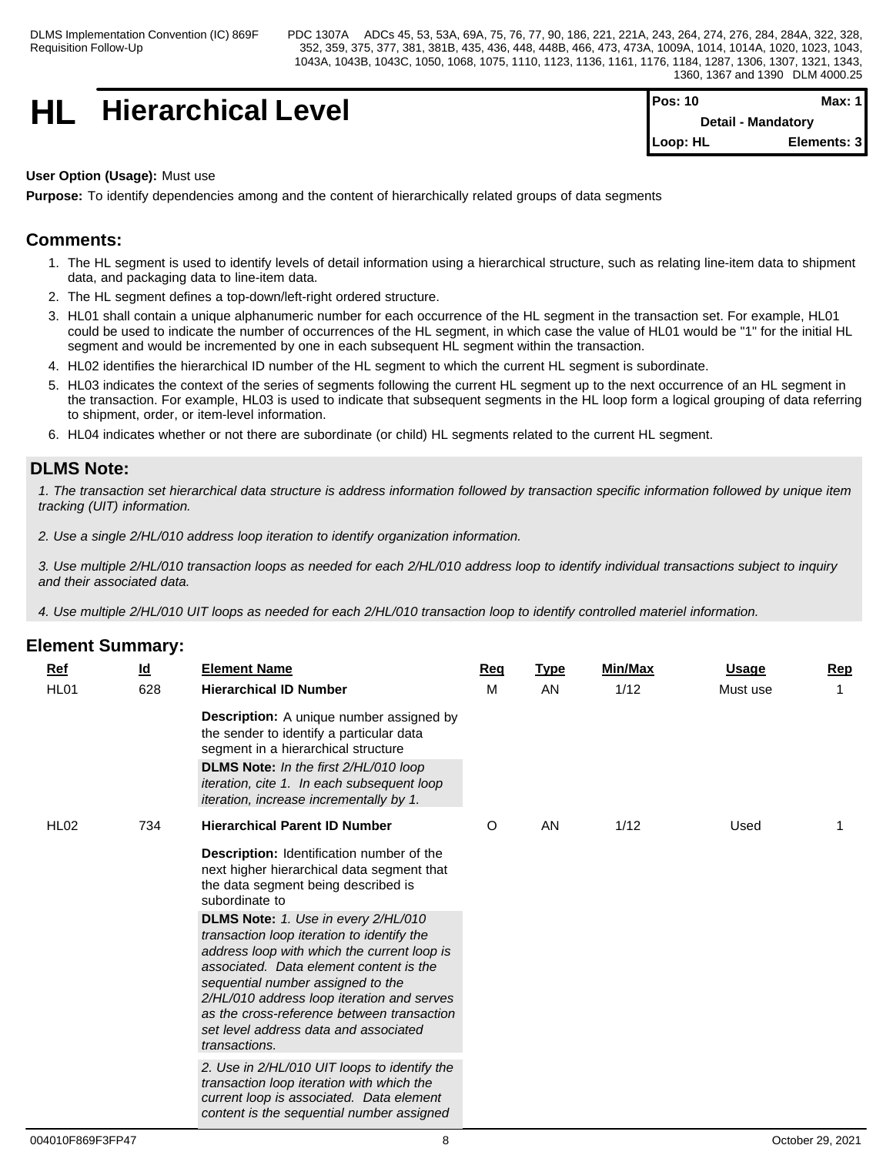# **HL** Hierarchical Level

| <b>IPos:</b> 10           | Max: 11     |
|---------------------------|-------------|
| <b>Detail - Mandatory</b> |             |
| $Loop: HL$                | Elements: 3 |

## **User Option (Usage):** Must use

**Purpose:** To identify dependencies among and the content of hierarchically related groups of data segments

# **Comments:**

- 1. The HL segment is used to identify levels of detail information using a hierarchical structure, such as relating line-item data to shipment data, and packaging data to line-item data.
- 2. The HL segment defines a top-down/left-right ordered structure.
- 3. HL01 shall contain a unique alphanumeric number for each occurrence of the HL segment in the transaction set. For example, HL01 could be used to indicate the number of occurrences of the HL segment, in which case the value of HL01 would be "1" for the initial HL segment and would be incremented by one in each subsequent HL segment within the transaction.
- 4. HL02 identifies the hierarchical ID number of the HL segment to which the current HL segment is subordinate.
- 5. HL03 indicates the context of the series of segments following the current HL segment up to the next occurrence of an HL segment in the transaction. For example, HL03 is used to indicate that subsequent segments in the HL loop form a logical grouping of data referring to shipment, order, or item-level information.
- 6. HL04 indicates whether or not there are subordinate (or child) HL segments related to the current HL segment.

## **DLMS Note:**

*1. The transaction set hierarchical data structure is address information followed by transaction specific information followed by unique item tracking (UIT) information.*

*2. Use a single 2/HL/010 address loop iteration to identify organization information.*

*3. Use multiple 2/HL/010 transaction loops as needed for each 2/HL/010 address loop to identify individual transactions subject to inquiry and their associated data.*

*4. Use multiple 2/HL/010 UIT loops as needed for each 2/HL/010 transaction loop to identify controlled materiel information.*

| <b>Ref</b><br>HL01 | <u>ld</u><br>628 | <b>Element Name</b><br><b>Hierarchical ID Number</b>                                                                                                                                                                                                                                                                                                                                                                                                                                                                       | <u>Req</u><br>м | <b>Type</b><br>AN | Min/Max<br>1/12 | <b>Usage</b><br>Must use | <b>Rep</b> |
|--------------------|------------------|----------------------------------------------------------------------------------------------------------------------------------------------------------------------------------------------------------------------------------------------------------------------------------------------------------------------------------------------------------------------------------------------------------------------------------------------------------------------------------------------------------------------------|-----------------|-------------------|-----------------|--------------------------|------------|
|                    |                  | <b>Description:</b> A unique number assigned by<br>the sender to identify a particular data<br>segment in a hierarchical structure<br>DLMS Note: In the first 2/HL/010 loop<br>iteration, cite 1. In each subsequent loop<br>iteration, increase incrementally by 1.                                                                                                                                                                                                                                                       |                 |                   |                 |                          |            |
| <b>HL02</b>        | 734              | <b>Hierarchical Parent ID Number</b>                                                                                                                                                                                                                                                                                                                                                                                                                                                                                       | $\circ$         | AN                | 1/12            | Used                     |            |
|                    |                  | Description: Identification number of the<br>next higher hierarchical data segment that<br>the data segment being described is<br>subordinate to<br>DLMS Note: 1. Use in every 2/HL/010<br>transaction loop iteration to identify the<br>address loop with which the current loop is<br>associated. Data element content is the<br>sequential number assigned to the<br>2/HL/010 address loop iteration and serves<br>as the cross-reference between transaction<br>set level address data and associated<br>transactions. |                 |                   |                 |                          |            |
|                    |                  | 2. Use in 2/HL/010 UIT loops to identify the<br>transaction loop iteration with which the<br>current loop is associated. Data element<br>content is the sequential number assigned                                                                                                                                                                                                                                                                                                                                         |                 |                   |                 |                          |            |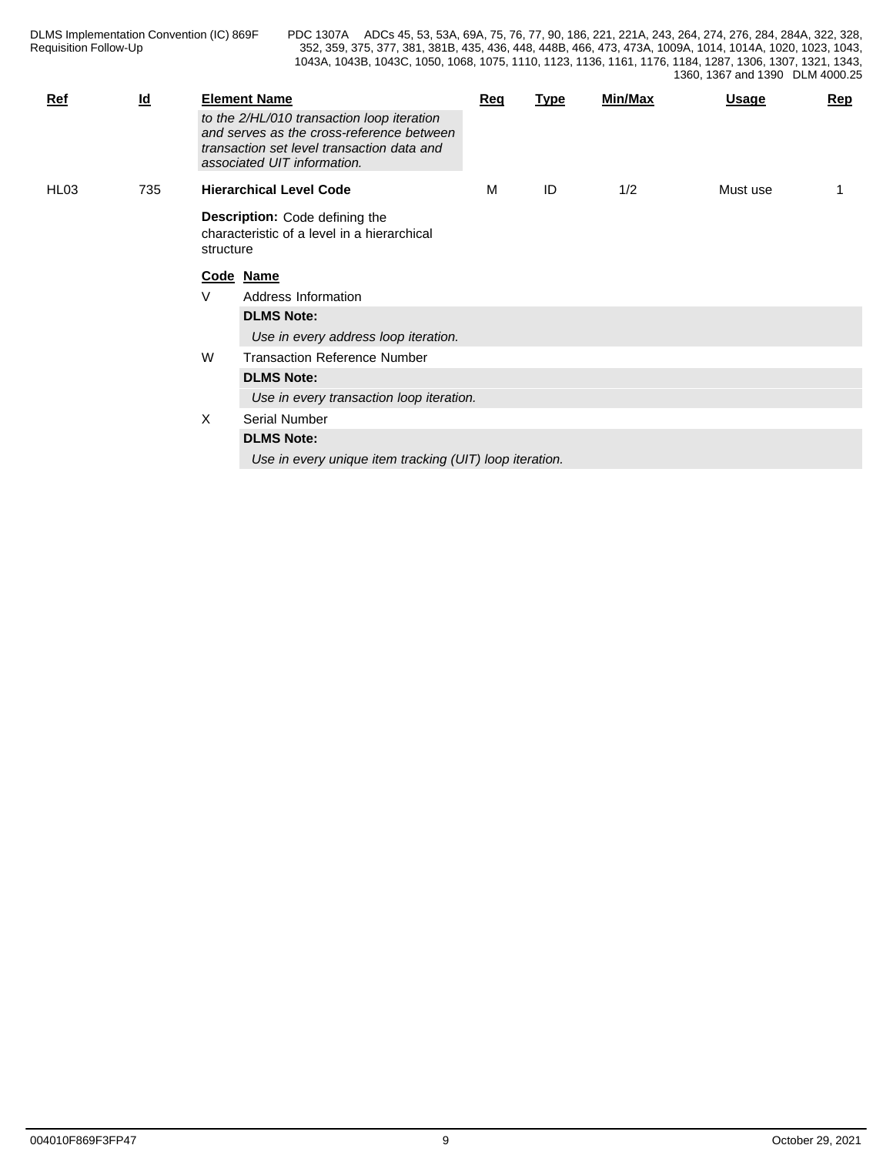| <b>Ref</b> | $\underline{\mathsf{Id}}$ |                                                                                                                                                                      | <b>Element Name</b>                                     | Req | <b>Type</b> | Min/Max | <b>Usage</b> | Rep |
|------------|---------------------------|----------------------------------------------------------------------------------------------------------------------------------------------------------------------|---------------------------------------------------------|-----|-------------|---------|--------------|-----|
|            |                           | to the 2/HL/010 transaction loop iteration<br>and serves as the cross-reference between<br>transaction set level transaction data and<br>associated UIT information. |                                                         |     |             |         |              |     |
| HL03       | 735                       |                                                                                                                                                                      | <b>Hierarchical Level Code</b>                          | M   | ID          | 1/2     | Must use     |     |
|            |                           | <b>Description:</b> Code defining the<br>characteristic of a level in a hierarchical<br>structure                                                                    |                                                         |     |             |         |              |     |
|            |                           |                                                                                                                                                                      | Code Name                                               |     |             |         |              |     |
|            |                           | V                                                                                                                                                                    | Address Information                                     |     |             |         |              |     |
|            |                           |                                                                                                                                                                      | <b>DLMS Note:</b>                                       |     |             |         |              |     |
|            |                           |                                                                                                                                                                      | Use in every address loop iteration.                    |     |             |         |              |     |
|            |                           | W                                                                                                                                                                    | <b>Transaction Reference Number</b>                     |     |             |         |              |     |
|            |                           |                                                                                                                                                                      | <b>DLMS Note:</b>                                       |     |             |         |              |     |
|            |                           |                                                                                                                                                                      | Use in every transaction loop iteration.                |     |             |         |              |     |
|            |                           | X                                                                                                                                                                    | Serial Number                                           |     |             |         |              |     |
|            |                           |                                                                                                                                                                      | <b>DLMS Note:</b>                                       |     |             |         |              |     |
|            |                           |                                                                                                                                                                      | Use in every unique item tracking (UIT) loop iteration. |     |             |         |              |     |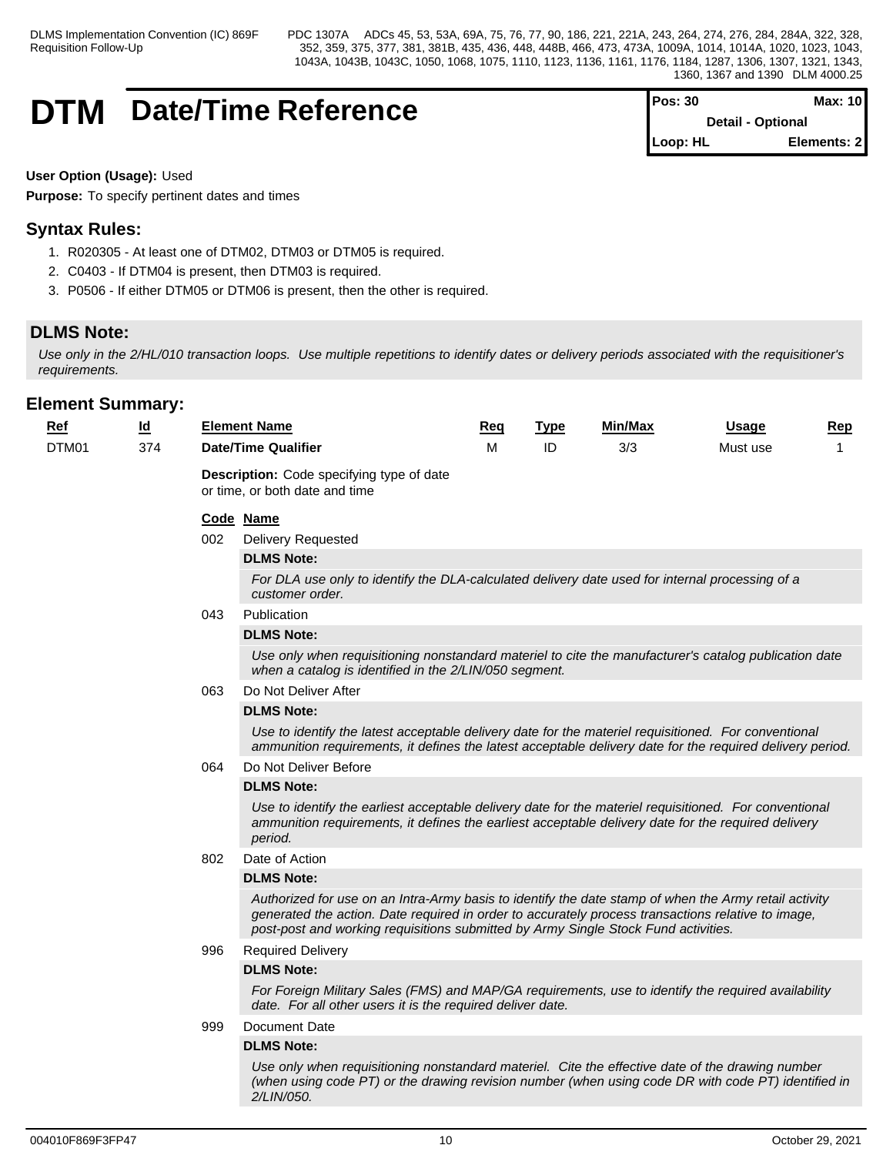# **DTM** Date/Time Reference

| $Pos: 30$                | Max: 10      |  |
|--------------------------|--------------|--|
| <b>Detail - Optional</b> |              |  |
| ∥Loop: HL                | Elements: 21 |  |

**User Option (Usage):** Used

**Purpose:** To specify pertinent dates and times

# **Syntax Rules:**

- 1. R020305 At least one of DTM02, DTM03 or DTM05 is required.
- 2. C0403 If DTM04 is present, then DTM03 is required.
- 3. P0506 If either DTM05 or DTM06 is present, then the other is required.

# **DLMS Note:**

*Use only in the 2/HL/010 transaction loops. Use multiple repetitions to identify dates or delivery periods associated with the requisitioner's requirements.*

| $Ref$ | $\underline{\mathsf{Id}}$ |     | <b>Element Name</b>                                                                                                                                                                                                                                                                               | <u>Req</u> | <b>Type</b> | Min/Max | <b>Usage</b> | <b>Rep</b> |
|-------|---------------------------|-----|---------------------------------------------------------------------------------------------------------------------------------------------------------------------------------------------------------------------------------------------------------------------------------------------------|------------|-------------|---------|--------------|------------|
| DTM01 | 374                       |     | <b>Date/Time Qualifier</b>                                                                                                                                                                                                                                                                        | M          | ID          | 3/3     | Must use     | 1          |
|       |                           |     | <b>Description:</b> Code specifying type of date<br>or time, or both date and time                                                                                                                                                                                                                |            |             |         |              |            |
|       |                           |     | Code Name                                                                                                                                                                                                                                                                                         |            |             |         |              |            |
|       |                           | 002 | <b>Delivery Requested</b>                                                                                                                                                                                                                                                                         |            |             |         |              |            |
|       |                           |     | <b>DLMS Note:</b>                                                                                                                                                                                                                                                                                 |            |             |         |              |            |
|       |                           |     | For DLA use only to identify the DLA-calculated delivery date used for internal processing of a<br>customer order.                                                                                                                                                                                |            |             |         |              |            |
|       |                           | 043 | Publication                                                                                                                                                                                                                                                                                       |            |             |         |              |            |
|       |                           |     | <b>DLMS Note:</b>                                                                                                                                                                                                                                                                                 |            |             |         |              |            |
|       |                           |     | Use only when requisitioning nonstandard materiel to cite the manufacturer's catalog publication date<br>when a catalog is identified in the 2/LIN/050 segment.                                                                                                                                   |            |             |         |              |            |
|       |                           | 063 | Do Not Deliver After                                                                                                                                                                                                                                                                              |            |             |         |              |            |
|       |                           |     | <b>DLMS Note:</b>                                                                                                                                                                                                                                                                                 |            |             |         |              |            |
|       |                           |     | Use to identify the latest acceptable delivery date for the materiel requisitioned. For conventional<br>ammunition requirements, it defines the latest acceptable delivery date for the required delivery period.                                                                                 |            |             |         |              |            |
|       |                           | 064 | Do Not Deliver Before                                                                                                                                                                                                                                                                             |            |             |         |              |            |
|       |                           |     | <b>DLMS Note:</b>                                                                                                                                                                                                                                                                                 |            |             |         |              |            |
|       |                           |     | Use to identify the earliest acceptable delivery date for the materiel requisitioned. For conventional<br>ammunition requirements, it defines the earliest acceptable delivery date for the required delivery<br>period.                                                                          |            |             |         |              |            |
|       |                           | 802 | Date of Action                                                                                                                                                                                                                                                                                    |            |             |         |              |            |
|       |                           |     | <b>DLMS Note:</b>                                                                                                                                                                                                                                                                                 |            |             |         |              |            |
|       |                           |     | Authorized for use on an Intra-Army basis to identify the date stamp of when the Army retail activity<br>generated the action. Date required in order to accurately process transactions relative to image,<br>post-post and working requisitions submitted by Army Single Stock Fund activities. |            |             |         |              |            |
|       |                           | 996 | <b>Required Delivery</b>                                                                                                                                                                                                                                                                          |            |             |         |              |            |
|       |                           |     | <b>DLMS Note:</b>                                                                                                                                                                                                                                                                                 |            |             |         |              |            |
|       |                           |     | For Foreign Military Sales (FMS) and MAP/GA requirements, use to identify the required availability<br>date. For all other users it is the required deliver date.                                                                                                                                 |            |             |         |              |            |
|       |                           | 999 | Document Date                                                                                                                                                                                                                                                                                     |            |             |         |              |            |
|       |                           |     | <b>DLMS Note:</b>                                                                                                                                                                                                                                                                                 |            |             |         |              |            |
|       |                           |     | Use only when requisitioning nonstandard materiel. Cite the effective date of the drawing number<br>(when using code PT) or the drawing revision number (when using code DR with code PT) identified in<br>2/LIN/050.                                                                             |            |             |         |              |            |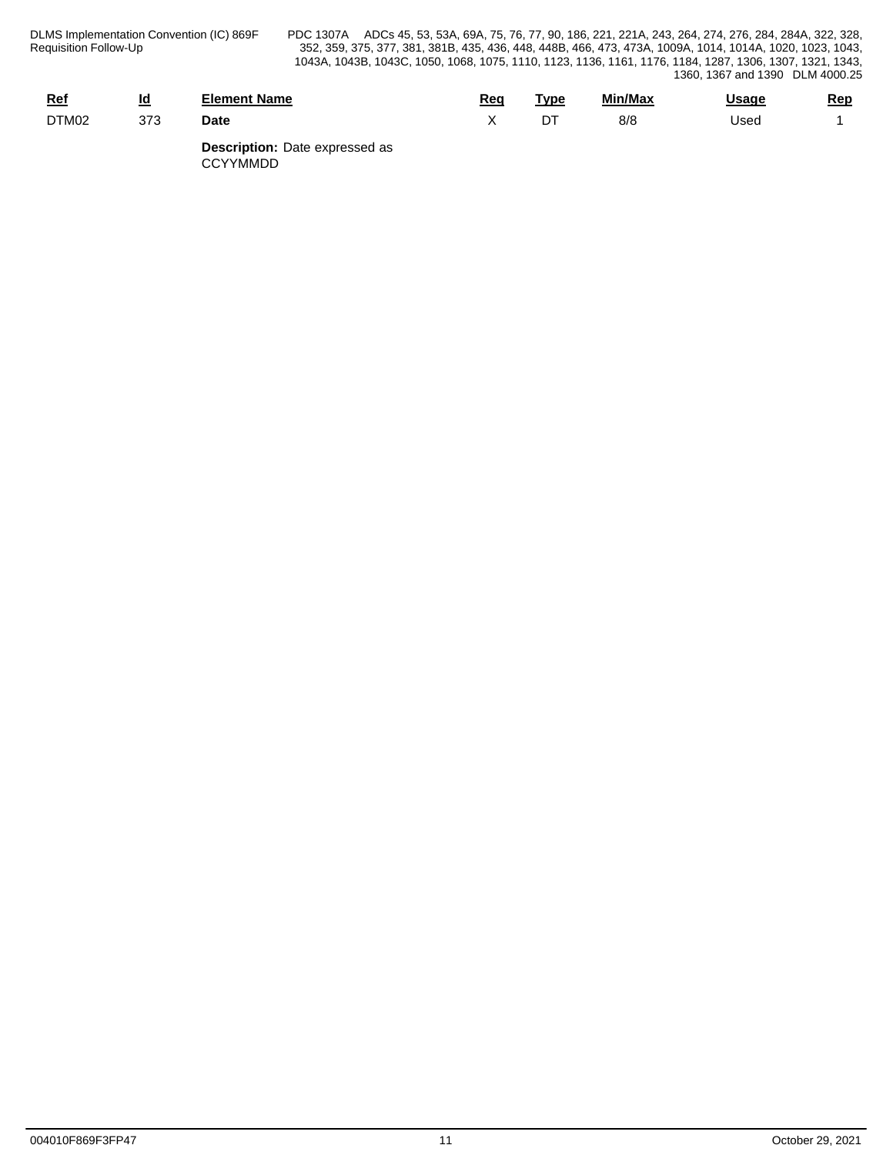| <u>Ref</u> | <u>Ιđ</u> | Element Name                                                                                                                                                                                                                                                                                     | Req | Type | Min/Max | <b>Usage</b> | <u>Rep</u> |
|------------|-----------|--------------------------------------------------------------------------------------------------------------------------------------------------------------------------------------------------------------------------------------------------------------------------------------------------|-----|------|---------|--------------|------------|
| DTM02      | 373       | <b>Date</b>                                                                                                                                                                                                                                                                                      |     | דרו  | 8/8     | Used         |            |
|            |           | $\mathbf{B}$ and $\mathbf{B}$ and $\mathbf{B}$ and $\mathbf{B}$ and $\mathbf{B}$ and $\mathbf{B}$ and $\mathbf{B}$ and $\mathbf{B}$ and $\mathbf{B}$ and $\mathbf{B}$ and $\mathbf{B}$ and $\mathbf{B}$ and $\mathbf{B}$ and $\mathbf{B}$ and $\mathbf{B}$ and $\mathbf{B}$ and $\mathbf{B}$ and |     |      |         |              |            |

**Description:** Date expressed as CCYYMMDD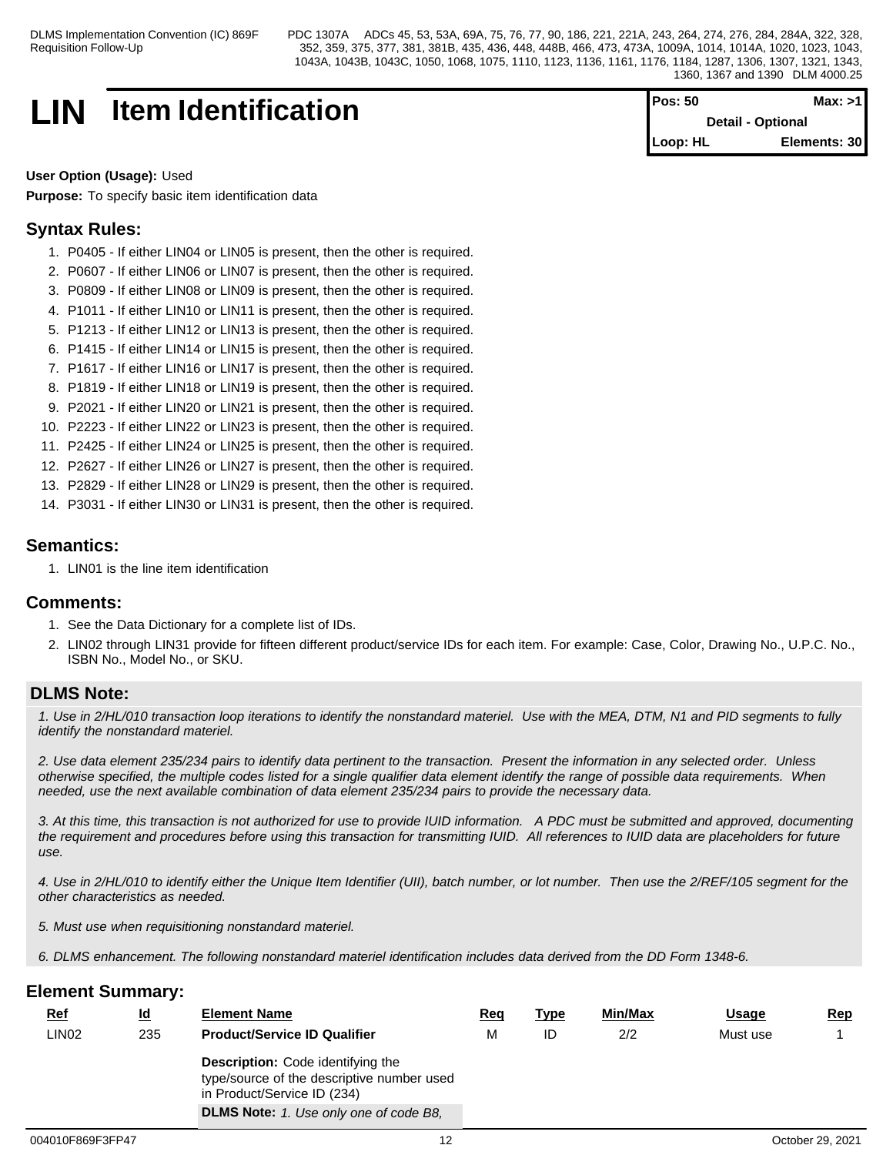# **LIN** Item Identification **Pos:** 50 **Max:** >1

**Detail - Optional Loop: HL Elements: 30**

## **User Option (Usage):** Used

**Purpose:** To specify basic item identification data

# **Syntax Rules:**

- 1. P0405 If either LIN04 or LIN05 is present, then the other is required.
- 2. P0607 If either LIN06 or LIN07 is present, then the other is required.
- 3. P0809 If either LIN08 or LIN09 is present, then the other is required.
- 4. P1011 If either LIN10 or LIN11 is present, then the other is required.
- 5. P1213 If either LIN12 or LIN13 is present, then the other is required.
- 6. P1415 If either LIN14 or LIN15 is present, then the other is required.
- 7. P1617 If either LIN16 or LIN17 is present, then the other is required.
- 8. P1819 If either LIN18 or LIN19 is present, then the other is required.
- 9. P2021 If either LIN20 or LIN21 is present, then the other is required.
- 10. P2223 If either LIN22 or LIN23 is present, then the other is required.
- 11. P2425 If either LIN24 or LIN25 is present, then the other is required.
- 12. P2627 If either LIN26 or LIN27 is present, then the other is required.
- 13. P2829 If either LIN28 or LIN29 is present, then the other is required.
- 14. P3031 If either LIN30 or LIN31 is present, then the other is required.

## **Semantics:**

1. LIN01 is the line item identification

## **Comments:**

- 1. See the Data Dictionary for a complete list of IDs.
- 2. LIN02 through LIN31 provide for fifteen different product/service IDs for each item. For example: Case, Color, Drawing No., U.P.C. No., ISBN No., Model No., or SKU.

## **DLMS Note:**

*1. Use in 2/HL/010 transaction loop iterations to identify the nonstandard materiel. Use with the MEA, DTM, N1 and PID segments to fully identify the nonstandard materiel.*

*2. Use data element 235/234 pairs to identify data pertinent to the transaction. Present the information in any selected order. Unless otherwise specified, the multiple codes listed for a single qualifier data element identify the range of possible data requirements. When needed, use the next available combination of data element 235/234 pairs to provide the necessary data.*

*3. At this time, this transaction is not authorized for use to provide IUID information. A PDC must be submitted and approved, documenting the requirement and procedures before using this transaction for transmitting IUID. All references to IUID data are placeholders for future use.*

*4. Use in 2/HL/010 to identify either the Unique Item Identifier (UII), batch number, or lot number. Then use the 2/REF/105 segment for the other characteristics as needed.*

*5. Must use when requisitioning nonstandard materiel.*

*6. DLMS enhancement. The following nonstandard materiel identification includes data derived from the DD Form 1348-6.*

| <u>Ref</u> | <u>ld</u> | <b>Element Name</b>                                                                                                                                                    | <u>Req</u> | <u>Type</u> | Min/Max | <b>Usage</b> | <u>Rep</u> |
|------------|-----------|------------------------------------------------------------------------------------------------------------------------------------------------------------------------|------------|-------------|---------|--------------|------------|
| LIN02      | 235       | <b>Product/Service ID Qualifier</b>                                                                                                                                    | М          | ID          | 2/2     | Must use     |            |
|            |           | <b>Description:</b> Code identifying the<br>type/source of the descriptive number used<br>in Product/Service ID (234)<br><b>DLMS Note:</b> 1. Use only one of code B8, |            |             |         |              |            |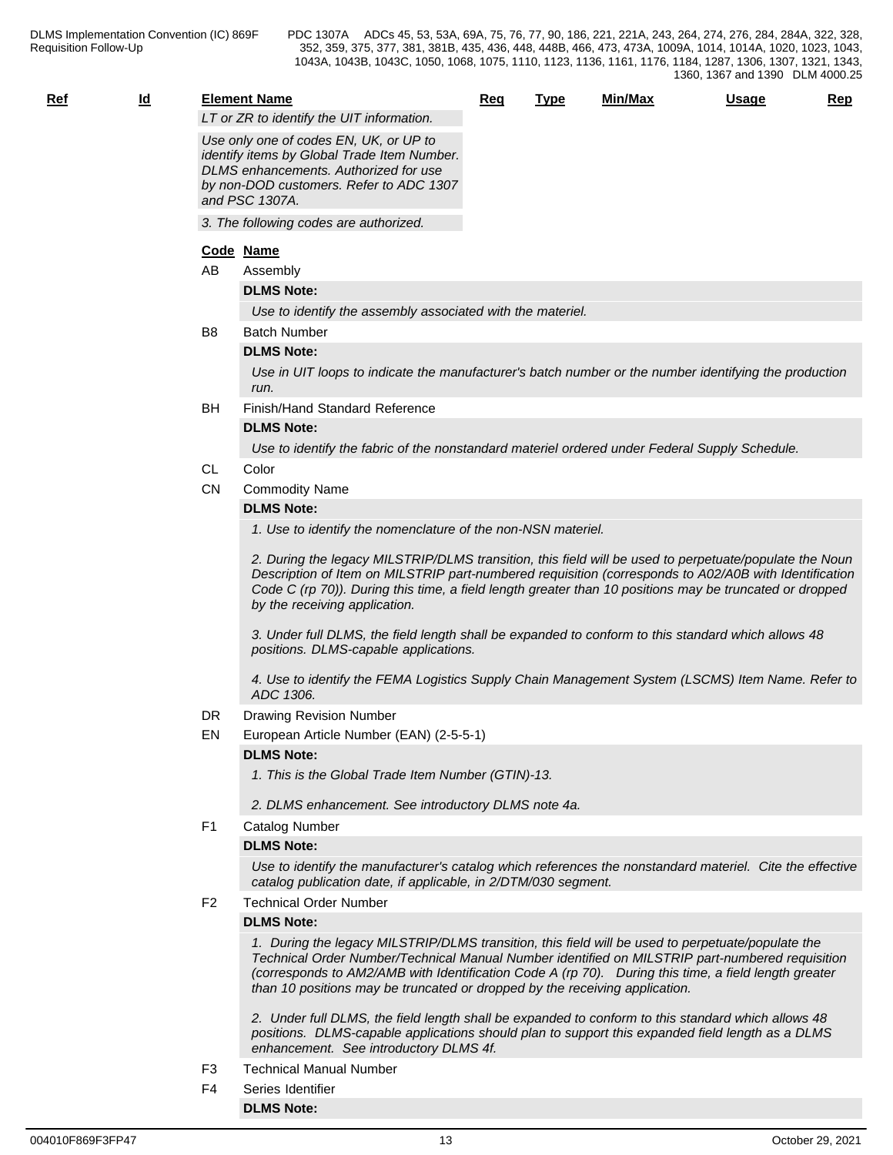| . . | ۰. |
|-----|----|
|     | v  |
|     |    |

|            |           |                |                                                                                                                                                                                                                                                                                                                                                                                             |     |             |         | 1360, 1367 and 1390 DLM 4000.25 |     |
|------------|-----------|----------------|---------------------------------------------------------------------------------------------------------------------------------------------------------------------------------------------------------------------------------------------------------------------------------------------------------------------------------------------------------------------------------------------|-----|-------------|---------|---------------------------------|-----|
| <u>Ref</u> | <u>ld</u> |                | <b>Element Name</b><br>LT or ZR to identify the UIT information.                                                                                                                                                                                                                                                                                                                            | Req | <b>Type</b> | Min/Max | <b>Usage</b>                    | Rep |
|            |           |                | Use only one of codes EN, UK, or UP to<br>identify items by Global Trade Item Number.<br>DLMS enhancements. Authorized for use<br>by non-DOD customers. Refer to ADC 1307<br>and PSC 1307A.                                                                                                                                                                                                 |     |             |         |                                 |     |
|            |           |                | 3. The following codes are authorized.                                                                                                                                                                                                                                                                                                                                                      |     |             |         |                                 |     |
|            |           |                | Code Name                                                                                                                                                                                                                                                                                                                                                                                   |     |             |         |                                 |     |
|            |           | AB             | Assembly                                                                                                                                                                                                                                                                                                                                                                                    |     |             |         |                                 |     |
|            |           |                | <b>DLMS Note:</b>                                                                                                                                                                                                                                                                                                                                                                           |     |             |         |                                 |     |
|            |           |                | Use to identify the assembly associated with the materiel.                                                                                                                                                                                                                                                                                                                                  |     |             |         |                                 |     |
|            |           | B <sub>8</sub> | <b>Batch Number</b>                                                                                                                                                                                                                                                                                                                                                                         |     |             |         |                                 |     |
|            |           |                | <b>DLMS Note:</b>                                                                                                                                                                                                                                                                                                                                                                           |     |             |         |                                 |     |
|            |           |                | Use in UIT loops to indicate the manufacturer's batch number or the number identifying the production<br>run.                                                                                                                                                                                                                                                                               |     |             |         |                                 |     |
|            |           | BH             | Finish/Hand Standard Reference                                                                                                                                                                                                                                                                                                                                                              |     |             |         |                                 |     |
|            |           |                | <b>DLMS Note:</b>                                                                                                                                                                                                                                                                                                                                                                           |     |             |         |                                 |     |
|            |           |                | Use to identify the fabric of the nonstandard materiel ordered under Federal Supply Schedule.                                                                                                                                                                                                                                                                                               |     |             |         |                                 |     |
|            |           | CL             | Color                                                                                                                                                                                                                                                                                                                                                                                       |     |             |         |                                 |     |
|            |           | <b>CN</b>      | <b>Commodity Name</b>                                                                                                                                                                                                                                                                                                                                                                       |     |             |         |                                 |     |
|            |           |                | <b>DLMS Note:</b>                                                                                                                                                                                                                                                                                                                                                                           |     |             |         |                                 |     |
|            |           |                | 1. Use to identify the nomenclature of the non-NSN materiel.<br>2. During the legacy MILSTRIP/DLMS transition, this field will be used to perpetuate/populate the Noun                                                                                                                                                                                                                      |     |             |         |                                 |     |
|            |           |                | Description of Item on MILSTRIP part-numbered requisition (corresponds to A02/A0B with Identification<br>Code C (rp 70)). During this time, a field length greater than 10 positions may be truncated or dropped<br>by the receiving application.                                                                                                                                           |     |             |         |                                 |     |
|            |           |                | 3. Under full DLMS, the field length shall be expanded to conform to this standard which allows 48<br>positions. DLMS-capable applications.                                                                                                                                                                                                                                                 |     |             |         |                                 |     |
|            |           |                | 4. Use to identify the FEMA Logistics Supply Chain Management System (LSCMS) Item Name. Refer to<br>ADC 1306.                                                                                                                                                                                                                                                                               |     |             |         |                                 |     |
|            |           | DR             | Drawing Revision Number                                                                                                                                                                                                                                                                                                                                                                     |     |             |         |                                 |     |
|            |           | EN             | European Article Number (EAN) (2-5-5-1)                                                                                                                                                                                                                                                                                                                                                     |     |             |         |                                 |     |
|            |           |                | <b>DLMS Note:</b>                                                                                                                                                                                                                                                                                                                                                                           |     |             |         |                                 |     |
|            |           |                | 1. This is the Global Trade Item Number (GTIN)-13.                                                                                                                                                                                                                                                                                                                                          |     |             |         |                                 |     |
|            |           |                | 2. DLMS enhancement. See introductory DLMS note 4a.                                                                                                                                                                                                                                                                                                                                         |     |             |         |                                 |     |
|            |           | F1             | <b>Catalog Number</b>                                                                                                                                                                                                                                                                                                                                                                       |     |             |         |                                 |     |
|            |           |                | <b>DLMS Note:</b>                                                                                                                                                                                                                                                                                                                                                                           |     |             |         |                                 |     |
|            |           |                | Use to identify the manufacturer's catalog which references the nonstandard materiel. Cite the effective<br>catalog publication date, if applicable, in 2/DTM/030 segment.                                                                                                                                                                                                                  |     |             |         |                                 |     |
|            |           | F <sub>2</sub> | <b>Technical Order Number</b>                                                                                                                                                                                                                                                                                                                                                               |     |             |         |                                 |     |
|            |           |                | <b>DLMS Note:</b>                                                                                                                                                                                                                                                                                                                                                                           |     |             |         |                                 |     |
|            |           |                | 1. During the legacy MILSTRIP/DLMS transition, this field will be used to perpetuate/populate the<br>Technical Order Number/Technical Manual Number identified on MILSTRIP part-numbered requisition<br>(corresponds to AM2/AMB with Identification Code A (rp 70). During this time, a field length greater<br>than 10 positions may be truncated or dropped by the receiving application. |     |             |         |                                 |     |
|            |           |                | 2. Under full DLMS, the field length shall be expanded to conform to this standard which allows 48<br>positions. DLMS-capable applications should plan to support this expanded field length as a DLMS<br>enhancement. See introductory DLMS 4f.                                                                                                                                            |     |             |         |                                 |     |
|            |           | ロっ             | Tochnical Manual Number                                                                                                                                                                                                                                                                                                                                                                     |     |             |         |                                 |     |

- F3 Technical Manual Number
- F4 Series Identifier **DLMS Note:**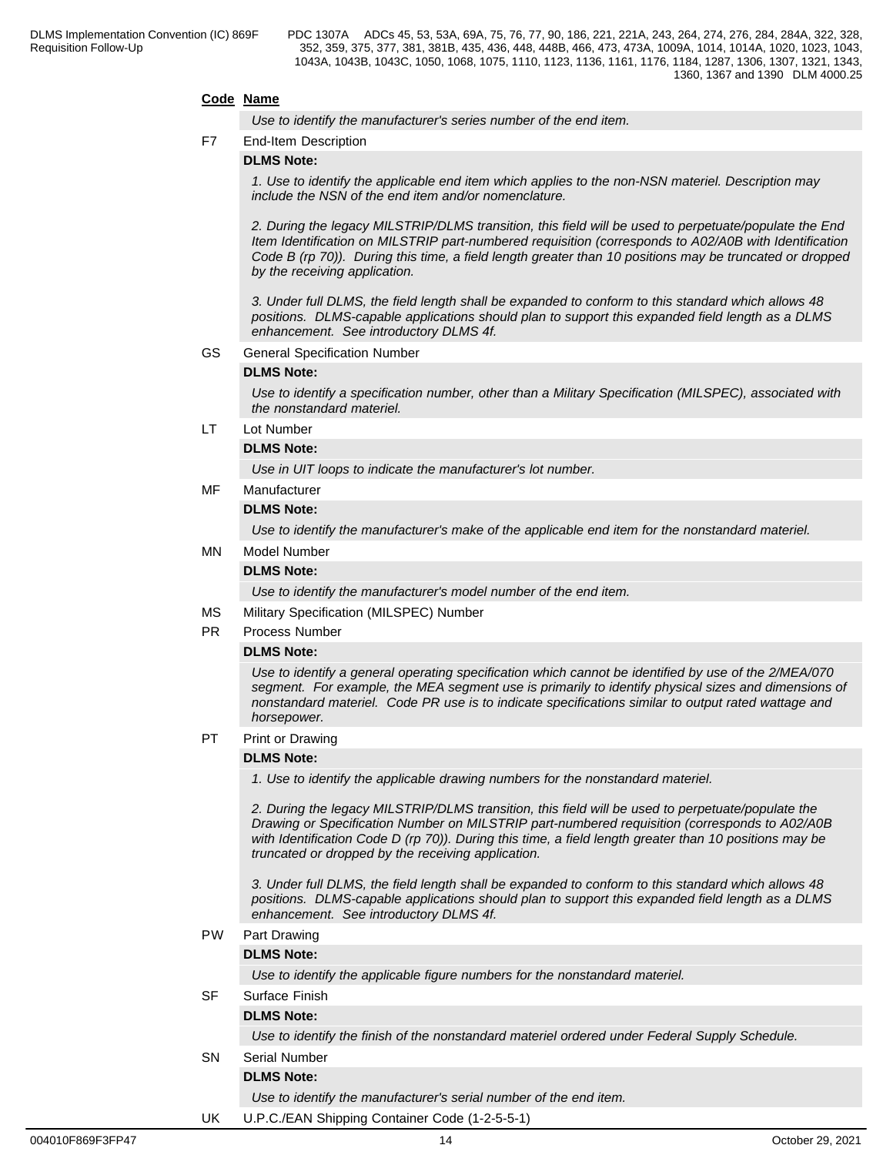## **Code Name**

*Use to identify the manufacturer's series number of the end item.*

### F7 End-Item Description

### **DLMS Note:**

*1. Use to identify the applicable end item which applies to the non-NSN materiel. Description may include the NSN of the end item and/or nomenclature.*

*2. During the legacy MILSTRIP/DLMS transition, this field will be used to perpetuate/populate the End Item Identification on MILSTRIP part-numbered requisition (corresponds to A02/A0B with Identification Code B (rp 70)). During this time, a field length greater than 10 positions may be truncated or dropped by the receiving application.* 

*3. Under full DLMS, the field length shall be expanded to conform to this standard which allows 48 positions. DLMS-capable applications should plan to support this expanded field length as a DLMS enhancement. See introductory DLMS 4f.*

#### GS General Specification Number

#### **DLMS Note:**

*Use to identify a specification number, other than a Military Specification (MILSPEC), associated with the nonstandard materiel.*

# LT Lot Number

## **DLMS Note:**

*Use in UIT loops to indicate the manufacturer's lot number.*

MF Manufacturer

### **DLMS Note:**

*Use to identify the manufacturer's make of the applicable end item for the nonstandard materiel.*

# MN Model Number

## **DLMS Note:**

*Use to identify the manufacturer's model number of the end item.*

- MS Military Specification (MILSPEC) Number
- PR Process Number

### **DLMS Note:**

*Use to identify a general operating specification which cannot be identified by use of the 2/MEA/070 segment. For example, the MEA segment use is primarily to identify physical sizes and dimensions of nonstandard materiel. Code PR use is to indicate specifications similar to output rated wattage and horsepower.*

PT Print or Drawing

### **DLMS Note:**

*1. Use to identify the applicable drawing numbers for the nonstandard materiel.*

*2. During the legacy MILSTRIP/DLMS transition, this field will be used to perpetuate/populate the Drawing or Specification Number on MILSTRIP part-numbered requisition (corresponds to A02/A0B with Identification Code D (rp 70)). During this time, a field length greater than 10 positions may be truncated or dropped by the receiving application.* 

*3. Under full DLMS, the field length shall be expanded to conform to this standard which allows 48 positions. DLMS-capable applications should plan to support this expanded field length as a DLMS enhancement. See introductory DLMS 4f.*

### PW Part Drawing

### **DLMS Note:**

*Use to identify the applicable figure numbers for the nonstandard materiel.*

### SF Surface Finish

## **DLMS Note:**

*Use to identify the finish of the nonstandard materiel ordered under Federal Supply Schedule.*

SN Serial Number

## **DLMS Note:**

*Use to identify the manufacturer's serial number of the end item.*

UK U.P.C./EAN Shipping Container Code (1-2-5-5-1)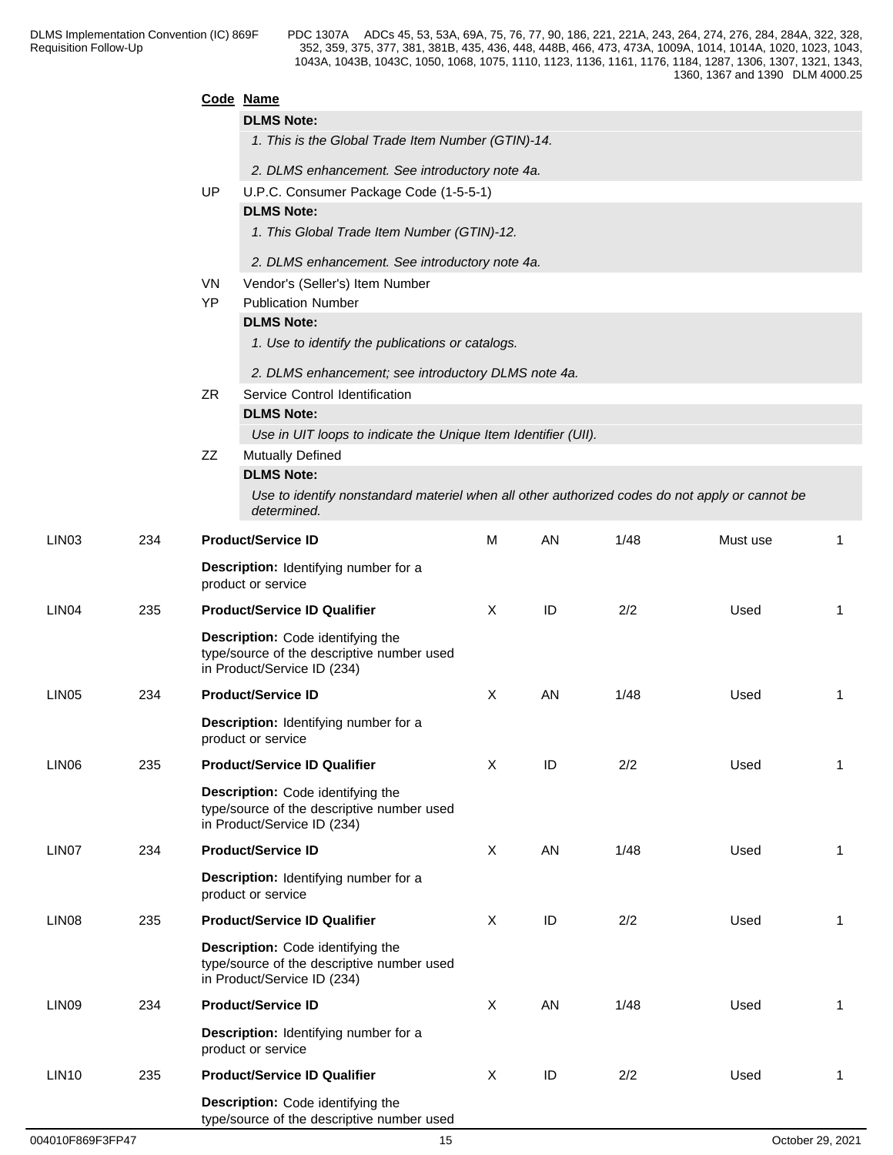|                   |     |                 | Code Name                                                                                      |              |    |      |          |                         |
|-------------------|-----|-----------------|------------------------------------------------------------------------------------------------|--------------|----|------|----------|-------------------------|
|                   |     |                 | <b>DLMS Note:</b>                                                                              |              |    |      |          |                         |
|                   |     |                 | 1. This is the Global Trade Item Number (GTIN)-14.                                             |              |    |      |          |                         |
|                   |     |                 | 2. DLMS enhancement. See introductory note 4a.                                                 |              |    |      |          |                         |
|                   |     | UP              | U.P.C. Consumer Package Code (1-5-5-1)                                                         |              |    |      |          |                         |
|                   |     |                 | <b>DLMS Note:</b>                                                                              |              |    |      |          |                         |
|                   |     |                 | 1. This Global Trade Item Number (GTIN)-12.                                                    |              |    |      |          |                         |
|                   |     |                 | 2. DLMS enhancement. See introductory note 4a.                                                 |              |    |      |          |                         |
|                   |     | VN<br><b>YP</b> | Vendor's (Seller's) Item Number<br><b>Publication Number</b>                                   |              |    |      |          |                         |
|                   |     |                 | <b>DLMS Note:</b>                                                                              |              |    |      |          |                         |
|                   |     |                 | 1. Use to identify the publications or catalogs.                                               |              |    |      |          |                         |
|                   |     |                 | 2. DLMS enhancement; see introductory DLMS note 4a.                                            |              |    |      |          |                         |
|                   |     | <b>ZR</b>       | Service Control Identification                                                                 |              |    |      |          |                         |
|                   |     |                 | <b>DLMS Note:</b>                                                                              |              |    |      |          |                         |
|                   |     |                 | Use in UIT loops to indicate the Unique Item Identifier (UII).                                 |              |    |      |          |                         |
|                   |     | ZZ              | Mutually Defined<br><b>DLMS Note:</b>                                                          |              |    |      |          |                         |
|                   |     |                 | Use to identify nonstandard materiel when all other authorized codes do not apply or cannot be |              |    |      |          |                         |
| LIN <sub>03</sub> | 234 |                 | determined.<br><b>Product/Service ID</b>                                                       | M            | AN | 1/48 | Must use | -1                      |
|                   |     |                 |                                                                                                |              |    |      |          |                         |
|                   |     |                 | Description: Identifying number for a<br>product or service                                    |              |    |      |          |                         |
| LIN <sub>04</sub> | 235 |                 | <b>Product/Service ID Qualifier</b>                                                            | X            | ID | 2/2  | Used     | $\overline{\mathbf{1}}$ |
|                   |     |                 | Description: Code identifying the<br>type/source of the descriptive number used                |              |    |      |          |                         |
|                   |     |                 | in Product/Service ID (234)                                                                    |              |    |      |          |                         |
| LIN <sub>05</sub> | 234 |                 | <b>Product/Service ID</b>                                                                      | X            | AN | 1/48 | Used     | $\overline{\mathbf{1}}$ |
|                   |     |                 | Description: Identifying number for a<br>product or service                                    |              |    |      |          |                         |
| LIN06             | 235 |                 | <b>Product/Service ID Qualifier</b>                                                            | X            | ID | 2/2  | Used     | $\overline{1}$          |
|                   |     |                 | Description: Code identifying the                                                              |              |    |      |          |                         |
|                   |     |                 | type/source of the descriptive number used                                                     |              |    |      |          |                         |
| LIN07             | 234 |                 | in Product/Service ID (234)<br><b>Product/Service ID</b>                                       | X            | AN | 1/48 | Used     | $\overline{1}$          |
|                   |     |                 |                                                                                                |              |    |      |          |                         |
|                   |     |                 | Description: Identifying number for a<br>product or service                                    |              |    |      |          |                         |
| LIN <sub>08</sub> | 235 |                 | <b>Product/Service ID Qualifier</b>                                                            | $\mathsf{X}$ | ID | 2/2  | Used     | $\overline{1}$          |
|                   |     |                 | Description: Code identifying the                                                              |              |    |      |          |                         |
|                   |     |                 | type/source of the descriptive number used<br>in Product/Service ID (234)                      |              |    |      |          |                         |
| LIN <sub>09</sub> | 234 |                 | <b>Product/Service ID</b>                                                                      | X            | AN | 1/48 | Used     | $\overline{1}$          |
|                   |     |                 | Description: Identifying number for a<br>product or service                                    |              |    |      |          |                         |
| <b>LIN10</b>      | 235 |                 | <b>Product/Service ID Qualifier</b>                                                            | X            | ID | 2/2  | Used     | $\overline{1}$          |
|                   |     |                 | Description: Code identifying the<br>type/source of the descriptive number used                |              |    |      |          |                         |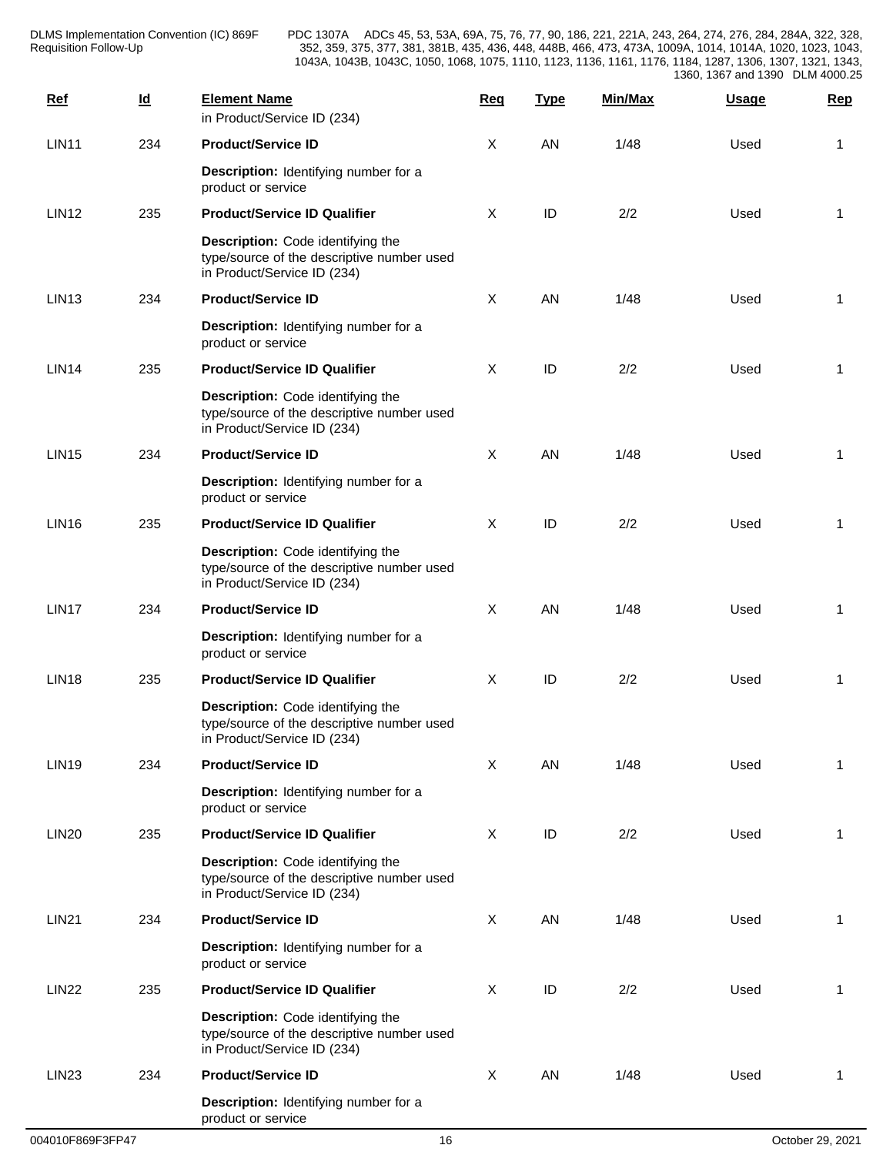| <b>Ref</b>        | $\underline{\mathsf{Id}}$ | <b>Element Name</b><br>in Product/Service ID (234)                                                             | Req          | <b>Type</b> | Min/Max | <b>Usage</b> | <b>Rep</b>     |
|-------------------|---------------------------|----------------------------------------------------------------------------------------------------------------|--------------|-------------|---------|--------------|----------------|
| LIN11             | 234                       | <b>Product/Service ID</b>                                                                                      | X            | AN          | 1/48    | Used         | 1              |
|                   |                           | Description: Identifying number for a<br>product or service                                                    |              |             |         |              |                |
| <b>LIN12</b>      | 235                       | <b>Product/Service ID Qualifier</b>                                                                            | X            | ID          | 2/2     | Used         | 1              |
|                   |                           | Description: Code identifying the<br>type/source of the descriptive number used<br>in Product/Service ID (234) |              |             |         |              |                |
| LIN <sub>13</sub> | 234                       | <b>Product/Service ID</b>                                                                                      | $\mathsf{X}$ | AN          | 1/48    | Used         | 1              |
|                   |                           | Description: Identifying number for a<br>product or service                                                    |              |             |         |              |                |
| <b>LIN14</b>      | 235                       | <b>Product/Service ID Qualifier</b>                                                                            | X            | ID          | 2/2     | Used         | 1              |
|                   |                           | Description: Code identifying the<br>type/source of the descriptive number used<br>in Product/Service ID (234) |              |             |         |              |                |
| <b>LIN15</b>      | 234                       | <b>Product/Service ID</b>                                                                                      | $\mathsf{X}$ | AN          | 1/48    | Used         | 1              |
|                   |                           | Description: Identifying number for a<br>product or service                                                    |              |             |         |              |                |
| <b>LIN16</b>      | 235                       | <b>Product/Service ID Qualifier</b>                                                                            | X            | ID          | 2/2     | Used         | 1              |
|                   |                           | Description: Code identifying the<br>type/source of the descriptive number used<br>in Product/Service ID (234) |              |             |         |              |                |
| LIN17             | 234                       | <b>Product/Service ID</b>                                                                                      | $\mathsf{X}$ | AN          | 1/48    | Used         | 1              |
|                   |                           | Description: Identifying number for a<br>product or service                                                    |              |             |         |              |                |
| <b>LIN18</b>      | 235                       | <b>Product/Service ID Qualifier</b>                                                                            | X            | ID          | 2/2     | Used         | 1              |
|                   |                           | Description: Code identifying the<br>type/source of the descriptive number used<br>in Product/Service ID (234) |              |             |         |              |                |
| <b>LIN19</b>      | 234                       | <b>Product/Service ID</b>                                                                                      | X            | AN          | 1/48    | Used         | 1              |
|                   |                           | Description: Identifying number for a<br>product or service                                                    |              |             |         |              |                |
| <b>LIN20</b>      | 235                       | <b>Product/Service ID Qualifier</b>                                                                            | X            | ID          | 2/2     | Used         | $\overline{1}$ |
|                   |                           | Description: Code identifying the<br>type/source of the descriptive number used<br>in Product/Service ID (234) |              |             |         |              |                |
| <b>LIN21</b>      | 234                       | <b>Product/Service ID</b>                                                                                      | $\mathsf{X}$ | AN          | 1/48    | Used         | -1             |
|                   |                           | Description: Identifying number for a<br>product or service                                                    |              |             |         |              |                |
| <b>LIN22</b>      | 235                       | <b>Product/Service ID Qualifier</b>                                                                            | X            | ID          | 2/2     | Used         | -1             |
|                   |                           | Description: Code identifying the<br>type/source of the descriptive number used<br>in Product/Service ID (234) |              |             |         |              |                |
| LIN <sub>23</sub> | 234                       | <b>Product/Service ID</b>                                                                                      | X            | AN          | 1/48    | Used         | -1             |
|                   |                           | Description: Identifying number for a<br>product or service                                                    |              |             |         |              |                |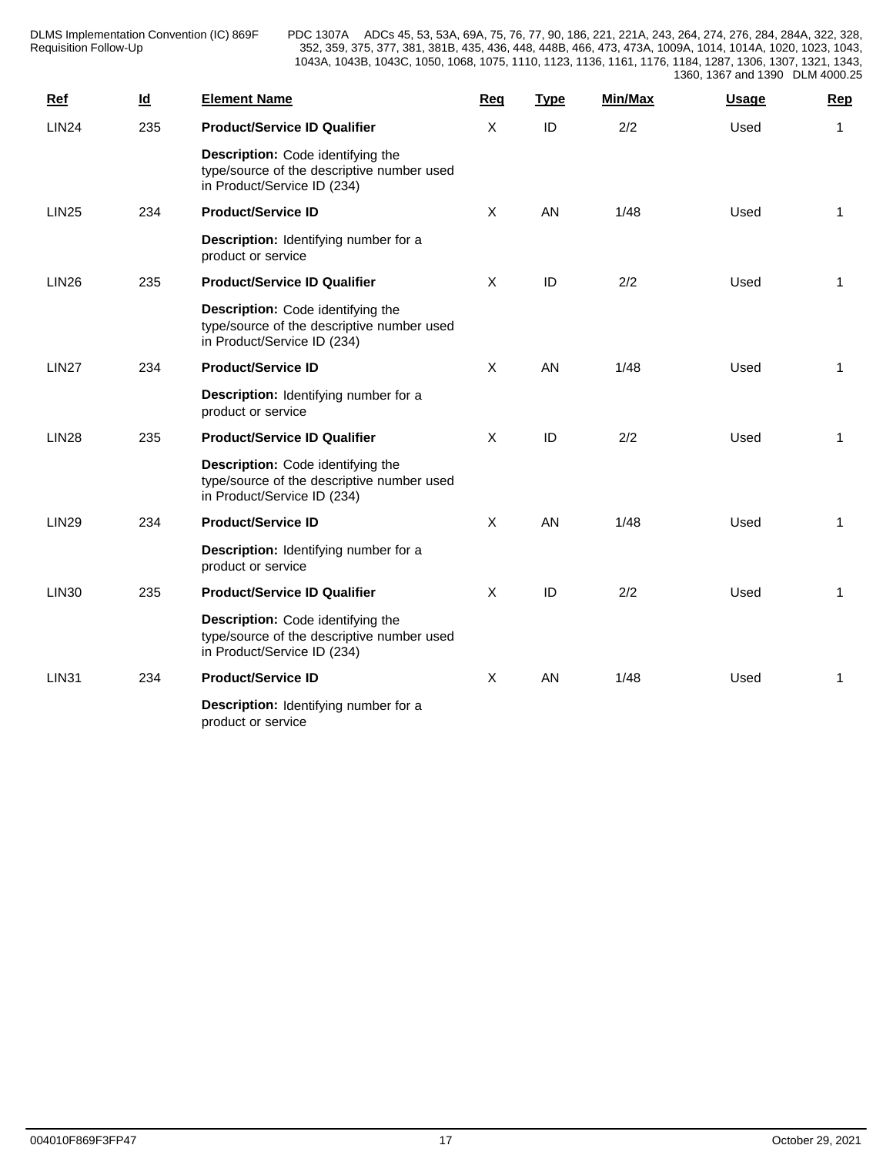| <b>Ref</b>   | $\underline{\mathsf{Id}}$ | <b>Element Name</b>                                                                                            | Req          | <b>Type</b> | Min/Max | <b>Usage</b> | Rep            |
|--------------|---------------------------|----------------------------------------------------------------------------------------------------------------|--------------|-------------|---------|--------------|----------------|
| <b>LIN24</b> | 235                       | <b>Product/Service ID Qualifier</b>                                                                            | X            | ID          | 2/2     | Used         | 1              |
|              |                           | Description: Code identifying the<br>type/source of the descriptive number used<br>in Product/Service ID (234) |              |             |         |              |                |
| <b>LIN25</b> | 234                       | <b>Product/Service ID</b>                                                                                      | $\sf X$      | AN          | 1/48    | Used         | 1              |
|              |                           | Description: Identifying number for a<br>product or service                                                    |              |             |         |              |                |
| <b>LIN26</b> | 235                       | <b>Product/Service ID Qualifier</b>                                                                            | X            | ID          | 2/2     | Used         | $\mathbf{1}$   |
|              |                           | Description: Code identifying the<br>type/source of the descriptive number used<br>in Product/Service ID (234) |              |             |         |              |                |
| <b>LIN27</b> | 234                       | <b>Product/Service ID</b>                                                                                      | $\sf X$      | AN          | 1/48    | Used         | $\overline{1}$ |
|              |                           | Description: Identifying number for a<br>product or service                                                    |              |             |         |              |                |
| <b>LIN28</b> | 235                       | <b>Product/Service ID Qualifier</b>                                                                            | $\mathsf{X}$ | ID          | 2/2     | Used         | -1             |
|              |                           | Description: Code identifying the<br>type/source of the descriptive number used<br>in Product/Service ID (234) |              |             |         |              |                |
| <b>LIN29</b> | 234                       | <b>Product/Service ID</b>                                                                                      | $\mathsf{X}$ | AN          | 1/48    | Used         | $\overline{1}$ |
|              |                           | Description: Identifying number for a<br>product or service                                                    |              |             |         |              |                |
| <b>LIN30</b> | 235                       | <b>Product/Service ID Qualifier</b>                                                                            | $\mathsf{X}$ | ID          | 2/2     | Used         | 1              |
|              |                           | Description: Code identifying the<br>type/source of the descriptive number used<br>in Product/Service ID (234) |              |             |         |              |                |
| <b>LIN31</b> | 234                       | <b>Product/Service ID</b>                                                                                      | $\mathsf{X}$ | AN          | 1/48    | Used         | $\mathbf{1}$   |
|              |                           | Description: Identifying number for a<br>product or service                                                    |              |             |         |              |                |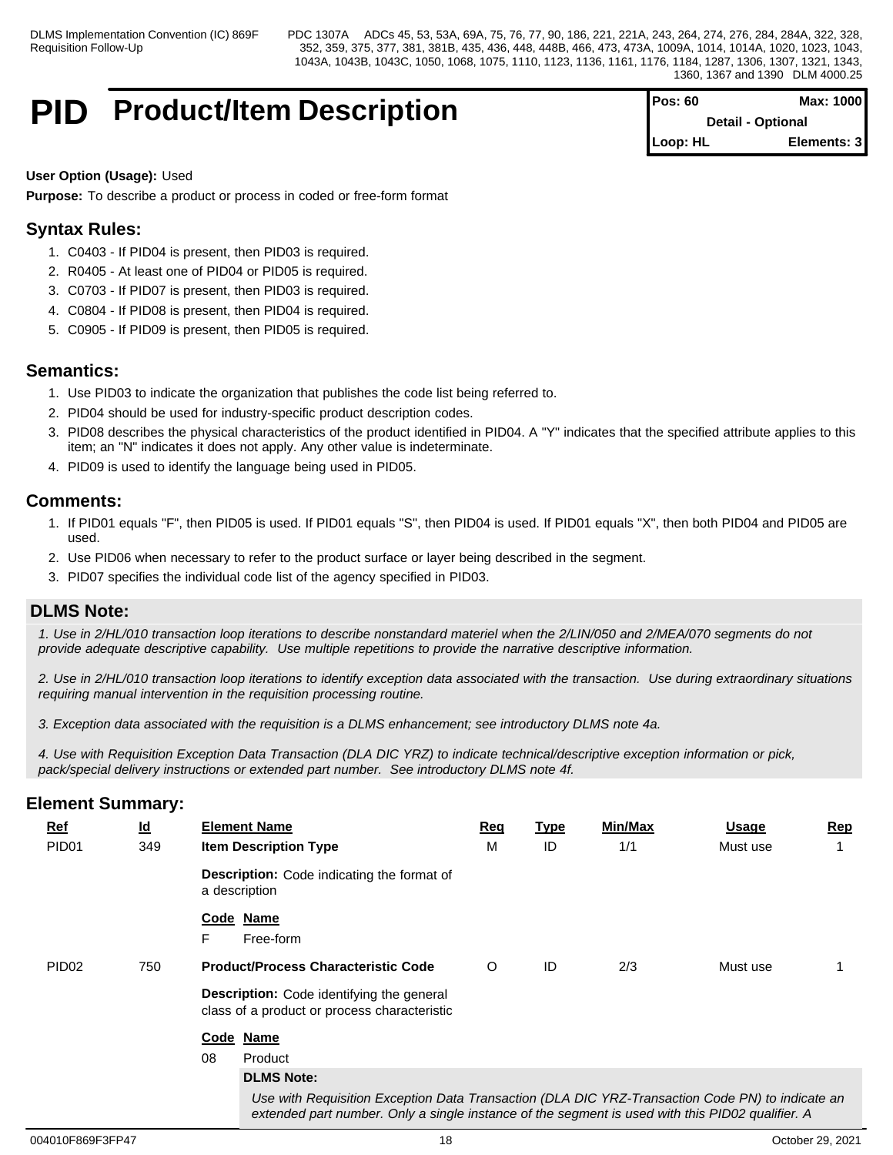# **PID** Product/Item Description

| IPos: 60 | Max: 1000                |  |
|----------|--------------------------|--|
|          | <b>Detail - Optional</b> |  |
| Loop: HL | Elements: 31             |  |

## **User Option (Usage):** Used

**Purpose:** To describe a product or process in coded or free-form format

# **Syntax Rules:**

- 1. C0403 If PID04 is present, then PID03 is required.
- 2. R0405 At least one of PID04 or PID05 is required.
- 3. C0703 If PID07 is present, then PID03 is required.
- 4. C0804 If PID08 is present, then PID04 is required.
- 5. C0905 If PID09 is present, then PID05 is required.

# **Semantics:**

- 1. Use PID03 to indicate the organization that publishes the code list being referred to.
- 2. PID04 should be used for industry-specific product description codes.
- 3. PID08 describes the physical characteristics of the product identified in PID04. A "Y" indicates that the specified attribute applies to this item; an "N" indicates it does not apply. Any other value is indeterminate.
- 4. PID09 is used to identify the language being used in PID05.

# **Comments:**

- 1. If PID01 equals "F", then PID05 is used. If PID01 equals "S", then PID04 is used. If PID01 equals "X", then both PID04 and PID05 are used.
- 2. Use PID06 when necessary to refer to the product surface or layer being described in the segment.
- 3. PID07 specifies the individual code list of the agency specified in PID03.

# **DLMS Note:**

*1. Use in 2/HL/010 transaction loop iterations to describe nonstandard materiel when the 2/LIN/050 and 2/MEA/070 segments do not provide adequate descriptive capability. Use multiple repetitions to provide the narrative descriptive information.*

*2. Use in 2/HL/010 transaction loop iterations to identify exception data associated with the transaction. Use during extraordinary situations requiring manual intervention in the requisition processing routine.*

*3. Exception data associated with the requisition is a DLMS enhancement; see introductory DLMS note 4a.* 

*4. Use with Requisition Exception Data Transaction (DLA DIC YRZ) to indicate technical/descriptive exception information or pick, pack/special delivery instructions or extended part number. See introductory DLMS note 4f.*

| $Ref$             | $\underline{\mathsf{Id}}$ | <b>Element Name</b>                                                                                                                                                                                  | Req | <b>Type</b> | Min/Max | <b>Usage</b> | <u>Rep</u> |
|-------------------|---------------------------|------------------------------------------------------------------------------------------------------------------------------------------------------------------------------------------------------|-----|-------------|---------|--------------|------------|
| PID <sub>01</sub> | 349                       | <b>Item Description Type</b>                                                                                                                                                                         | м   | ID          | 1/1     | Must use     |            |
|                   |                           | <b>Description:</b> Code indicating the format of<br>a description                                                                                                                                   |     |             |         |              |            |
|                   |                           | Code Name<br>F.<br>Free-form                                                                                                                                                                         |     |             |         |              |            |
| PID <sub>02</sub> | 750                       | <b>Product/Process Characteristic Code</b>                                                                                                                                                           | O   | ID          | 2/3     | Must use     |            |
|                   |                           | <b>Description:</b> Code identifying the general<br>class of a product or process characteristic                                                                                                     |     |             |         |              |            |
|                   |                           | Code Name                                                                                                                                                                                            |     |             |         |              |            |
|                   |                           | 08<br>Product                                                                                                                                                                                        |     |             |         |              |            |
|                   |                           | <b>DLMS Note:</b>                                                                                                                                                                                    |     |             |         |              |            |
|                   |                           | Use with Requisition Exception Data Transaction (DLA DIC YRZ-Transaction Code PN) to indicate an<br>extended part number. Only a single instance of the segment is used with this PID02 qualifier. A |     |             |         |              |            |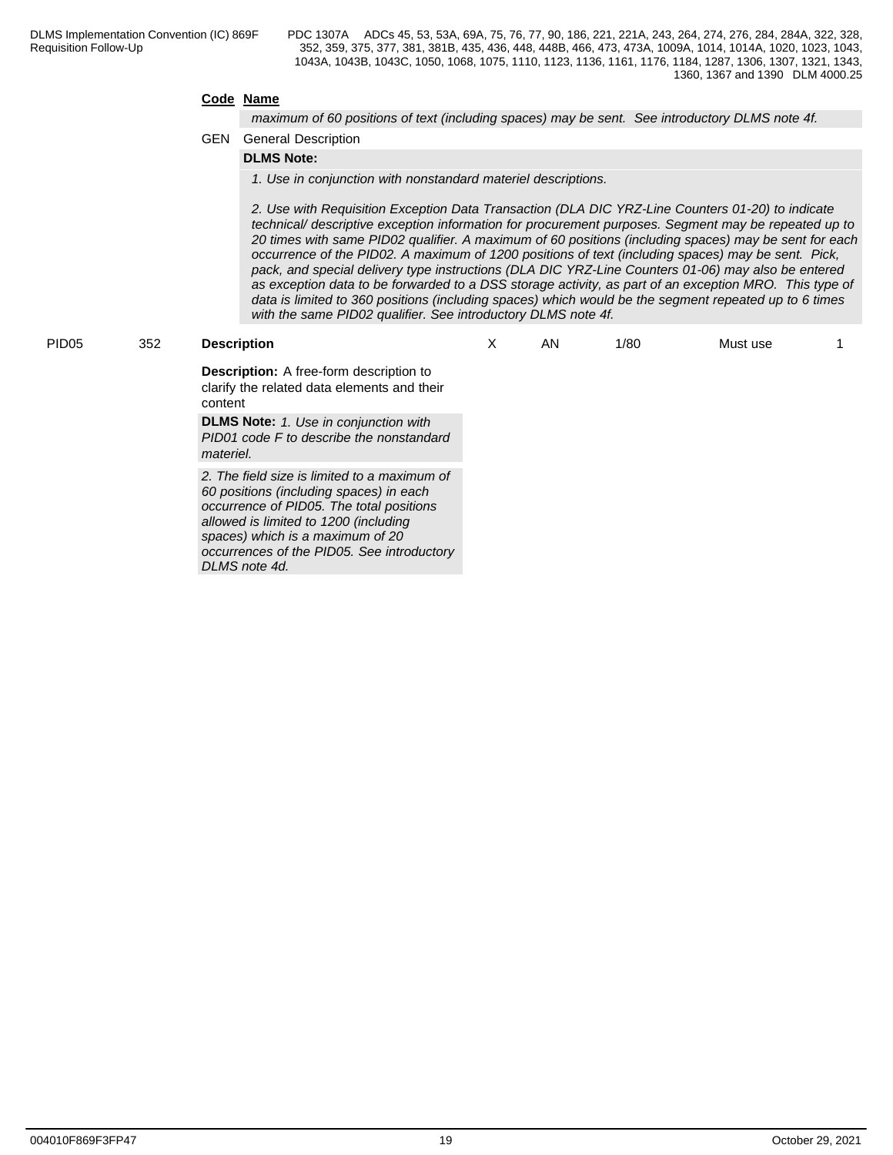## **Code Name**

*maximum of 60 positions of text (including spaces) may be sent. See introductory DLMS note 4f.*

## GEN General Description

# **DLMS Note:**

*1. Use in conjunction with nonstandard materiel descriptions.*

*2. Use with Requisition Exception Data Transaction (DLA DIC YRZ-Line Counters 01-20) to indicate technical/ descriptive exception information for procurement purposes. Segment may be repeated up to 20 times with same PID02 qualifier. A maximum of 60 positions (including spaces) may be sent for each occurrence of the PID02. A maximum of 1200 positions of text (including spaces) may be sent. Pick, pack, and special delivery type instructions (DLA DIC YRZ-Line Counters 01-06) may also be entered as exception data to be forwarded to a DSS storage activity, as part of an exception MRO. This type of data is limited to 360 positions (including spaces) which would be the segment repeated up to 6 times with the same PID02 qualifier. See introductory DLMS note 4f.*

### PID05 352 **Description**

X AN 1/80 Must use 1

**Description:** A free-form description to clarify the related data elements and their content

**DLMS Note:** *1. Use in conjunction with PID01 code F to describe the nonstandard materiel.*

*2. The field size is limited to a maximum of 60 positions (including spaces) in each occurrence of PID05. The total positions allowed is limited to 1200 (including spaces) which is a maximum of 20 occurrences of the PID05. See introductory DLMS note 4d.*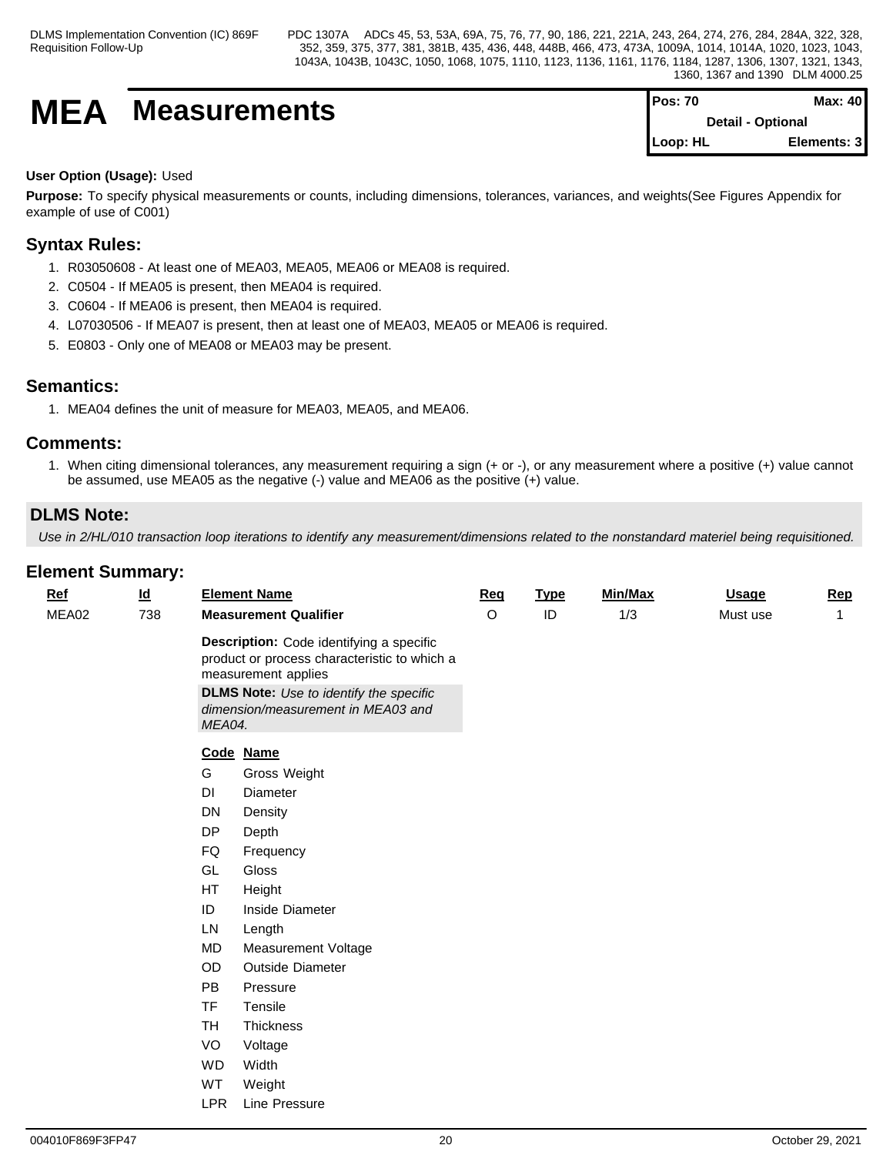# **MEA** Measurements

| IPos: 70                 | Max: $401$  |  |
|--------------------------|-------------|--|
| <b>Detail - Optional</b> |             |  |
| <b>ILoop: HL</b>         | Elements: 3 |  |

## **User Option (Usage):** Used

**Purpose:** To specify physical measurements or counts, including dimensions, tolerances, variances, and weights(See Figures Appendix for example of use of C001)

# **Syntax Rules:**

- 1. R03050608 At least one of MEA03, MEA05, MEA06 or MEA08 is required.
- 2. C0504 If MEA05 is present, then MEA04 is required.
- 3. C0604 If MEA06 is present, then MEA04 is required.
- 4. L07030506 If MEA07 is present, then at least one of MEA03, MEA05 or MEA06 is required.
- 5. E0803 Only one of MEA08 or MEA03 may be present.

## **Semantics:**

1. MEA04 defines the unit of measure for MEA03, MEA05, and MEA06.

## **Comments:**

1. When citing dimensional tolerances, any measurement requiring a sign (+ or -), or any measurement where a positive (+) value cannot be assumed, use MEA05 as the negative (-) value and MEA06 as the positive (+) value.

# **DLMS Note:**

*Use in 2/HL/010 transaction loop iterations to identify any measurement/dimensions related to the nonstandard materiel being requisitioned.*

| $Ref$ | $\underline{\mathsf{Id}}$ |            | <b>Element Name</b>                                                                                                                                                                                     | <b>Req</b> | <b>Type</b> | Min/Max | <b>Usage</b> | Rep          |
|-------|---------------------------|------------|---------------------------------------------------------------------------------------------------------------------------------------------------------------------------------------------------------|------------|-------------|---------|--------------|--------------|
| MEA02 | 738                       |            | <b>Measurement Qualifier</b>                                                                                                                                                                            | O          | $\sf ID$    | 1/3     | Must use     | $\mathbf{1}$ |
|       |                           | MEA04.     | Description: Code identifying a specific<br>product or process characteristic to which a<br>measurement applies<br><b>DLMS Note:</b> Use to identify the specific<br>dimension/measurement in MEA03 and |            |             |         |              |              |
|       |                           |            | Code Name                                                                                                                                                                                               |            |             |         |              |              |
|       |                           | G          | Gross Weight                                                                                                                                                                                            |            |             |         |              |              |
|       |                           | DI         | Diameter                                                                                                                                                                                                |            |             |         |              |              |
|       |                           | DN         | Density                                                                                                                                                                                                 |            |             |         |              |              |
|       |                           | DP         | Depth                                                                                                                                                                                                   |            |             |         |              |              |
|       |                           | FQ         | Frequency                                                                                                                                                                                               |            |             |         |              |              |
|       |                           | GL         | Gloss                                                                                                                                                                                                   |            |             |         |              |              |
|       |                           | HT         | Height                                                                                                                                                                                                  |            |             |         |              |              |
|       |                           | ID         | Inside Diameter                                                                                                                                                                                         |            |             |         |              |              |
|       |                           | LN         | Length                                                                                                                                                                                                  |            |             |         |              |              |
|       |                           | <b>MD</b>  | Measurement Voltage                                                                                                                                                                                     |            |             |         |              |              |
|       |                           | OD         | Outside Diameter                                                                                                                                                                                        |            |             |         |              |              |
|       |                           | <b>PB</b>  | Pressure                                                                                                                                                                                                |            |             |         |              |              |
|       |                           | <b>TF</b>  | Tensile                                                                                                                                                                                                 |            |             |         |              |              |
|       |                           | <b>TH</b>  | Thickness                                                                                                                                                                                               |            |             |         |              |              |
|       |                           | VO         | Voltage                                                                                                                                                                                                 |            |             |         |              |              |
|       |                           | <b>WD</b>  | Width                                                                                                                                                                                                   |            |             |         |              |              |
|       |                           | WT         | Weight                                                                                                                                                                                                  |            |             |         |              |              |
|       |                           | <b>LPR</b> | Line Pressure                                                                                                                                                                                           |            |             |         |              |              |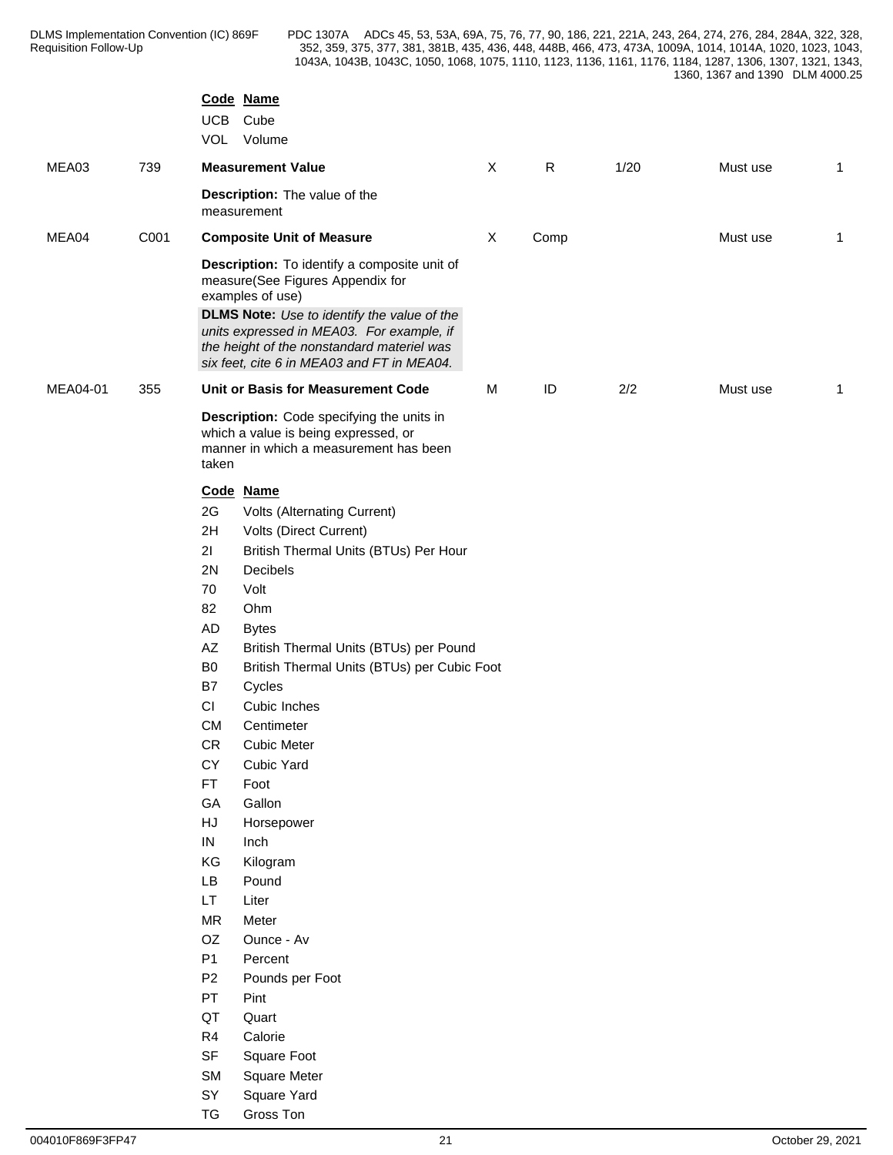|          |      | UCB                     | Code Name<br>Cube<br>VOL Volume                                                                                                                                                                                                                                                                     |              |           |      |          |              |
|----------|------|-------------------------|-----------------------------------------------------------------------------------------------------------------------------------------------------------------------------------------------------------------------------------------------------------------------------------------------------|--------------|-----------|------|----------|--------------|
| MEA03    | 739  |                         | <b>Measurement Value</b>                                                                                                                                                                                                                                                                            | $\mathsf{X}$ | ${\sf R}$ | 1/20 | Must use | $\mathbf{1}$ |
|          |      |                         | Description: The value of the<br>measurement                                                                                                                                                                                                                                                        |              |           |      |          |              |
| MEA04    | C001 |                         | <b>Composite Unit of Measure</b>                                                                                                                                                                                                                                                                    | X            | Comp      |      | Must use | $\mathbf{1}$ |
|          |      |                         | Description: To identify a composite unit of<br>measure(See Figures Appendix for<br>examples of use)<br><b>DLMS Note:</b> Use to identify the value of the<br>units expressed in MEA03. For example, if<br>the height of the nonstandard materiel was<br>six feet, cite 6 in MEA03 and FT in MEA04. |              |           |      |          |              |
| MEA04-01 | 355  |                         | Unit or Basis for Measurement Code                                                                                                                                                                                                                                                                  | M            | ID        | 2/2  | Must use | $\mathbf{1}$ |
|          |      | taken                   | Description: Code specifying the units in<br>which a value is being expressed, or<br>manner in which a measurement has been                                                                                                                                                                         |              |           |      |          |              |
|          |      | 2G<br>2H<br>21          | Code Name<br>Volts (Alternating Current)<br>Volts (Direct Current)<br>British Thermal Units (BTUs) Per Hour                                                                                                                                                                                         |              |           |      |          |              |
|          |      | 2N                      | Decibels                                                                                                                                                                                                                                                                                            |              |           |      |          |              |
|          |      | 70                      | Volt                                                                                                                                                                                                                                                                                                |              |           |      |          |              |
|          |      | 82                      | Ohm                                                                                                                                                                                                                                                                                                 |              |           |      |          |              |
|          |      | AD                      | <b>Bytes</b>                                                                                                                                                                                                                                                                                        |              |           |      |          |              |
|          |      | $\mathsf{A}\mathsf{Z}$  | British Thermal Units (BTUs) per Pound                                                                                                                                                                                                                                                              |              |           |      |          |              |
|          |      | B <sub>0</sub>          | British Thermal Units (BTUs) per Cubic Foot                                                                                                                                                                                                                                                         |              |           |      |          |              |
|          |      | B7                      | Cycles                                                                                                                                                                                                                                                                                              |              |           |      |          |              |
|          |      | CI                      | Cubic Inches                                                                                                                                                                                                                                                                                        |              |           |      |          |              |
|          |      | <b>CM</b><br>${\sf CR}$ | Centimeter<br><b>Cubic Meter</b>                                                                                                                                                                                                                                                                    |              |           |      |          |              |
|          |      | CY                      | Cubic Yard                                                                                                                                                                                                                                                                                          |              |           |      |          |              |
|          |      | FT                      | Foot                                                                                                                                                                                                                                                                                                |              |           |      |          |              |
|          |      | GA                      | Gallon                                                                                                                                                                                                                                                                                              |              |           |      |          |              |
|          |      | HJ                      | Horsepower                                                                                                                                                                                                                                                                                          |              |           |      |          |              |
|          |      | IN                      | Inch                                                                                                                                                                                                                                                                                                |              |           |      |          |              |
|          |      | KG                      | Kilogram                                                                                                                                                                                                                                                                                            |              |           |      |          |              |
|          |      | LB                      | Pound                                                                                                                                                                                                                                                                                               |              |           |      |          |              |
|          |      | LT.                     | Liter                                                                                                                                                                                                                                                                                               |              |           |      |          |              |
|          |      | MR                      | Meter                                                                                                                                                                                                                                                                                               |              |           |      |          |              |
|          |      | OZ<br><b>P1</b>         | Ounce - Av<br>Percent                                                                                                                                                                                                                                                                               |              |           |      |          |              |
|          |      | P <sub>2</sub>          | Pounds per Foot                                                                                                                                                                                                                                                                                     |              |           |      |          |              |
|          |      | PT                      | Pint                                                                                                                                                                                                                                                                                                |              |           |      |          |              |
|          |      | QT                      | Quart                                                                                                                                                                                                                                                                                               |              |           |      |          |              |
|          |      | R <sub>4</sub>          | Calorie                                                                                                                                                                                                                                                                                             |              |           |      |          |              |
|          |      | SF                      | Square Foot                                                                                                                                                                                                                                                                                         |              |           |      |          |              |
|          |      | <b>SM</b>               | Square Meter                                                                                                                                                                                                                                                                                        |              |           |      |          |              |
|          |      | SY                      | Square Yard                                                                                                                                                                                                                                                                                         |              |           |      |          |              |
|          |      | ${\tt TG}$              | Gross Ton                                                                                                                                                                                                                                                                                           |              |           |      |          |              |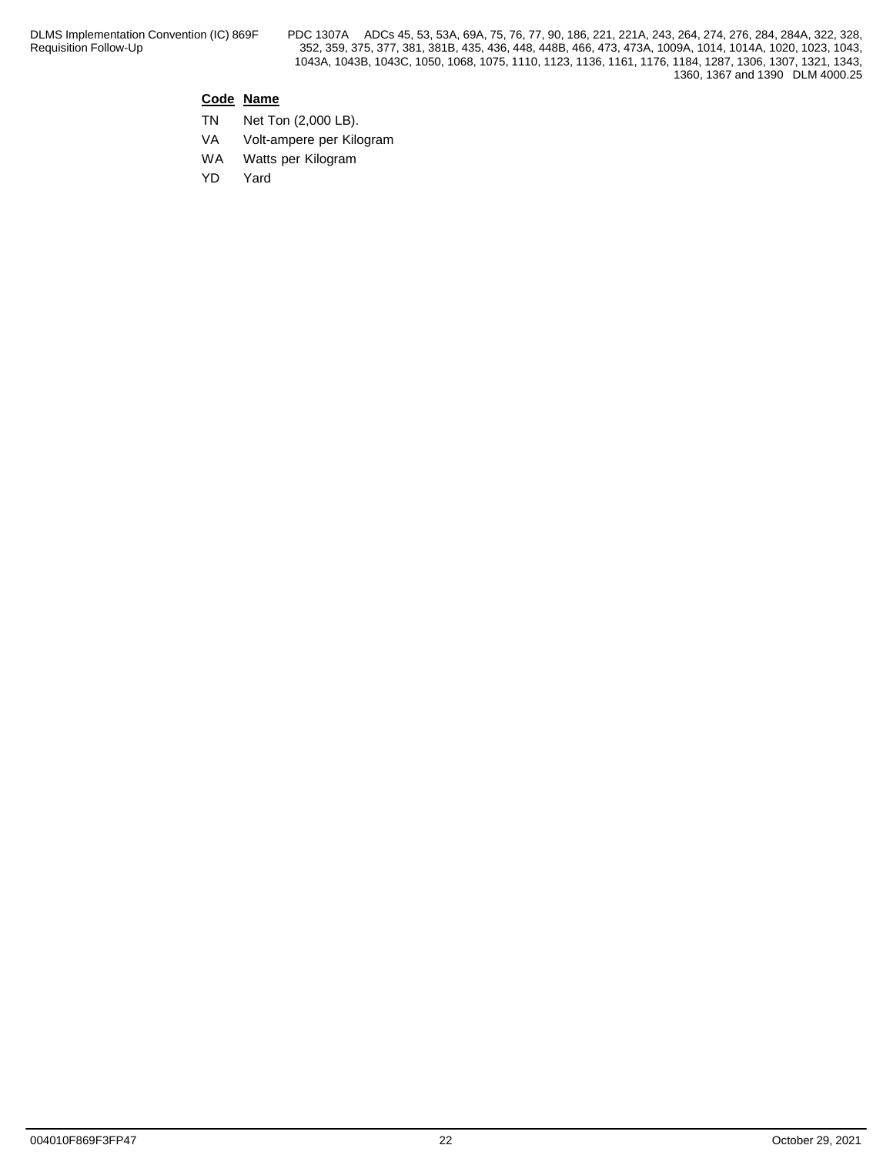## **Code Name**

- TN Net Ton (2,000 LB).
- VA Volt-ampere per Kilogram
- WA Watts per Kilogram
- YD Yard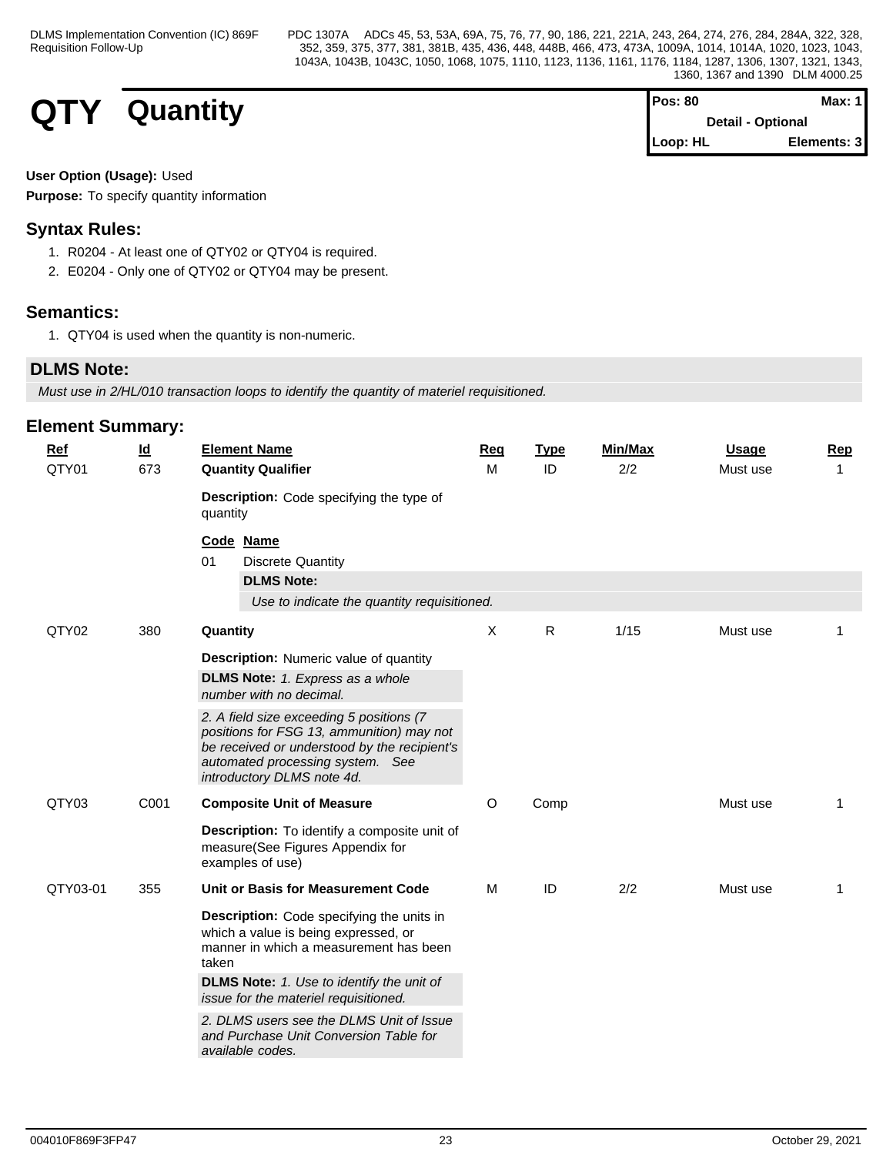# **QTY Quantity**

| IPos: 80                 | Max: 1      |  |
|--------------------------|-------------|--|
| <b>Detail - Optional</b> |             |  |
| <b>ILoop: HL</b>         | Elements: 3 |  |

## **User Option (Usage):** Used

**Purpose:** To specify quantity information

# **Syntax Rules:**

- 1. R0204 At least one of QTY02 or QTY04 is required.
- 2. E0204 Only one of QTY02 or QTY04 may be present.

# **Semantics:**

1. QTY04 is used when the quantity is non-numeric.

# **DLMS Note:**

*Must use in 2/HL/010 transaction loops to identify the quantity of materiel requisitioned.*

| <b>Ref</b> | $\underline{\mathsf{Id}}$ | <b>Element Name</b>                                                                                                                                                                                                        | Req      | <b>Type</b> | Min/Max | <b>Usage</b> | Rep         |
|------------|---------------------------|----------------------------------------------------------------------------------------------------------------------------------------------------------------------------------------------------------------------------|----------|-------------|---------|--------------|-------------|
| QTY01      | 673                       | <b>Quantity Qualifier</b>                                                                                                                                                                                                  | м        | ID          | 2/2     | Must use     | 1           |
|            |                           | Description: Code specifying the type of<br>quantity                                                                                                                                                                       |          |             |         |              |             |
|            |                           | Code Name<br>01<br><b>Discrete Quantity</b><br><b>DLMS Note:</b>                                                                                                                                                           |          |             |         |              |             |
|            |                           | Use to indicate the quantity requisitioned.                                                                                                                                                                                |          |             |         |              |             |
| QTY02      | 380                       | Quantity                                                                                                                                                                                                                   | X        | R           | 1/15    | Must use     | 1           |
|            |                           | <b>Description:</b> Numeric value of quantity<br><b>DLMS Note:</b> 1. Express as a whole<br>number with no decimal.                                                                                                        |          |             |         |              |             |
|            |                           | 2. A field size exceeding 5 positions (7<br>positions for FSG 13, ammunition) may not<br>be received or understood by the recipient's<br>automated processing system. See<br>introductory DLMS note 4d.                    |          |             |         |              |             |
| QTY03      | C001                      | <b>Composite Unit of Measure</b>                                                                                                                                                                                           | $\Omega$ | Comp        |         | Must use     | $\mathbf 1$ |
|            |                           | <b>Description:</b> To identify a composite unit of<br>measure(See Figures Appendix for<br>examples of use)                                                                                                                |          |             |         |              |             |
| QTY03-01   | 355                       | Unit or Basis for Measurement Code                                                                                                                                                                                         | М        | ID          | 2/2     | Must use     | 1           |
|            |                           | Description: Code specifying the units in<br>which a value is being expressed, or<br>manner in which a measurement has been<br>taken<br>DLMS Note: 1. Use to identify the unit of<br>issue for the materiel requisitioned. |          |             |         |              |             |
|            |                           | 2. DLMS users see the DLMS Unit of Issue<br>and Purchase Unit Conversion Table for<br>available codes.                                                                                                                     |          |             |         |              |             |
|            |                           |                                                                                                                                                                                                                            |          |             |         |              |             |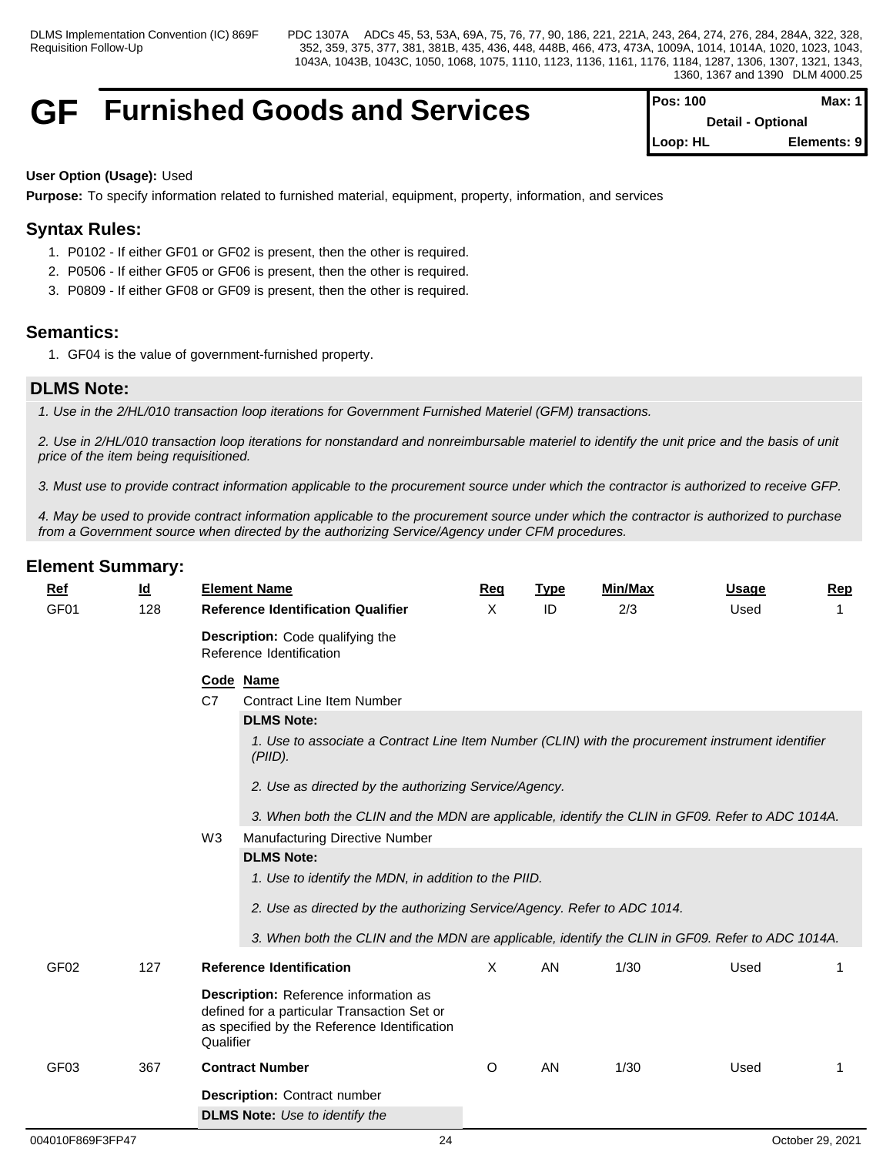# **GF Furnished Goods and Services Pos: 100 Max: 1**

| <b>IPos: 100</b>         | Max: $1$    |  |
|--------------------------|-------------|--|
| <b>Detail - Optional</b> |             |  |
| $Loop: HL$               | Elements: 9 |  |

## **User Option (Usage):** Used

**Purpose:** To specify information related to furnished material, equipment, property, information, and services

# **Syntax Rules:**

- 1. P0102 If either GF01 or GF02 is present, then the other is required.
- 2. P0506 If either GF05 or GF06 is present, then the other is required.
- 3. P0809 If either GF08 or GF09 is present, then the other is required.

## **Semantics:**

1. GF04 is the value of government-furnished property.

# **DLMS Note:**

*1. Use in the 2/HL/010 transaction loop iterations for Government Furnished Materiel (GFM) transactions.* 

*2. Use in 2/HL/010 transaction loop iterations for nonstandard and nonreimbursable materiel to identify the unit price and the basis of unit price of the item being requisitioned.*

*3. Must use to provide contract information applicable to the procurement source under which the contractor is authorized to receive GFP.* 

*4. May be used to provide contract information applicable to the procurement source under which the contractor is authorized to purchase from a Government source when directed by the authorizing Service/Agency under CFM procedures.*

| Ref              | $\underline{\mathsf{Id}}$ | <b>Element Name</b>                                                                                                                                      | <b>Reg</b>   | <b>Type</b> | <b>Min/Max</b> | <b>Usage</b> | <b>Rep</b>  |
|------------------|---------------------------|----------------------------------------------------------------------------------------------------------------------------------------------------------|--------------|-------------|----------------|--------------|-------------|
| GF <sub>01</sub> | 128                       | <b>Reference Identification Qualifier</b>                                                                                                                | X            | ID          | 2/3            | Used         |             |
|                  |                           | <b>Description:</b> Code qualifying the<br>Reference Identification                                                                                      |              |             |                |              |             |
|                  |                           | Code Name                                                                                                                                                |              |             |                |              |             |
|                  |                           | C7<br><b>Contract Line Item Number</b>                                                                                                                   |              |             |                |              |             |
|                  |                           | <b>DLMS Note:</b>                                                                                                                                        |              |             |                |              |             |
|                  |                           | 1. Use to associate a Contract Line Item Number (CLIN) with the procurement instrument identifier<br>(PIID).                                             |              |             |                |              |             |
|                  |                           | 2. Use as directed by the authorizing Service/Agency.                                                                                                    |              |             |                |              |             |
|                  |                           | 3. When both the CLIN and the MDN are applicable, identify the CLIN in GF09. Refer to ADC 1014A.                                                         |              |             |                |              |             |
|                  |                           | W <sub>3</sub><br>Manufacturing Directive Number                                                                                                         |              |             |                |              |             |
|                  |                           | <b>DLMS Note:</b>                                                                                                                                        |              |             |                |              |             |
|                  |                           | 1. Use to identify the MDN, in addition to the PIID.                                                                                                     |              |             |                |              |             |
|                  |                           | 2. Use as directed by the authorizing Service/Agency. Refer to ADC 1014.                                                                                 |              |             |                |              |             |
|                  |                           |                                                                                                                                                          |              |             |                |              |             |
|                  |                           | 3. When both the CLIN and the MDN are applicable, identify the CLIN in GF09. Refer to ADC 1014A.                                                         |              |             |                |              |             |
| GF <sub>02</sub> | 127                       | <b>Reference Identification</b>                                                                                                                          | $\mathsf{X}$ | AN          | 1/30           | Used         | $\mathbf 1$ |
|                  |                           | <b>Description:</b> Reference information as<br>defined for a particular Transaction Set or<br>as specified by the Reference Identification<br>Qualifier |              |             |                |              |             |
| GF <sub>03</sub> | 367                       | <b>Contract Number</b>                                                                                                                                   | O            | AN          | 1/30           | Used         | 1           |
|                  |                           | <b>Description: Contract number</b>                                                                                                                      |              |             |                |              |             |
|                  |                           | <b>DLMS Note:</b> Use to identify the                                                                                                                    |              |             |                |              |             |
|                  |                           |                                                                                                                                                          |              |             |                |              |             |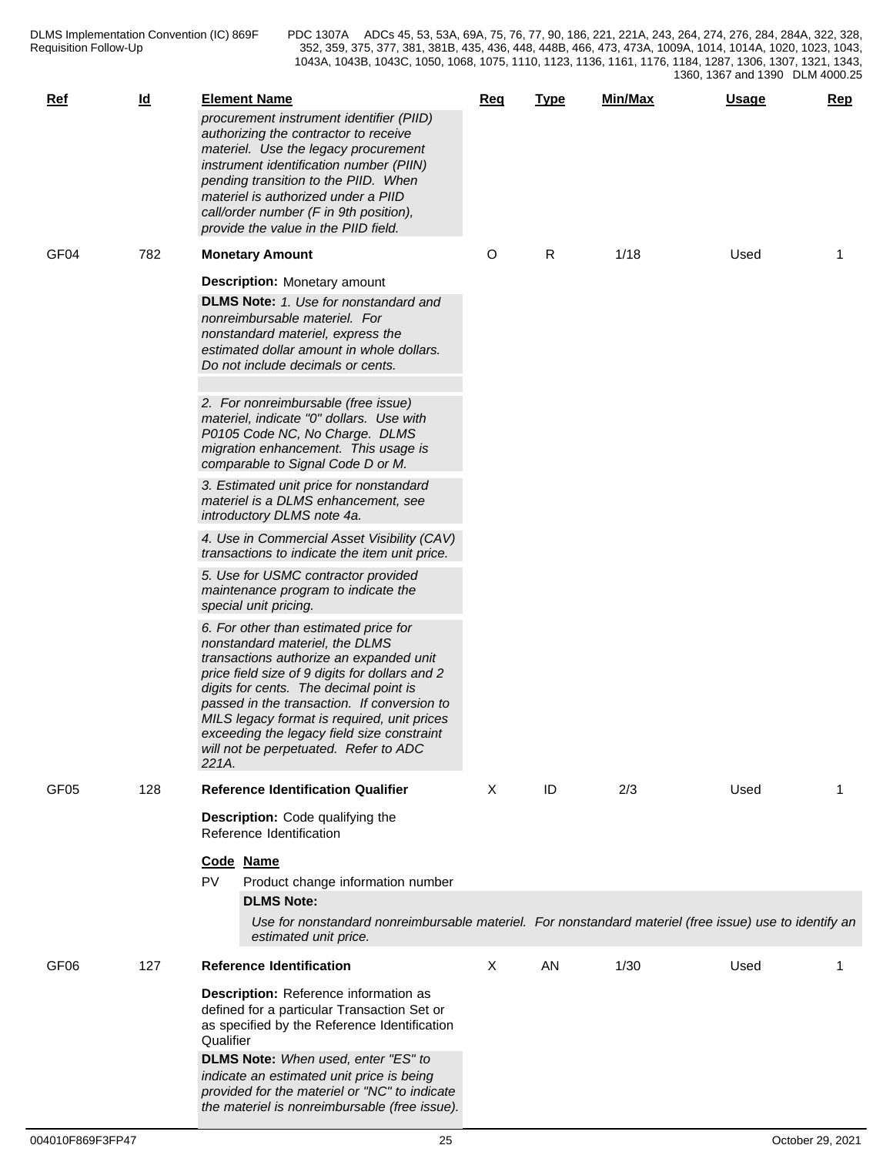| $Ref$            | $\underline{\mathsf{Id}}$ | <b>Element Name</b><br>procurement instrument identifier (PIID)<br>authorizing the contractor to receive<br>materiel. Use the legacy procurement<br>instrument identification number (PIIN)<br>pending transition to the PIID. When<br>materiel is authorized under a PIID<br>call/order number (F in 9th position),<br>provide the value in the PIID field.                                                 | Req | <b>Type</b> | Min/Max | <b>Usage</b> | <b>Rep</b> |
|------------------|---------------------------|--------------------------------------------------------------------------------------------------------------------------------------------------------------------------------------------------------------------------------------------------------------------------------------------------------------------------------------------------------------------------------------------------------------|-----|-------------|---------|--------------|------------|
| GF <sub>04</sub> | 782                       | <b>Monetary Amount</b>                                                                                                                                                                                                                                                                                                                                                                                       | O   | R           | 1/18    | Used         | -1         |
|                  |                           | <b>Description:</b> Monetary amount<br><b>DLMS Note:</b> 1. Use for nonstandard and<br>nonreimbursable materiel. For<br>nonstandard materiel, express the<br>estimated dollar amount in whole dollars.<br>Do not include decimals or cents.                                                                                                                                                                  |     |             |         |              |            |
|                  |                           | 2. For nonreimbursable (free issue)<br>materiel, indicate "0" dollars. Use with<br>P0105 Code NC, No Charge. DLMS<br>migration enhancement. This usage is<br>comparable to Signal Code D or M.                                                                                                                                                                                                               |     |             |         |              |            |
|                  |                           | 3. Estimated unit price for nonstandard<br>materiel is a DLMS enhancement, see<br>introductory DLMS note 4a.                                                                                                                                                                                                                                                                                                 |     |             |         |              |            |
|                  |                           | 4. Use in Commercial Asset Visibility (CAV)<br>transactions to indicate the item unit price.                                                                                                                                                                                                                                                                                                                 |     |             |         |              |            |
|                  |                           | 5. Use for USMC contractor provided<br>maintenance program to indicate the<br>special unit pricing.                                                                                                                                                                                                                                                                                                          |     |             |         |              |            |
|                  |                           | 6. For other than estimated price for<br>nonstandard materiel, the DLMS<br>transactions authorize an expanded unit<br>price field size of 9 digits for dollars and 2<br>digits for cents. The decimal point is<br>passed in the transaction. If conversion to<br>MILS legacy format is required, unit prices<br>exceeding the legacy field size constraint<br>will not be perpetuated. Refer to ADC<br>221A. |     |             |         |              |            |
| GF <sub>05</sub> | 128                       | <b>Reference Identification Qualifier</b>                                                                                                                                                                                                                                                                                                                                                                    | X   | ID          | 2/3     | Used         | 1          |
|                  |                           | Description: Code qualifying the<br>Reference Identification<br>Code Name                                                                                                                                                                                                                                                                                                                                    |     |             |         |              |            |
|                  |                           | PV<br>Product change information number<br><b>DLMS Note:</b>                                                                                                                                                                                                                                                                                                                                                 |     |             |         |              |            |
|                  |                           | Use for nonstandard nonreimbursable materiel. For nonstandard materiel (free issue) use to identify an<br>estimated unit price.                                                                                                                                                                                                                                                                              |     |             |         |              |            |
| GF <sub>06</sub> | 127                       | <b>Reference Identification</b>                                                                                                                                                                                                                                                                                                                                                                              | X   | AN          | 1/30    | Used         |            |
|                  |                           | Description: Reference information as<br>defined for a particular Transaction Set or<br>as specified by the Reference Identification<br>Qualifier<br>DLMS Note: When used, enter "ES" to<br>indicate an estimated unit price is being<br>provided for the materiel or "NC" to indicate<br>the materiel is nonreimbursable (free issue).                                                                      |     |             |         |              |            |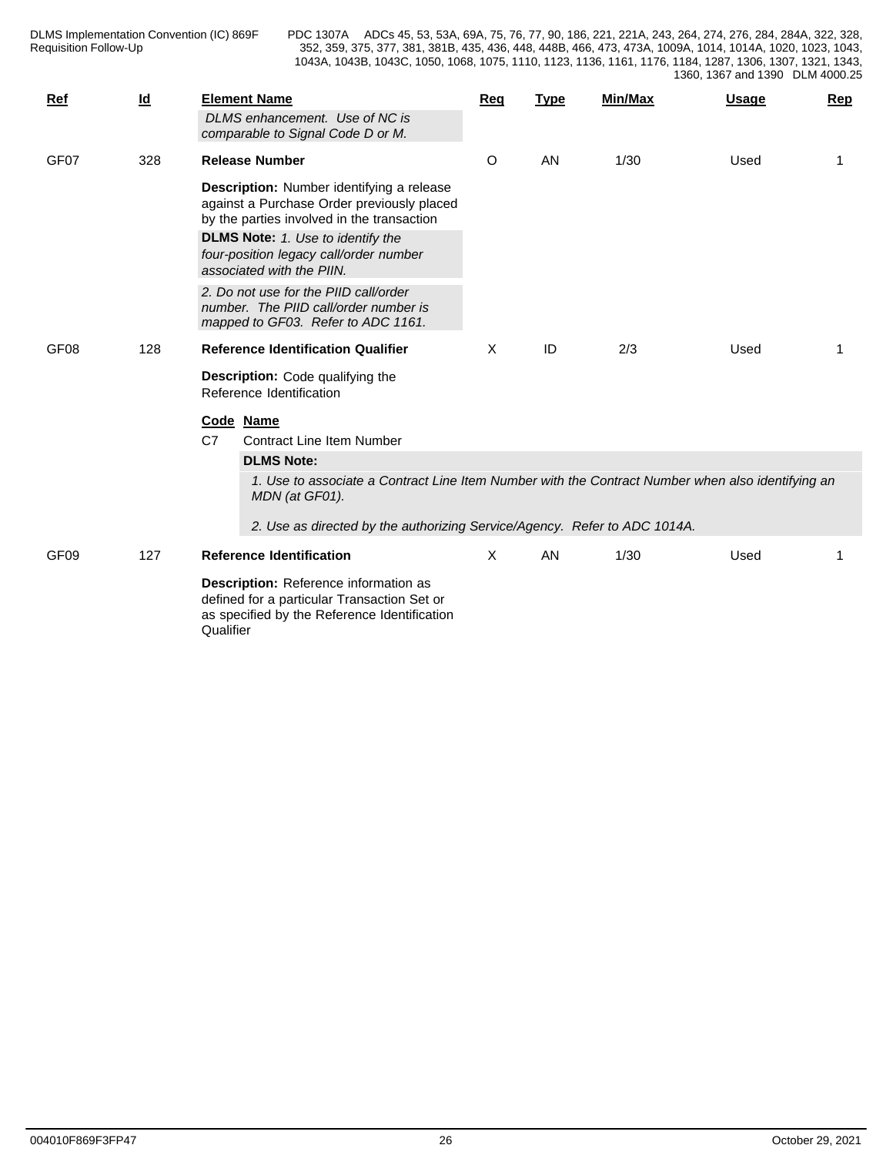| <b>Ref</b>       | $\underline{\mathsf{Id}}$ | <b>Element Name</b><br>DLMS enhancement. Use of NC is<br>comparable to Signal Code D or M.                                                                                                                                                                                   | Req | <b>Type</b> | Min/Max | <b>Usage</b> | Rep |  |  |  |
|------------------|---------------------------|------------------------------------------------------------------------------------------------------------------------------------------------------------------------------------------------------------------------------------------------------------------------------|-----|-------------|---------|--------------|-----|--|--|--|
| GF07             | 328                       | <b>Release Number</b><br>Description: Number identifying a release<br>against a Purchase Order previously placed<br>by the parties involved in the transaction                                                                                                               | O   | AN          | 1/30    | Used         |     |  |  |  |
|                  |                           | <b>DLMS Note:</b> 1. Use to identify the<br>four-position legacy call/order number<br>associated with the PIIN.                                                                                                                                                              |     |             |         |              |     |  |  |  |
|                  |                           | 2. Do not use for the PIID call/order<br>number. The PIID call/order number is<br>mapped to GF03. Refer to ADC 1161.                                                                                                                                                         |     |             |         |              |     |  |  |  |
| GF08             | 128                       | <b>Reference Identification Qualifier</b>                                                                                                                                                                                                                                    | X   | ID          | 2/3     | Used         |     |  |  |  |
|                  |                           | <b>Description:</b> Code qualifying the<br>Reference Identification                                                                                                                                                                                                          |     |             |         |              |     |  |  |  |
|                  |                           | Code Name<br>C7<br><b>Contract Line Item Number</b><br><b>DLMS Note:</b><br>1. Use to associate a Contract Line Item Number with the Contract Number when also identifying an<br>MDN (at GF01).<br>2. Use as directed by the authorizing Service/Agency. Refer to ADC 1014A. |     |             |         |              |     |  |  |  |
| GF <sub>09</sub> | 127                       | <b>Reference Identification</b>                                                                                                                                                                                                                                              | X.  | AN          | 1/30    | Used         |     |  |  |  |
|                  |                           | Description: Reference information as<br>defined for a particular Transaction Set or<br>as specified by the Reference Identification<br>Qualifier                                                                                                                            |     |             |         |              |     |  |  |  |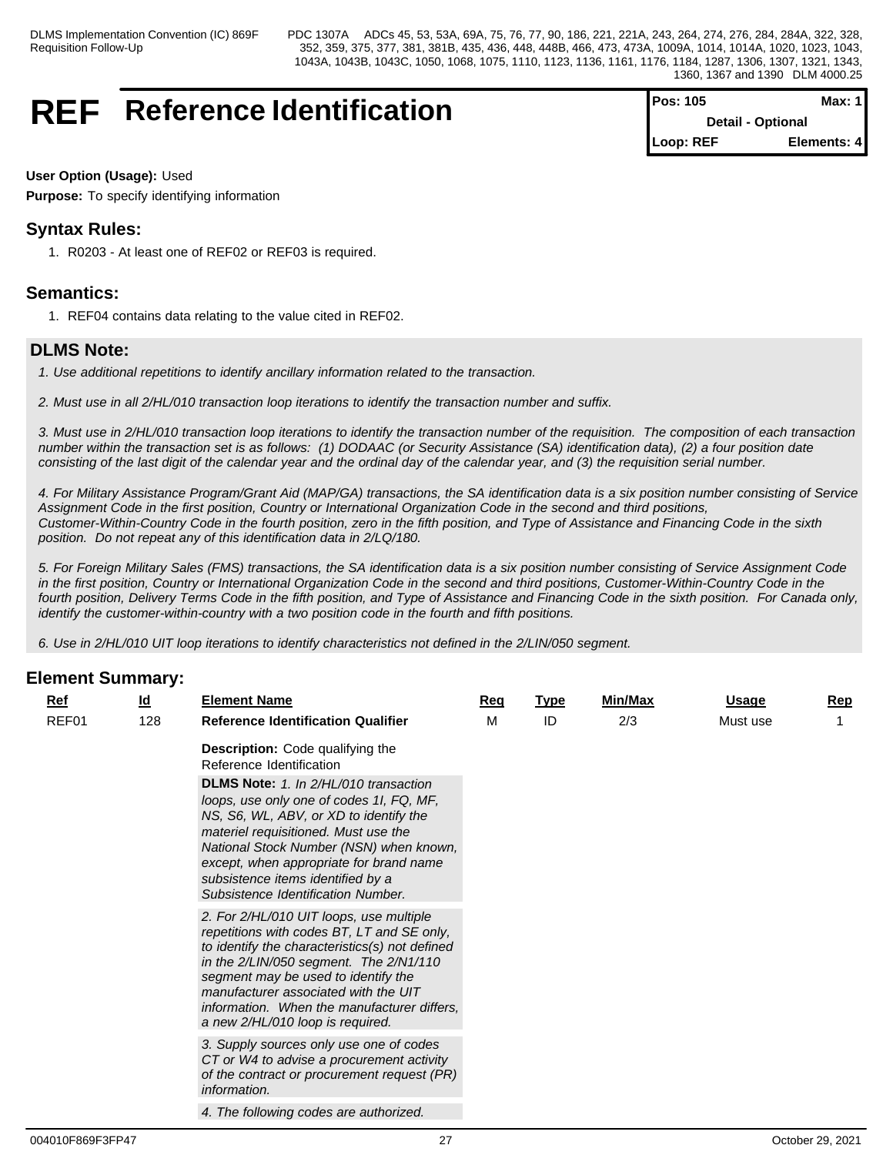# **REF** Reference Identification

| <b>Pos: 105</b> | Max: $1$                 |
|-----------------|--------------------------|
|                 | <b>Detail - Optional</b> |
| Loop: REF       | Elements: 4              |

## **User Option (Usage):** Used

**Purpose:** To specify identifying information

# **Syntax Rules:**

1. R0203 - At least one of REF02 or REF03 is required.

# **Semantics:**

1. REF04 contains data relating to the value cited in REF02.

# **DLMS Note:**

- *1. Use additional repetitions to identify ancillary information related to the transaction.*
- *2. Must use in all 2/HL/010 transaction loop iterations to identify the transaction number and suffix.*

*3. Must use in 2/HL/010 transaction loop iterations to identify the transaction number of the requisition. The composition of each transaction number within the transaction set is as follows: (1) DODAAC (or Security Assistance (SA) identification data), (2) a four position date consisting of the last digit of the calendar year and the ordinal day of the calendar year, and (3) the requisition serial number.*

*4. For Military Assistance Program/Grant Aid (MAP/GA) transactions, the SA identification data is a six position number consisting of Service Assignment Code in the first position, Country or International Organization Code in the second and third positions, Customer-Within-Country Code in the fourth position, zero in the fifth position, and Type of Assistance and Financing Code in the sixth position. Do not repeat any of this identification data in 2/LQ/180.*

*5. For Foreign Military Sales (FMS) transactions, the SA identification data is a six position number consisting of Service Assignment Code in the first position, Country or International Organization Code in the second and third positions, Customer-Within-Country Code in the fourth position, Delivery Terms Code in the fifth position, and Type of Assistance and Financing Code in the sixth position. For Canada only, identify the customer-within-country with a two position code in the fourth and fifth positions.*

*6. Use in 2/HL/010 UIT loop iterations to identify characteristics not defined in the 2/LIN/050 segment.*

| $Ref$ | $\underline{\mathsf{Id}}$ | <b>Element Name</b>                                                                                                                                                                                                                                                                                                                                     | <b>Req</b> | <b>Type</b> | Min/Max | <u>Usage</u> | <u>Rep</u> |
|-------|---------------------------|---------------------------------------------------------------------------------------------------------------------------------------------------------------------------------------------------------------------------------------------------------------------------------------------------------------------------------------------------------|------------|-------------|---------|--------------|------------|
| REF01 | 128                       | <b>Reference Identification Qualifier</b>                                                                                                                                                                                                                                                                                                               | M          | ID          | 2/3     | Must use     |            |
|       |                           | Description: Code qualifying the<br>Reference Identification                                                                                                                                                                                                                                                                                            |            |             |         |              |            |
|       |                           | <b>DLMS Note:</b> 1. In 2/HL/010 transaction<br>loops, use only one of codes 1I, FQ, MF,<br>NS, S6, WL, ABV, or XD to identify the<br>materiel requisitioned. Must use the<br>National Stock Number (NSN) when known,<br>except, when appropriate for brand name<br>subsistence items identified by a<br>Subsistence Identification Number.             |            |             |         |              |            |
|       |                           | 2. For 2/HL/010 UIT loops, use multiple<br>repetitions with codes BT, LT and SE only,<br>to identify the characteristics(s) not defined<br>in the $2/LIN/050$ segment. The $2/N1/110$<br>segment may be used to identify the<br>manufacturer associated with the UIT<br>information. When the manufacturer differs,<br>a new 2/HL/010 loop is required. |            |             |         |              |            |
|       |                           | 3. Supply sources only use one of codes<br>CT or W4 to advise a procurement activity<br>of the contract or procurement request (PR)<br>information.                                                                                                                                                                                                     |            |             |         |              |            |
|       |                           | 4. The following codes are authorized.                                                                                                                                                                                                                                                                                                                  |            |             |         |              |            |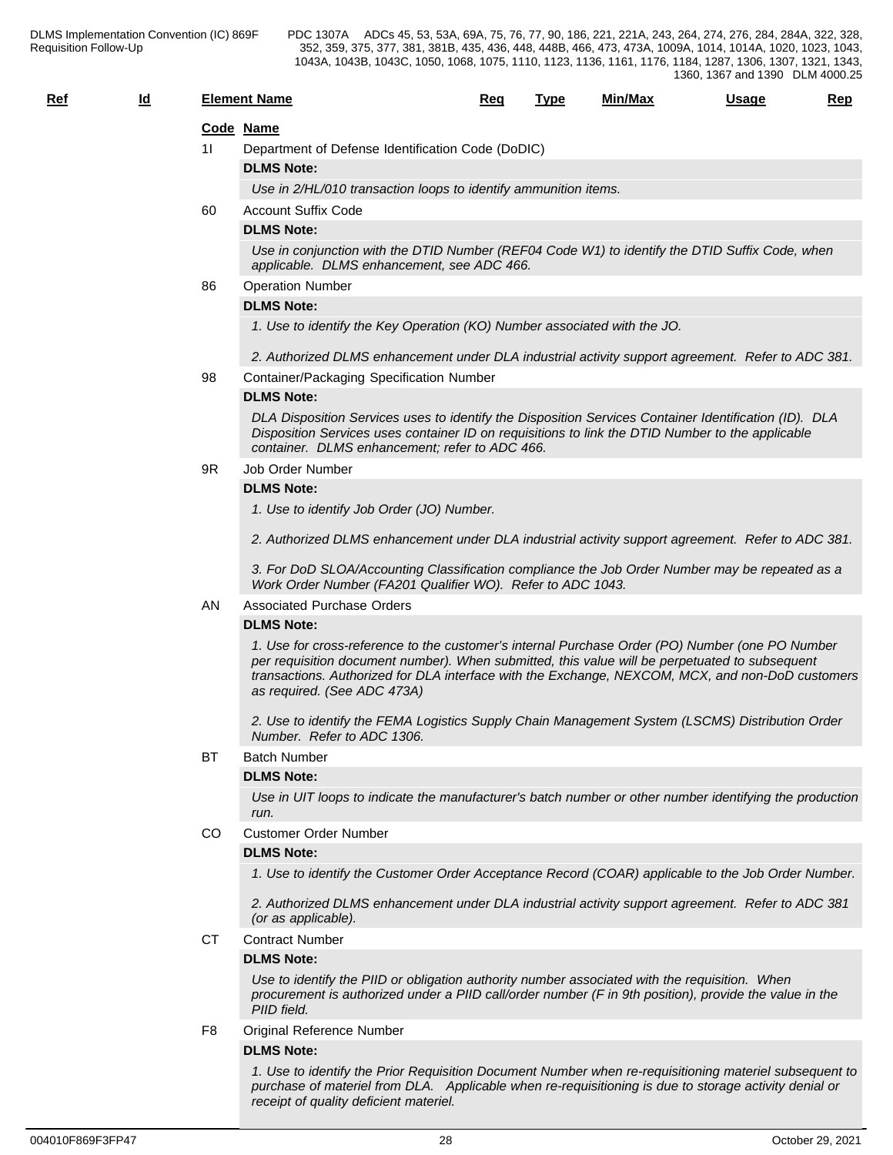| $Ref$ | Id |     | <b>Element Name</b>                                                                                                                                                                                                                                                                                                                  | Req | <b>Type</b> | Min/Max | <b>Usage</b> | Rep |
|-------|----|-----|--------------------------------------------------------------------------------------------------------------------------------------------------------------------------------------------------------------------------------------------------------------------------------------------------------------------------------------|-----|-------------|---------|--------------|-----|
|       |    |     | Code Name                                                                                                                                                                                                                                                                                                                            |     |             |         |              |     |
|       |    | 11  | Department of Defense Identification Code (DoDIC)                                                                                                                                                                                                                                                                                    |     |             |         |              |     |
|       |    |     | <b>DLMS Note:</b>                                                                                                                                                                                                                                                                                                                    |     |             |         |              |     |
|       |    |     | Use in 2/HL/010 transaction loops to identify ammunition items.                                                                                                                                                                                                                                                                      |     |             |         |              |     |
|       |    | 60  | <b>Account Suffix Code</b>                                                                                                                                                                                                                                                                                                           |     |             |         |              |     |
|       |    |     | <b>DLMS Note:</b>                                                                                                                                                                                                                                                                                                                    |     |             |         |              |     |
|       |    |     | Use in conjunction with the DTID Number (REF04 Code W1) to identify the DTID Suffix Code, when<br>applicable. DLMS enhancement, see ADC 466.                                                                                                                                                                                         |     |             |         |              |     |
|       |    | 86  | <b>Operation Number</b>                                                                                                                                                                                                                                                                                                              |     |             |         |              |     |
|       |    |     | <b>DLMS Note:</b>                                                                                                                                                                                                                                                                                                                    |     |             |         |              |     |
|       |    |     | 1. Use to identify the Key Operation (KO) Number associated with the JO.                                                                                                                                                                                                                                                             |     |             |         |              |     |
|       |    |     | 2. Authorized DLMS enhancement under DLA industrial activity support agreement. Refer to ADC 381.                                                                                                                                                                                                                                    |     |             |         |              |     |
|       |    | 98  | Container/Packaging Specification Number                                                                                                                                                                                                                                                                                             |     |             |         |              |     |
|       |    |     | <b>DLMS Note:</b>                                                                                                                                                                                                                                                                                                                    |     |             |         |              |     |
|       |    | 9R. | DLA Disposition Services uses to identify the Disposition Services Container Identification (ID). DLA<br>Disposition Services uses container ID on requisitions to link the DTID Number to the applicable<br>container. DLMS enhancement; refer to ADC 466.                                                                          |     |             |         |              |     |
|       |    |     | Job Order Number                                                                                                                                                                                                                                                                                                                     |     |             |         |              |     |
|       |    |     | <b>DLMS Note:</b>                                                                                                                                                                                                                                                                                                                    |     |             |         |              |     |
|       |    |     | 1. Use to identify Job Order (JO) Number.                                                                                                                                                                                                                                                                                            |     |             |         |              |     |
|       |    |     | 2. Authorized DLMS enhancement under DLA industrial activity support agreement. Refer to ADC 381.                                                                                                                                                                                                                                    |     |             |         |              |     |
|       |    |     | 3. For DoD SLOA/Accounting Classification compliance the Job Order Number may be repeated as a<br>Work Order Number (FA201 Qualifier WO). Refer to ADC 1043.                                                                                                                                                                         |     |             |         |              |     |
|       |    | AN  | <b>Associated Purchase Orders</b>                                                                                                                                                                                                                                                                                                    |     |             |         |              |     |
|       |    |     | <b>DLMS Note:</b>                                                                                                                                                                                                                                                                                                                    |     |             |         |              |     |
|       |    |     | 1. Use for cross-reference to the customer's internal Purchase Order (PO) Number (one PO Number<br>per requisition document number). When submitted, this value will be perpetuated to subsequent<br>transactions. Authorized for DLA interface with the Exchange, NEXCOM, MCX, and non-DoD customers<br>as required. (See ADC 473A) |     |             |         |              |     |
|       |    |     | 2. Use to identify the FEMA Logistics Supply Chain Management System (LSCMS) Distribution Order<br>Number. Refer to ADC 1306.                                                                                                                                                                                                        |     |             |         |              |     |
|       |    | ВT  | <b>Batch Number</b>                                                                                                                                                                                                                                                                                                                  |     |             |         |              |     |
|       |    |     | <b>DLMS Note:</b>                                                                                                                                                                                                                                                                                                                    |     |             |         |              |     |
|       |    |     | Use in UIT loops to indicate the manufacturer's batch number or other number identifying the production<br>run.                                                                                                                                                                                                                      |     |             |         |              |     |
|       |    |     | <b>Customer Order Number</b>                                                                                                                                                                                                                                                                                                         |     |             |         |              |     |
|       |    | CO  |                                                                                                                                                                                                                                                                                                                                      |     |             |         |              |     |
|       |    |     | <b>DLMS Note:</b>                                                                                                                                                                                                                                                                                                                    |     |             |         |              |     |
|       |    |     | 1. Use to identify the Customer Order Acceptance Record (COAR) applicable to the Job Order Number.                                                                                                                                                                                                                                   |     |             |         |              |     |
|       |    |     | 2. Authorized DLMS enhancement under DLA industrial activity support agreement. Refer to ADC 381<br>(or as applicable).                                                                                                                                                                                                              |     |             |         |              |     |
|       |    | CТ  | <b>Contract Number</b>                                                                                                                                                                                                                                                                                                               |     |             |         |              |     |
|       |    |     | <b>DLMS Note:</b>                                                                                                                                                                                                                                                                                                                    |     |             |         |              |     |
|       |    |     | Use to identify the PIID or obligation authority number associated with the requisition. When<br>procurement is authorized under a PIID call/order number (F in 9th position), provide the value in the<br>PIID field.                                                                                                               |     |             |         |              |     |
|       |    | F8  | Original Reference Number                                                                                                                                                                                                                                                                                                            |     |             |         |              |     |
|       |    |     | <b>DLMS Note:</b>                                                                                                                                                                                                                                                                                                                    |     |             |         |              |     |

*1. Use to identify the Prior Requisition Document Number when re-requisitioning materiel subsequent to purchase of materiel from DLA. Applicable when re-requisitioning is due to storage activity denial or receipt of quality deficient materiel.*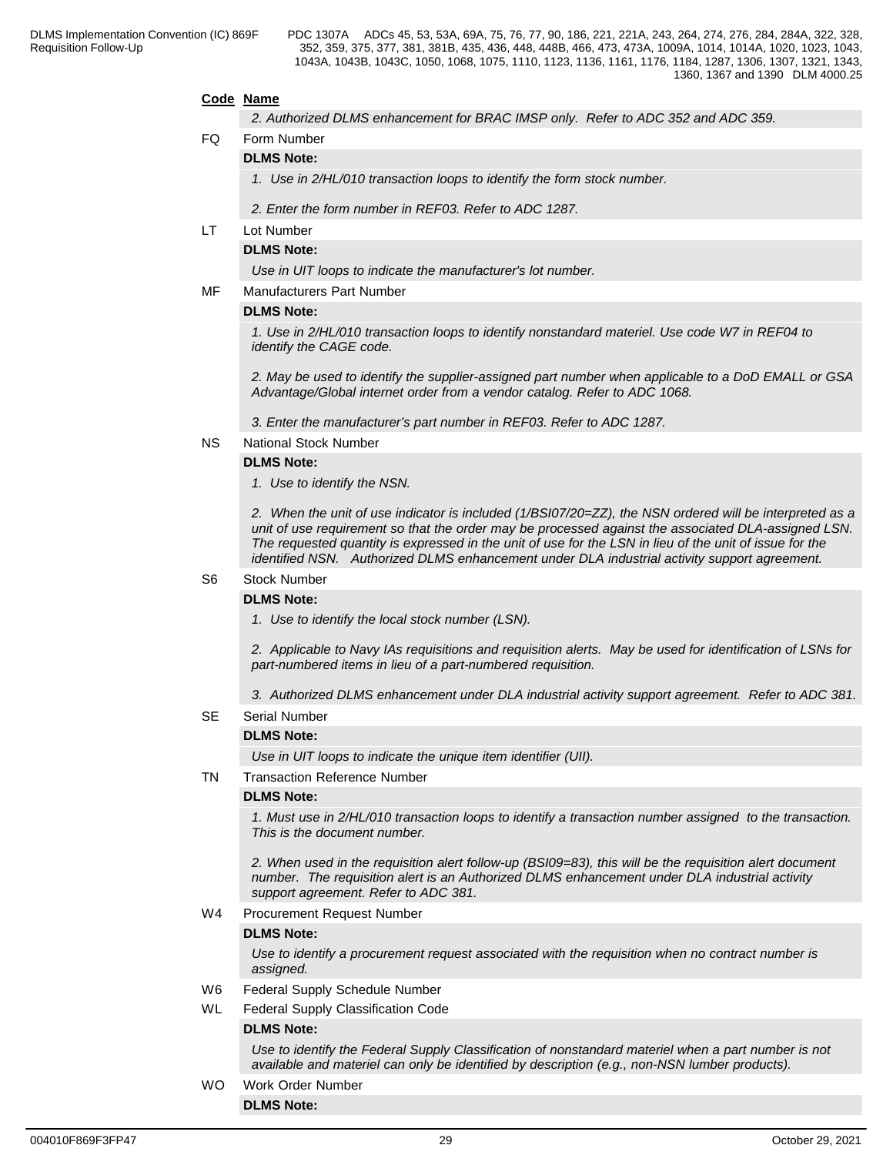## **Code Name**

*2. Authorized DLMS enhancement for BRAC IMSP only. Refer to ADC 352 and ADC 359.*

### FQ Form Number

## **DLMS Note:**

*1. Use in 2/HL/010 transaction loops to identify the form stock number.*

*2. Enter the form number in REF03. Refer to ADC 1287.*

LT Lot Number

## **DLMS Note:**

*Use in UIT loops to indicate the manufacturer's lot number.*

MF Manufacturers Part Number

#### **DLMS Note:**

*1. Use in 2/HL/010 transaction loops to identify nonstandard materiel. Use code W7 in REF04 to identify the CAGE code.*

*2. May be used to identify the supplier-assigned part number when applicable to a DoD EMALL or GSA Advantage/Global internet order from a vendor catalog. Refer to ADC 1068.*

*3. Enter the manufacturer's part number in REF03. Refer to ADC 1287.*

NS National Stock Number

#### **DLMS Note:**

*1. Use to identify the NSN.* 

*2. When the unit of use indicator is included (1/BSI07/20=ZZ), the NSN ordered will be interpreted as a unit of use requirement so that the order may be processed against the associated DLA-assigned LSN. The requested quantity is expressed in the unit of use for the LSN in lieu of the unit of issue for the identified NSN. Authorized DLMS enhancement under DLA industrial activity support agreement.*

## S6 Stock Number

### **DLMS Note:**

*1. Use to identify the local stock number (LSN).* 

*2. Applicable to Navy IAs requisitions and requisition alerts. May be used for identification of LSNs for part-numbered items in lieu of a part-numbered requisition.*

*3. Authorized DLMS enhancement under DLA industrial activity support agreement. Refer to ADC 381.*

### SE Serial Number

### **DLMS Note:**

*Use in UIT loops to indicate the unique item identifier (UII).*

## TN Transaction Reference Number

### **DLMS Note:**

*1. Must use in 2/HL/010 transaction loops to identify a transaction number assigned to the transaction. This is the document number.*

*2. When used in the requisition alert follow-up (BSI09=83), this will be the requisition alert document number. The requisition alert is an Authorized DLMS enhancement under DLA industrial activity support agreement. Refer to ADC 381.*

W4 Procurement Request Number

#### **DLMS Note:**

*Use to identify a procurement request associated with the requisition when no contract number is assigned.*

- W6 Federal Supply Schedule Number
- WL Federal Supply Classification Code

## **DLMS Note:**

*Use to identify the Federal Supply Classification of nonstandard materiel when a part number is not available and materiel can only be identified by description (e.g., non-NSN lumber products).*

## WO Work Order Number

**DLMS Note:**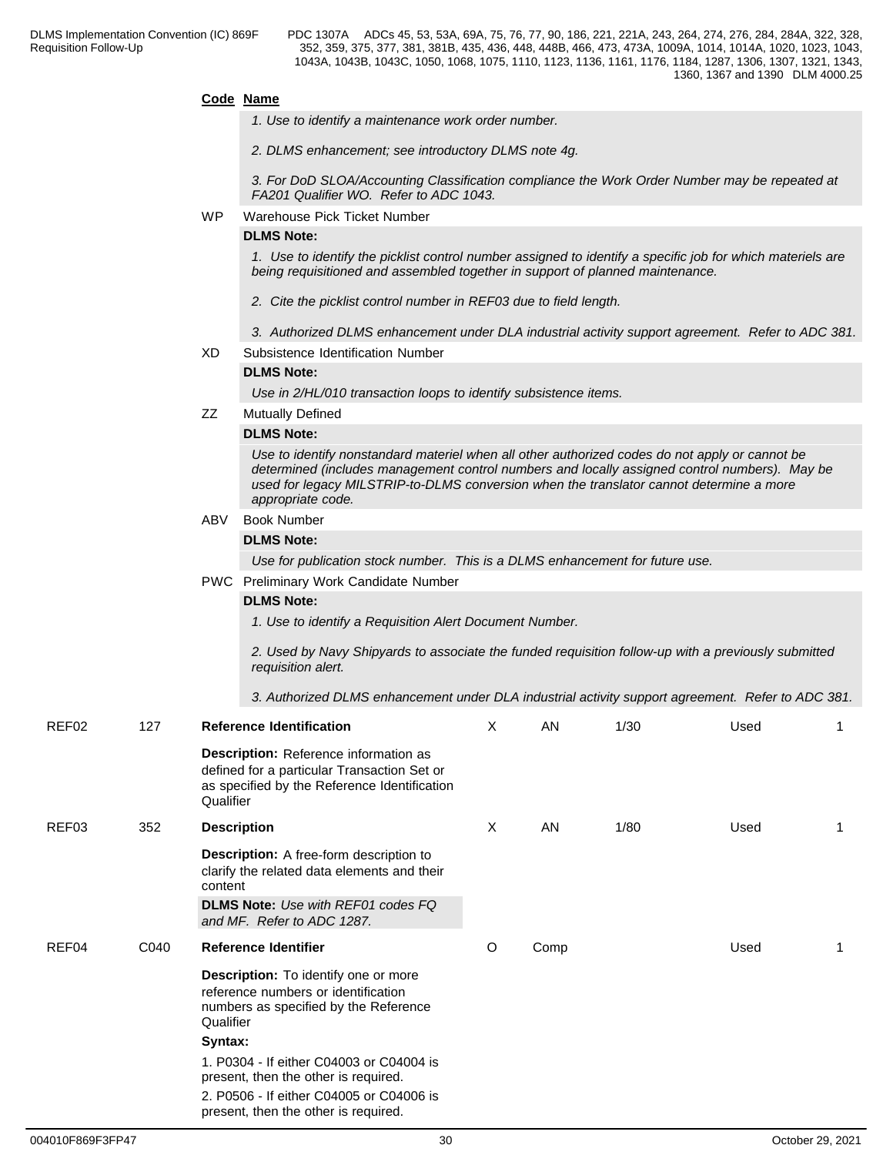## **Code Name**

- *1. Use to identify a maintenance work order number.*
- *2. DLMS enhancement; see introductory DLMS note 4g.*

*3. For DoD SLOA/Accounting Classification compliance the Work Order Number may be repeated at FA201 Qualifier WO. Refer to ADC 1043.*

WP Warehouse Pick Ticket Number

### **DLMS Note:**

*1. Use to identify the picklist control number assigned to identify a specific job for which materiels are being requisitioned and assembled together in support of planned maintenance.* 

- *2. Cite the picklist control number in REF03 due to field length.*
- *3. Authorized DLMS enhancement under DLA industrial activity support agreement. Refer to ADC 381.*
- XD Subsistence Identification Number

## **DLMS Note:**

*Use in 2/HL/010 transaction loops to identify subsistence items.*

ZZ Mutually Defined

## **DLMS Note:**

*Use to identify nonstandard materiel when all other authorized codes do not apply or cannot be determined (includes management control numbers and locally assigned control numbers). May be used for legacy MILSTRIP-to-DLMS conversion when the translator cannot determine a more appropriate code.* 

ABV Book Number

## **DLMS Note:**

*Use for publication stock number. This is a DLMS enhancement for future use.*

PWC Preliminary Work Candidate Number

### **DLMS Note:**

*1. Use to identify a Requisition Alert Document Number.* 

*2. Used by Navy Shipyards to associate the funded requisition follow-up with a previously submitted requisition alert.* 

*3. Authorized DLMS enhancement under DLA industrial activity support agreement. Refer to ADC 381.*

| REF02 | 127  | <b>Reference Identification</b>                                                                                                                   | X | AN   | 1/30 | Used |  |
|-------|------|---------------------------------------------------------------------------------------------------------------------------------------------------|---|------|------|------|--|
|       |      | Description: Reference information as<br>defined for a particular Transaction Set or<br>as specified by the Reference Identification<br>Qualifier |   |      |      |      |  |
| REF03 | 352  | <b>Description</b>                                                                                                                                | X | AN   | 1/80 | Used |  |
|       |      | <b>Description:</b> A free-form description to<br>clarify the related data elements and their<br>content                                          |   |      |      |      |  |
|       |      | <b>DLMS Note:</b> Use with REF01 codes FQ<br>and MF. Refer to ADC 1287.                                                                           |   |      |      |      |  |
| REF04 | C040 | <b>Reference Identifier</b>                                                                                                                       | O | Comp |      | Used |  |
|       |      | <b>Description:</b> To identify one or more<br>reference numbers or identification<br>numbers as specified by the Reference<br>Qualifier          |   |      |      |      |  |
|       |      | Syntax:                                                                                                                                           |   |      |      |      |  |
|       |      | 1. P0304 - If either C04003 or C04004 is<br>present, then the other is required.                                                                  |   |      |      |      |  |
|       |      | 2. P0506 - If either C04005 or C04006 is<br>present, then the other is required.                                                                  |   |      |      |      |  |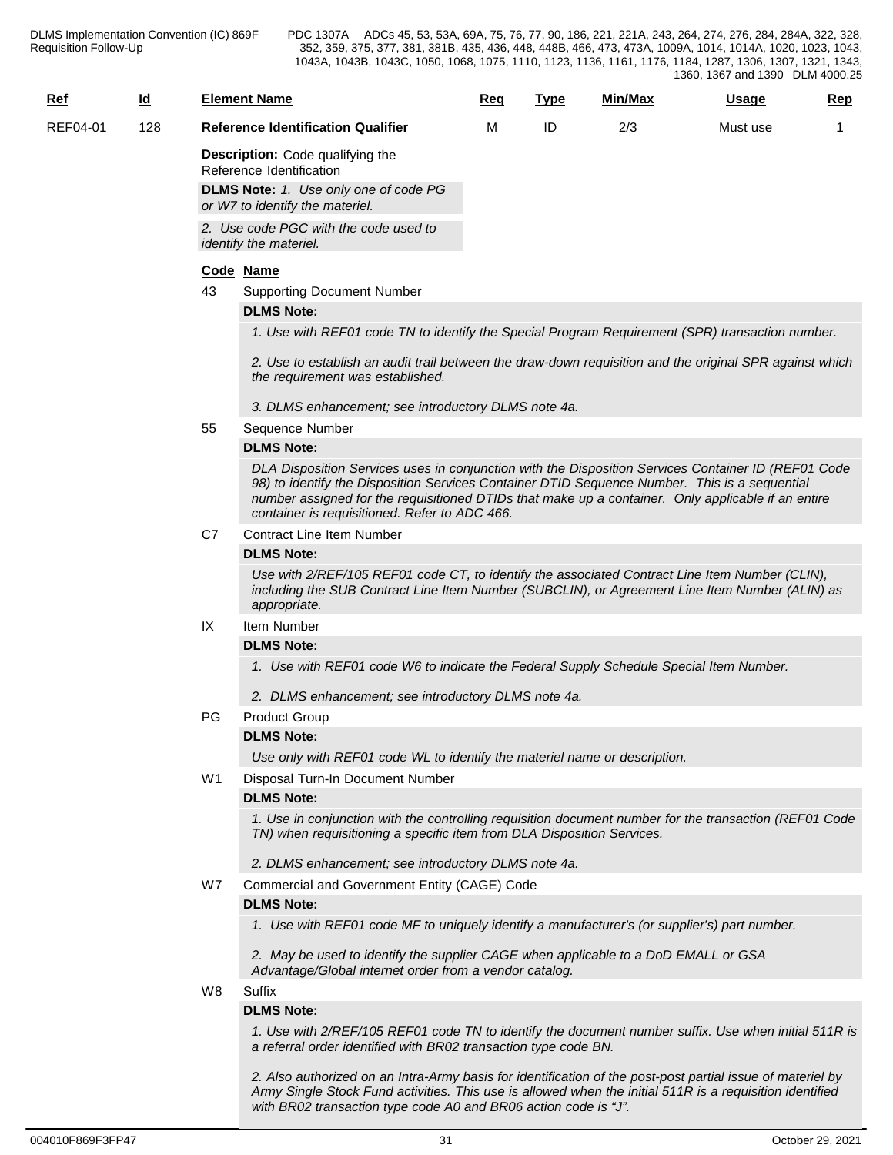| <u>Ref</u>      | ıa<br>- | <b>Element Name</b>                       | Req | Type | Min/Max | Usaqe    | Rep |
|-----------------|---------|-------------------------------------------|-----|------|---------|----------|-----|
| <b>REF04-01</b> | 128     | <b>Reference Identification Qualifier</b> |     | ID   | 2/3     | Must use |     |
|                 |         | Description: Code qualifying the          |     |      |         |          |     |

**Description:** Code qualifying the Reference Identification

**DLMS Note:** *1. Use only one of code PG or W7 to identify the materiel.*

*2. Use code PGC with the code used to identify the materiel.*

## **Code Name**

43 Supporting Document Number

## **DLMS Note:**

*1. Use with REF01 code TN to identify the Special Program Requirement (SPR) transaction number.*

*2. Use to establish an audit trail between the draw-down requisition and the original SPR against which the requirement was established.*

- *3. DLMS enhancement; see introductory DLMS note 4a.*
- 55 Sequence Number

## **DLMS Note:**

*DLA Disposition Services uses in conjunction with the Disposition Services Container ID (REF01 Code 98) to identify the Disposition Services Container DTID Sequence Number. This is a sequential number assigned for the requisitioned DTIDs that make up a container. Only applicable if an entire container is requisitioned. Refer to ADC 466.*

C7 Contract Line Item Number

## **DLMS Note:**

*Use with 2/REF/105 REF01 code CT, to identify the associated Contract Line Item Number (CLIN), including the SUB Contract Line Item Number (SUBCLIN), or Agreement Line Item Number (ALIN) as appropriate.*

## IX Item Number

**DLMS Note:**

*1. Use with REF01 code W6 to indicate the Federal Supply Schedule Special Item Number.*

*2. DLMS enhancement; see introductory DLMS note 4a.*

## PG Product Group

## **DLMS Note:**

*Use only with REF01 code WL to identify the materiel name or description.*

## W1 Disposal Turn-In Document Number

## **DLMS Note:**

*1. Use in conjunction with the controlling requisition document number for the transaction (REF01 Code TN) when requisitioning a specific item from DLA Disposition Services.*

- *2. DLMS enhancement; see introductory DLMS note 4a.*
- W7 Commercial and Government Entity (CAGE) Code

## **DLMS Note:**

*1. Use with REF01 code MF to uniquely identify a manufacturer's (or supplier's) part number.*

*2. May be used to identify the supplier CAGE when applicable to a DoD EMALL or GSA Advantage/Global internet order from a vendor catalog.* 

W8 Suffix

## **DLMS Note:**

*1. Use with 2/REF/105 REF01 code TN to identify the document number suffix. Use when initial 511R is a referral order identified with BR02 transaction type code BN.*

*2. Also authorized on an Intra-Army basis for identification of the post-post partial issue of materiel by Army Single Stock Fund activities. This use is allowed when the initial 511R is a requisition identified with BR02 transaction type code A0 and BR06 action code is "J".*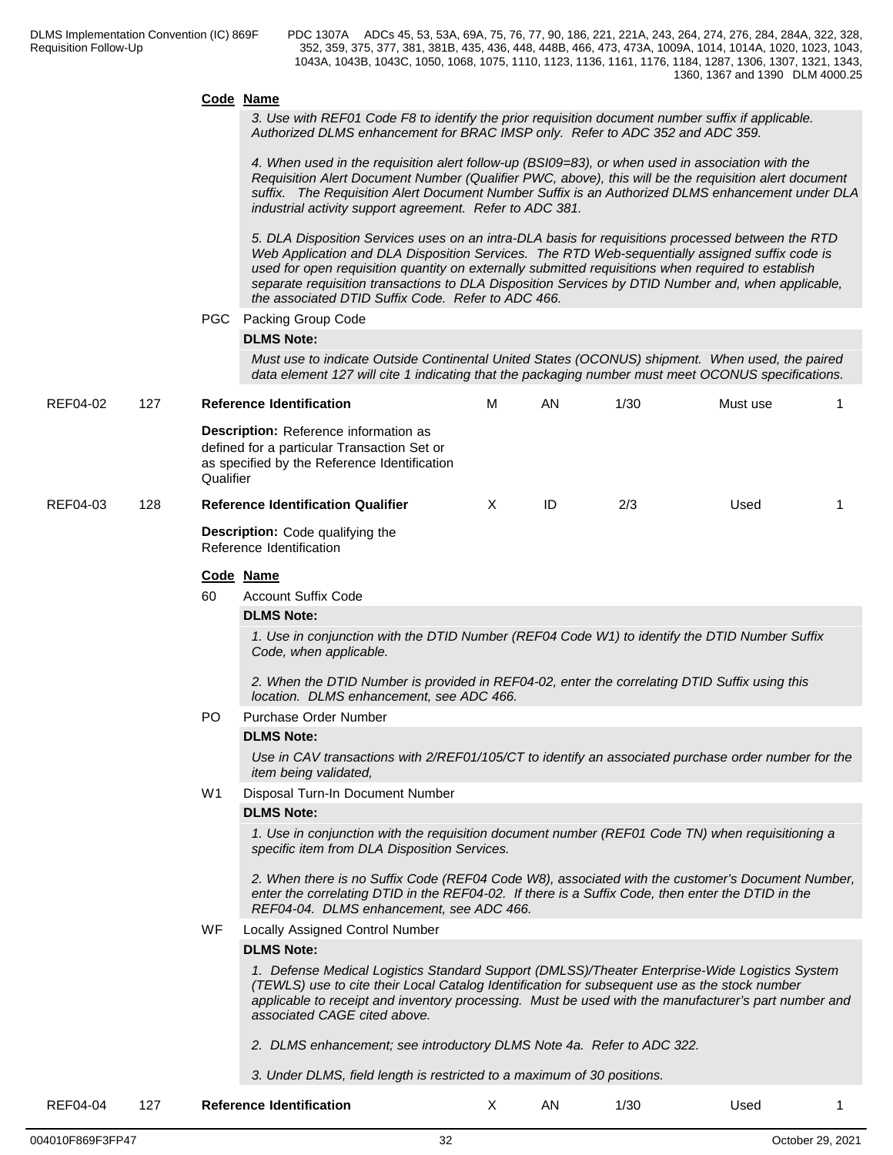#### **Code Name**

*3. Use with REF01 Code F8 to identify the prior requisition document number suffix if applicable. Authorized DLMS enhancement for BRAC IMSP only. Refer to ADC 352 and ADC 359.*

*4. When used in the requisition alert follow-up (BSI09=83), or when used in association with the Requisition Alert Document Number (Qualifier PWC, above), this will be the requisition alert document suffix. The Requisition Alert Document Number Suffix is an Authorized DLMS enhancement under DLA industrial activity support agreement. Refer to ADC 381.*

*5. DLA Disposition Services uses on an intra-DLA basis for requisitions processed between the RTD Web Application and DLA Disposition Services. The RTD Web-sequentially assigned suffix code is used for open requisition quantity on externally submitted requisitions when required to establish separate requisition transactions to DLA Disposition Services by DTID Number and, when applicable, the associated DTID Suffix Code. Refer to ADC 466.*

PGC Packing Group Code

### **DLMS Note:**

*Must use to indicate Outside Continental United States (OCONUS) shipment. When used, the paired data element 127 will cite 1 indicating that the packaging number must meet OCONUS specifications.*

| REF04-02 | 127 | <b>Reference Identification</b>                                                                                                                   | М | AN | 1/30 | Must use |  |
|----------|-----|---------------------------------------------------------------------------------------------------------------------------------------------------|---|----|------|----------|--|
|          |     | Description: Reference information as<br>defined for a particular Transaction Set or<br>as specified by the Reference Identification<br>Qualifier |   |    |      |          |  |
| REF04-03 | 128 | <b>Reference Identification Qualifier</b>                                                                                                         |   | ID | 2/3  | Used     |  |
|          |     | <b>Description:</b> Code qualifying the                                                                                                           |   |    |      |          |  |

Reference Identification

### **Code Name**

60 Account Suffix Code

### **DLMS Note:**

*1. Use in conjunction with the DTID Number (REF04 Code W1) to identify the DTID Number Suffix Code, when applicable.* 

*2. When the DTID Number is provided in REF04-02, enter the correlating DTID Suffix using this location. DLMS enhancement, see ADC 466.*

### PO Purchase Order Number

## **DLMS Note:**

*Use in CAV transactions with 2/REF01/105/CT to identify an associated purchase order number for the item being validated,*

W1 Disposal Turn-In Document Number

### **DLMS Note:**

*1. Use in conjunction with the requisition document number (REF01 Code TN) when requisitioning a specific item from DLA Disposition Services.* 

*2. When there is no Suffix Code (REF04 Code W8), associated with the customer's Document Number, enter the correlating DTID in the REF04-02. If there is a Suffix Code, then enter the DTID in the REF04-04. DLMS enhancement, see ADC 466.*

WF Locally Assigned Control Number

### **DLMS Note:**

*1. Defense Medical Logistics Standard Support (DMLSS)/Theater Enterprise-Wide Logistics System (TEWLS) use to cite their Local Catalog Identification for subsequent use as the stock number applicable to receipt and inventory processing. Must be used with the manufacturer's part number and associated CAGE cited above.*

*2. DLMS enhancement; see introductory DLMS Note 4a. Refer to ADC 322.*

*3. Under DLMS, field length is restricted to a maximum of 30 positions.*

| .<br>RFF04<br>.<br>4-04 .<br><b>Reference</b><br><b>Identification</b><br>$\epsilon$ |  | ΑN | 1/30 | Used |  |
|--------------------------------------------------------------------------------------|--|----|------|------|--|
|--------------------------------------------------------------------------------------|--|----|------|------|--|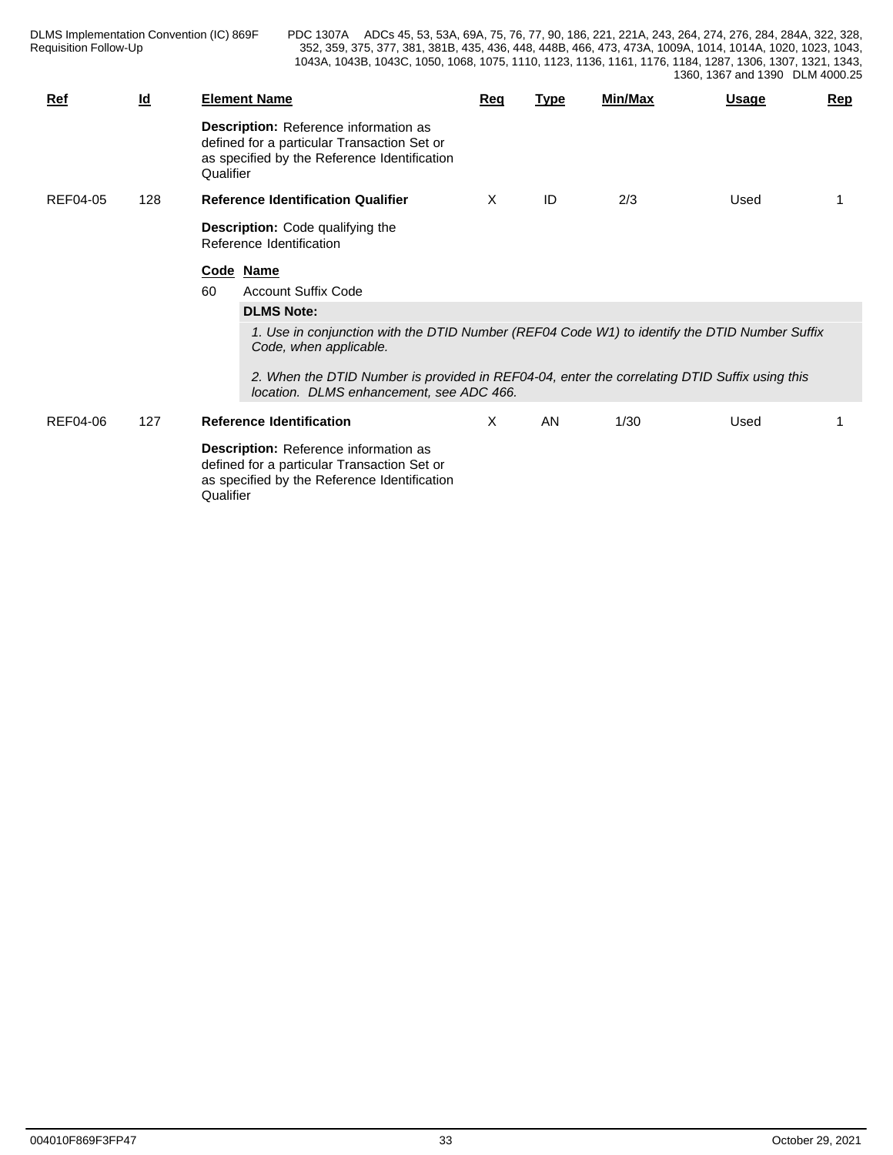DLMS Implementation Convention (IC) 869F Requisition Follow-Up

| $Ref$    | $\underline{\mathsf{Id}}$ |           | <b>Element Name</b>                                                                                                                       | Req | <u>Type</u> | Min/Max | <b>Usage</b> | Rep |
|----------|---------------------------|-----------|-------------------------------------------------------------------------------------------------------------------------------------------|-----|-------------|---------|--------------|-----|
|          |                           | Qualifier | Description: Reference information as<br>defined for a particular Transaction Set or<br>as specified by the Reference Identification      |     |             |         |              |     |
| REF04-05 | 128                       |           | <b>Reference Identification Qualifier</b>                                                                                                 | X   | ID          | 2/3     | Used         |     |
|          |                           |           | <b>Description:</b> Code qualifying the<br>Reference Identification                                                                       |     |             |         |              |     |
|          |                           |           | Code Name                                                                                                                                 |     |             |         |              |     |
|          |                           | 60        | <b>Account Suffix Code</b>                                                                                                                |     |             |         |              |     |
|          |                           |           | <b>DLMS Note:</b>                                                                                                                         |     |             |         |              |     |
|          |                           |           | 1. Use in conjunction with the DTID Number (REF04 Code W1) to identify the DTID Number Suffix<br>Code, when applicable.                   |     |             |         |              |     |
|          |                           |           | 2. When the DTID Number is provided in REF04-04, enter the correlating DTID Suffix using this<br>location. DLMS enhancement, see ADC 466. |     |             |         |              |     |
| REF04-06 | 127                       |           | <b>Reference Identification</b>                                                                                                           | X.  | AN          | 1/30    | Used         |     |
|          |                           | Qualifier | Description: Reference information as<br>defined for a particular Transaction Set or<br>as specified by the Reference Identification      |     |             |         |              |     |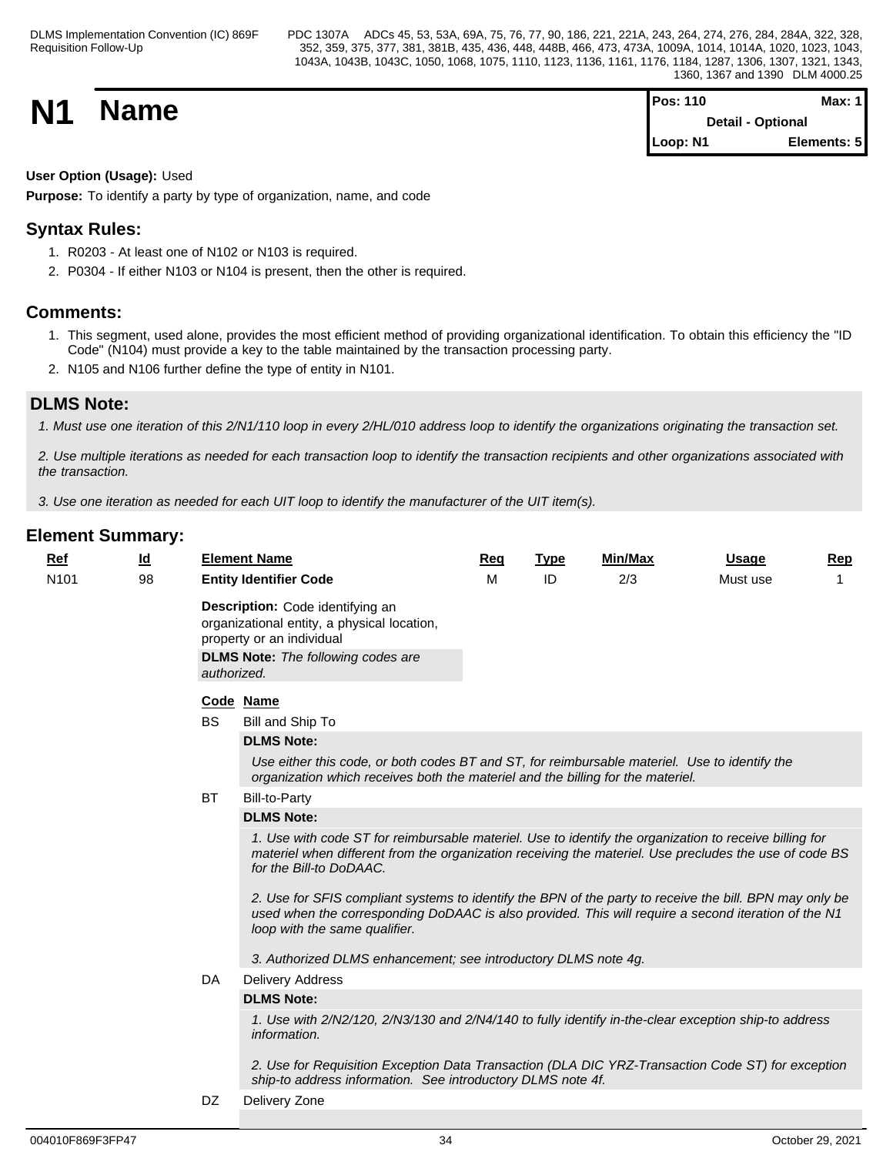| <b>N1</b> | <b>Name</b> | <b>Pos: 110</b>          | Max: $1$    |  |
|-----------|-------------|--------------------------|-------------|--|
|           |             | <b>Detail - Optional</b> |             |  |
|           |             | Loop: N1                 | Elements: 5 |  |

## **User Option (Usage):** Used

**Purpose:** To identify a party by type of organization, name, and code

# **Syntax Rules:**

- 1. R0203 At least one of N102 or N103 is required.
- 2. P0304 If either N103 or N104 is present, then the other is required.

## **Comments:**

- 1. This segment, used alone, provides the most efficient method of providing organizational identification. To obtain this efficiency the "ID Code" (N104) must provide a key to the table maintained by the transaction processing party.
- 2. N105 and N106 further define the type of entity in N101.

## **DLMS Note:**

*1. Must use one iteration of this 2/N1/110 loop in every 2/HL/010 address loop to identify the organizations originating the transaction set.*

*2. Use multiple iterations as needed for each transaction loop to identify the transaction recipients and other organizations associated with the transaction.*

*3. Use one iteration as needed for each UIT loop to identify the manufacturer of the UIT item(s).*

| <u>Ref</u>       | $\underline{\mathsf{Id}}$ |             | <b>Element Name</b>                                                                                                                                                                                                                             | Req | <b>Type</b> | <b>Min/Max</b> | <b>Usage</b> | Rep |
|------------------|---------------------------|-------------|-------------------------------------------------------------------------------------------------------------------------------------------------------------------------------------------------------------------------------------------------|-----|-------------|----------------|--------------|-----|
| N <sub>101</sub> | 98                        |             | <b>Entity Identifier Code</b>                                                                                                                                                                                                                   | M   | ID          | 2/3            | Must use     |     |
|                  |                           | authorized. | Description: Code identifying an<br>organizational entity, a physical location,<br>property or an individual<br><b>DLMS Note:</b> The following codes are                                                                                       |     |             |                |              |     |
|                  |                           |             | Code Name                                                                                                                                                                                                                                       |     |             |                |              |     |
|                  |                           | <b>BS</b>   | Bill and Ship To                                                                                                                                                                                                                                |     |             |                |              |     |
|                  |                           |             | <b>DLMS Note:</b>                                                                                                                                                                                                                               |     |             |                |              |     |
|                  |                           |             | Use either this code, or both codes BT and ST, for reimbursable materiel. Use to identify the<br>organization which receives both the materiel and the billing for the materiel.                                                                |     |             |                |              |     |
|                  |                           | <b>BT</b>   | <b>Bill-to-Party</b>                                                                                                                                                                                                                            |     |             |                |              |     |
|                  |                           |             | <b>DLMS Note:</b>                                                                                                                                                                                                                               |     |             |                |              |     |
|                  |                           |             | 1. Use with code ST for reimbursable materiel. Use to identify the organization to receive billing for<br>materiel when different from the organization receiving the materiel. Use precludes the use of code BS<br>for the Bill-to DoDAAC.     |     |             |                |              |     |
|                  |                           |             | 2. Use for SFIS compliant systems to identify the BPN of the party to receive the bill. BPN may only be<br>used when the corresponding DoDAAC is also provided. This will require a second iteration of the N1<br>loop with the same qualifier. |     |             |                |              |     |
|                  |                           |             | 3. Authorized DLMS enhancement; see introductory DLMS note 4g.                                                                                                                                                                                  |     |             |                |              |     |
|                  |                           | DA          | <b>Delivery Address</b>                                                                                                                                                                                                                         |     |             |                |              |     |
|                  |                           |             | <b>DLMS Note:</b>                                                                                                                                                                                                                               |     |             |                |              |     |
|                  |                           |             | 1. Use with 2/N2/120, 2/N3/130 and 2/N4/140 to fully identify in-the-clear exception ship-to address<br>information.                                                                                                                            |     |             |                |              |     |
|                  |                           |             | 2. Use for Requisition Exception Data Transaction (DLA DIC YRZ-Transaction Code ST) for exception<br>ship-to address information. See introductory DLMS note 4f.                                                                                |     |             |                |              |     |
|                  |                           | DZ          | Delivery Zone                                                                                                                                                                                                                                   |     |             |                |              |     |
|                  |                           |             |                                                                                                                                                                                                                                                 |     |             |                |              |     |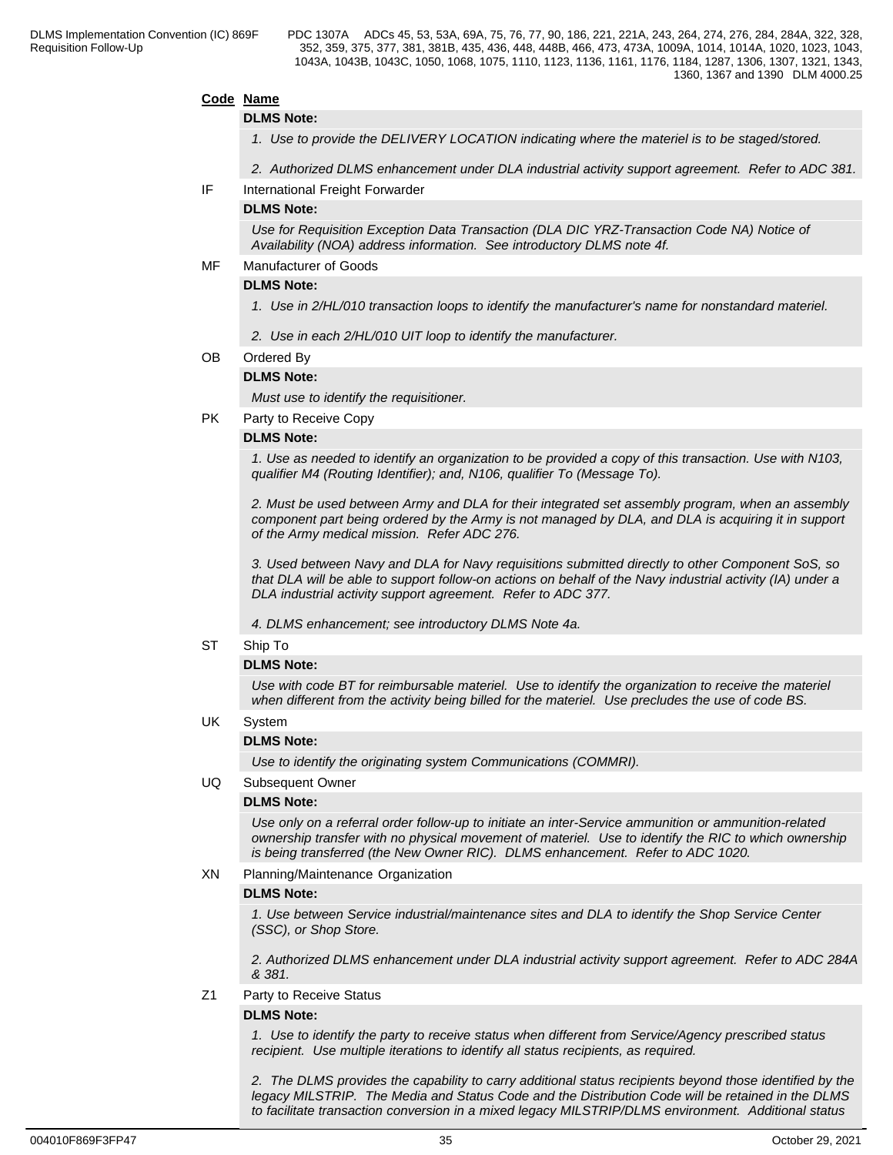## **Code Name**

### **DLMS Note:**

*1. Use to provide the DELIVERY LOCATION indicating where the materiel is to be staged/stored.* 

*2. Authorized DLMS enhancement under DLA industrial activity support agreement. Refer to ADC 381.*

IF International Freight Forwarder

## **DLMS Note:**

*Use for Requisition Exception Data Transaction (DLA DIC YRZ-Transaction Code NA) Notice of Availability (NOA) address information. See introductory DLMS note 4f.*

MF Manufacturer of Goods

## **DLMS Note:**

- *1. Use in 2/HL/010 transaction loops to identify the manufacturer's name for nonstandard materiel.*
- *2. Use in each 2/HL/010 UIT loop to identify the manufacturer.*

## OB Ordered By

## **DLMS Note:**

*Must use to identify the requisitioner.*

PK Party to Receive Copy

### **DLMS Note:**

*1. Use as needed to identify an organization to be provided a copy of this transaction. Use with N103, qualifier M4 (Routing Identifier); and, N106, qualifier To (Message To).*

*2. Must be used between Army and DLA for their integrated set assembly program, when an assembly component part being ordered by the Army is not managed by DLA, and DLA is acquiring it in support of the Army medical mission. Refer ADC 276.* 

*3. Used between Navy and DLA for Navy requisitions submitted directly to other Component SoS, so that DLA will be able to support follow-on actions on behalf of the Navy industrial activity (IA) under a DLA industrial activity support agreement. Refer to ADC 377.*

*4. DLMS enhancement; see introductory DLMS Note 4a.*

## ST Ship To

## **DLMS Note:**

*Use with code BT for reimbursable materiel. Use to identify the organization to receive the materiel when different from the activity being billed for the materiel. Use precludes the use of code BS.*

UK System

## **DLMS Note:**

*Use to identify the originating system Communications (COMMRI).*

## UQ Subsequent Owner

## **DLMS Note:**

*Use only on a referral order follow-up to initiate an inter-Service ammunition or ammunition-related ownership transfer with no physical movement of materiel. Use to identify the RIC to which ownership is being transferred (the New Owner RIC). DLMS enhancement. Refer to ADC 1020.*

### XN Planning/Maintenance Organization

### **DLMS Note:**

*1. Use between Service industrial/maintenance sites and DLA to identify the Shop Service Center (SSC), or Shop Store.*

*2. Authorized DLMS enhancement under DLA industrial activity support agreement. Refer to ADC 284A & 381.*

Z1 Party to Receive Status

## **DLMS Note:**

*1. Use to identify the party to receive status when different from Service/Agency prescribed status recipient. Use multiple iterations to identify all status recipients, as required.*

*2. The DLMS provides the capability to carry additional status recipients beyond those identified by the legacy MILSTRIP. The Media and Status Code and the Distribution Code will be retained in the DLMS to facilitate transaction conversion in a mixed legacy MILSTRIP/DLMS environment. Additional status*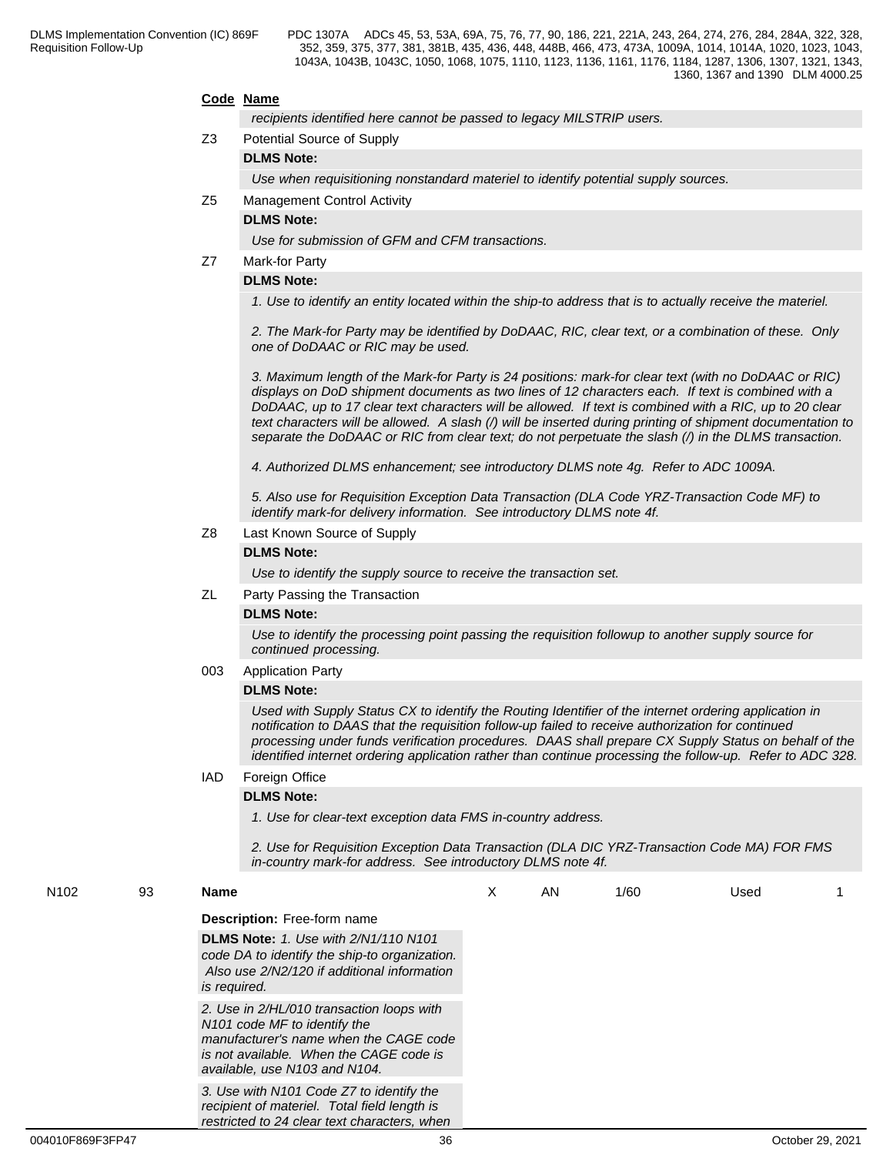### **Code Name**

*recipients identified here cannot be passed to legacy MILSTRIP users.*

Z3 Potential Source of Supply

## **DLMS Note:**

*Use when requisitioning nonstandard materiel to identify potential supply sources.*

Z5 Management Control Activity

## **DLMS Note:**

*Use for submission of GFM and CFM transactions.*

## Z7 Mark-for Party

## **DLMS Note:**

*1. Use to identify an entity located within the ship-to address that is to actually receive the materiel.*

*2. The Mark-for Party may be identified by DoDAAC, RIC, clear text, or a combination of these. Only one of DoDAAC or RIC may be used.*

*3. Maximum length of the Mark-for Party is 24 positions: mark-for clear text (with no DoDAAC or RIC) displays on DoD shipment documents as two lines of 12 characters each. If text is combined with a DoDAAC, up to 17 clear text characters will be allowed. If text is combined with a RIC, up to 20 clear text characters will be allowed. A slash (/) will be inserted during printing of shipment documentation to separate the DoDAAC or RIC from clear text; do not perpetuate the slash (/) in the DLMS transaction.*

*4. Authorized DLMS enhancement; see introductory DLMS note 4g. Refer to ADC 1009A.*

*5. Also use for Requisition Exception Data Transaction (DLA Code YRZ-Transaction Code MF) to identify mark-for delivery information. See introductory DLMS note 4f.*

## Z8 Last Known Source of Supply

## **DLMS Note:**

*Use to identify the supply source to receive the transaction set.*

### ZL Party Passing the Transaction

## **DLMS Note:**

*Use to identify the processing point passing the requisition followup to another supply source for continued processing.*

### 003 Application Party

## **DLMS Note:**

*Used with Supply Status CX to identify the Routing Identifier of the internet ordering application in notification to DAAS that the requisition follow-up failed to receive authorization for continued processing under funds verification procedures. DAAS shall prepare CX Supply Status on behalf of the identified internet ordering application rather than continue processing the follow-up. Refer to ADC 328.*

## IAD Foreign Office

### **DLMS Note:**

*1. Use for clear-text exception data FMS in-country address.*

*2. Use for Requisition Exception Data Transaction (DLA DIC YRZ-Transaction Code MA) FOR FMS in-country mark-for address. See introductory DLMS note 4f.*

| N <sub>102</sub> | 93 | Name                                                                                                                                                                                                        | X | AN | 1/60 | Used |  |
|------------------|----|-------------------------------------------------------------------------------------------------------------------------------------------------------------------------------------------------------------|---|----|------|------|--|
|                  |    | <b>Description:</b> Free-form name                                                                                                                                                                          |   |    |      |      |  |
|                  |    | <b>DLMS Note: 1. Use with 2/N1/110 N101</b><br>code DA to identify the ship-to organization.<br>Also use 2/N2/120 if additional information<br>is required.                                                 |   |    |      |      |  |
|                  |    | 2. Use in 2/HL/010 transaction loops with<br>N <sub>101</sub> code MF to identify the<br>manufacturer's name when the CAGE code<br>is not available. When the CAGE code is<br>available, use N103 and N104. |   |    |      |      |  |
|                  |    | 3. Use with N101 Code Z7 to identify the<br>recipient of materiel. Total field length is<br>restricted to 24 clear text characters, when                                                                    |   |    |      |      |  |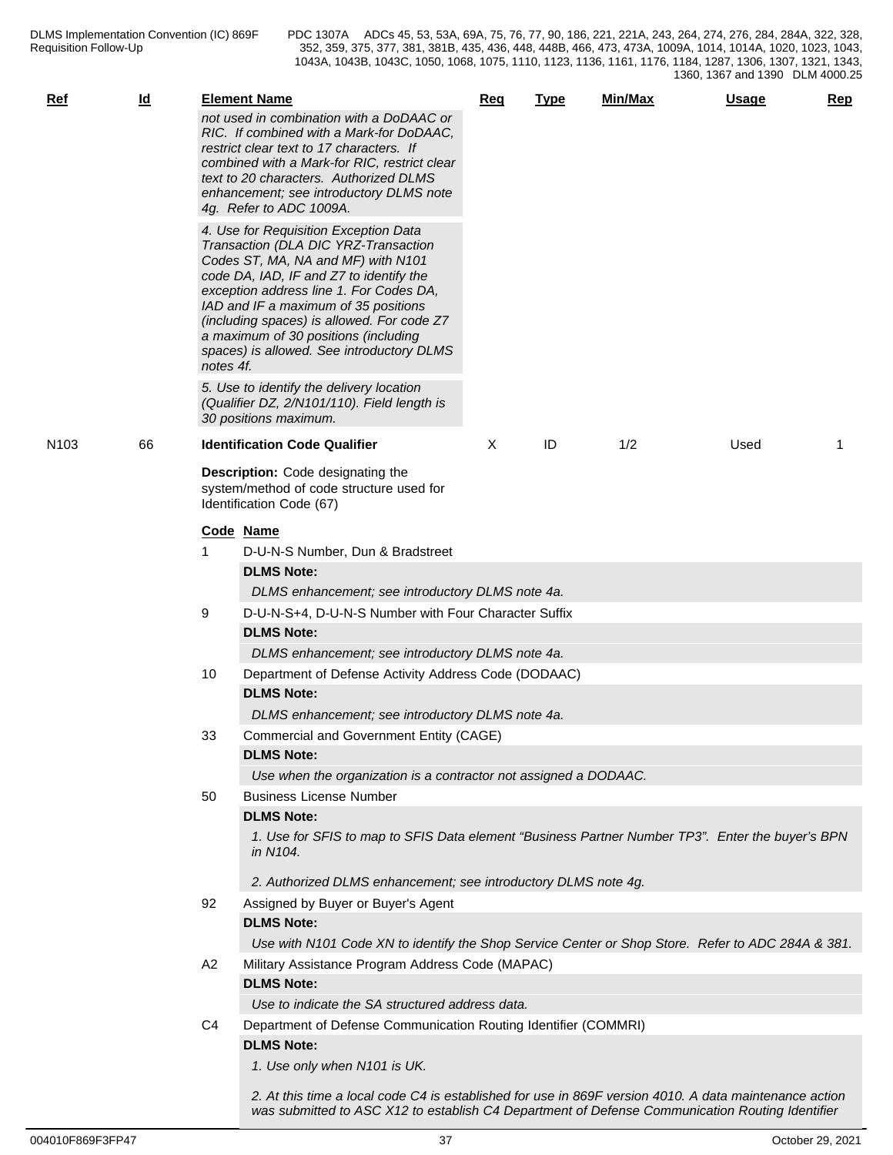| <b>Ref</b>       | $\underline{\mathsf{Id}}$ |           | <b>Element Name</b>                                                                                                                                                                                                                                                                                                                                                                  | <b>Req</b> | <b>Type</b> | Min/Max | <b>Usage</b> | Rep |
|------------------|---------------------------|-----------|--------------------------------------------------------------------------------------------------------------------------------------------------------------------------------------------------------------------------------------------------------------------------------------------------------------------------------------------------------------------------------------|------------|-------------|---------|--------------|-----|
|                  |                           |           | not used in combination with a DoDAAC or<br>RIC. If combined with a Mark-for DoDAAC.<br>restrict clear text to 17 characters. If<br>combined with a Mark-for RIC, restrict clear<br>text to 20 characters. Authorized DLMS<br>enhancement; see introductory DLMS note<br>4g. Refer to ADC 1009A.                                                                                     |            |             |         |              |     |
|                  |                           | notes 4f. | 4. Use for Requisition Exception Data<br>Transaction (DLA DIC YRZ-Transaction<br>Codes ST, MA, NA and MF) with N101<br>code DA, IAD, IF and Z7 to identify the<br>exception address line 1. For Codes DA,<br>IAD and IF a maximum of 35 positions<br>(including spaces) is allowed. For code Z7<br>a maximum of 30 positions (including<br>spaces) is allowed. See introductory DLMS |            |             |         |              |     |
|                  |                           |           | 5. Use to identify the delivery location<br>(Qualifier DZ, 2/N101/110). Field length is<br>30 positions maximum.                                                                                                                                                                                                                                                                     |            |             |         |              |     |
| N <sub>103</sub> | 66                        |           | <b>Identification Code Qualifier</b>                                                                                                                                                                                                                                                                                                                                                 | X          | ID          | 1/2     | Used         | -1  |
|                  |                           |           | Description: Code designating the<br>system/method of code structure used for<br>Identification Code (67)                                                                                                                                                                                                                                                                            |            |             |         |              |     |
|                  |                           |           | Code Name                                                                                                                                                                                                                                                                                                                                                                            |            |             |         |              |     |
|                  |                           | 1         | D-U-N-S Number, Dun & Bradstreet                                                                                                                                                                                                                                                                                                                                                     |            |             |         |              |     |
|                  |                           |           | <b>DLMS Note:</b>                                                                                                                                                                                                                                                                                                                                                                    |            |             |         |              |     |
|                  |                           |           | DLMS enhancement; see introductory DLMS note 4a.                                                                                                                                                                                                                                                                                                                                     |            |             |         |              |     |
|                  |                           | 9         | D-U-N-S+4, D-U-N-S Number with Four Character Suffix                                                                                                                                                                                                                                                                                                                                 |            |             |         |              |     |
|                  |                           |           | <b>DLMS Note:</b>                                                                                                                                                                                                                                                                                                                                                                    |            |             |         |              |     |
|                  |                           |           | DLMS enhancement; see introductory DLMS note 4a.                                                                                                                                                                                                                                                                                                                                     |            |             |         |              |     |
|                  |                           | 10        | Department of Defense Activity Address Code (DODAAC)                                                                                                                                                                                                                                                                                                                                 |            |             |         |              |     |
|                  |                           |           | <b>DLMS Note:</b>                                                                                                                                                                                                                                                                                                                                                                    |            |             |         |              |     |
|                  |                           |           | DLMS enhancement; see introductory DLMS note 4a.                                                                                                                                                                                                                                                                                                                                     |            |             |         |              |     |
|                  |                           | 33        | Commercial and Government Entity (CAGE)                                                                                                                                                                                                                                                                                                                                              |            |             |         |              |     |
|                  |                           |           | <b>DLMS Note:</b>                                                                                                                                                                                                                                                                                                                                                                    |            |             |         |              |     |
|                  |                           |           | Use when the organization is a contractor not assigned a DODAAC.                                                                                                                                                                                                                                                                                                                     |            |             |         |              |     |
|                  |                           | 50        | <b>Business License Number</b>                                                                                                                                                                                                                                                                                                                                                       |            |             |         |              |     |
|                  |                           |           | <b>DLMS Note:</b>                                                                                                                                                                                                                                                                                                                                                                    |            |             |         |              |     |
|                  |                           |           | 1. Use for SFIS to map to SFIS Data element "Business Partner Number TP3". Enter the buyer's BPN<br>in N104.                                                                                                                                                                                                                                                                         |            |             |         |              |     |
|                  |                           |           | 2. Authorized DLMS enhancement; see introductory DLMS note 4g.                                                                                                                                                                                                                                                                                                                       |            |             |         |              |     |
|                  |                           | 92        | Assigned by Buyer or Buyer's Agent                                                                                                                                                                                                                                                                                                                                                   |            |             |         |              |     |
|                  |                           |           | <b>DLMS Note:</b>                                                                                                                                                                                                                                                                                                                                                                    |            |             |         |              |     |
|                  |                           |           | Use with N101 Code XN to identify the Shop Service Center or Shop Store. Refer to ADC 284A & 381.                                                                                                                                                                                                                                                                                    |            |             |         |              |     |
|                  |                           | A2        | Military Assistance Program Address Code (MAPAC)                                                                                                                                                                                                                                                                                                                                     |            |             |         |              |     |
|                  |                           |           | <b>DLMS Note:</b>                                                                                                                                                                                                                                                                                                                                                                    |            |             |         |              |     |
|                  |                           |           | Use to indicate the SA structured address data.                                                                                                                                                                                                                                                                                                                                      |            |             |         |              |     |
|                  |                           | C4        | Department of Defense Communication Routing Identifier (COMMRI)                                                                                                                                                                                                                                                                                                                      |            |             |         |              |     |
|                  |                           |           | <b>DLMS Note:</b><br>1. Use only when N101 is UK.                                                                                                                                                                                                                                                                                                                                    |            |             |         |              |     |
|                  |                           |           | 2. At this time a local code C4 is established for use in 869F version 4010. A data maintenance action<br>was submitted to ASC X12 to establish C4 Department of Defense Communication Routing Identifier                                                                                                                                                                            |            |             |         |              |     |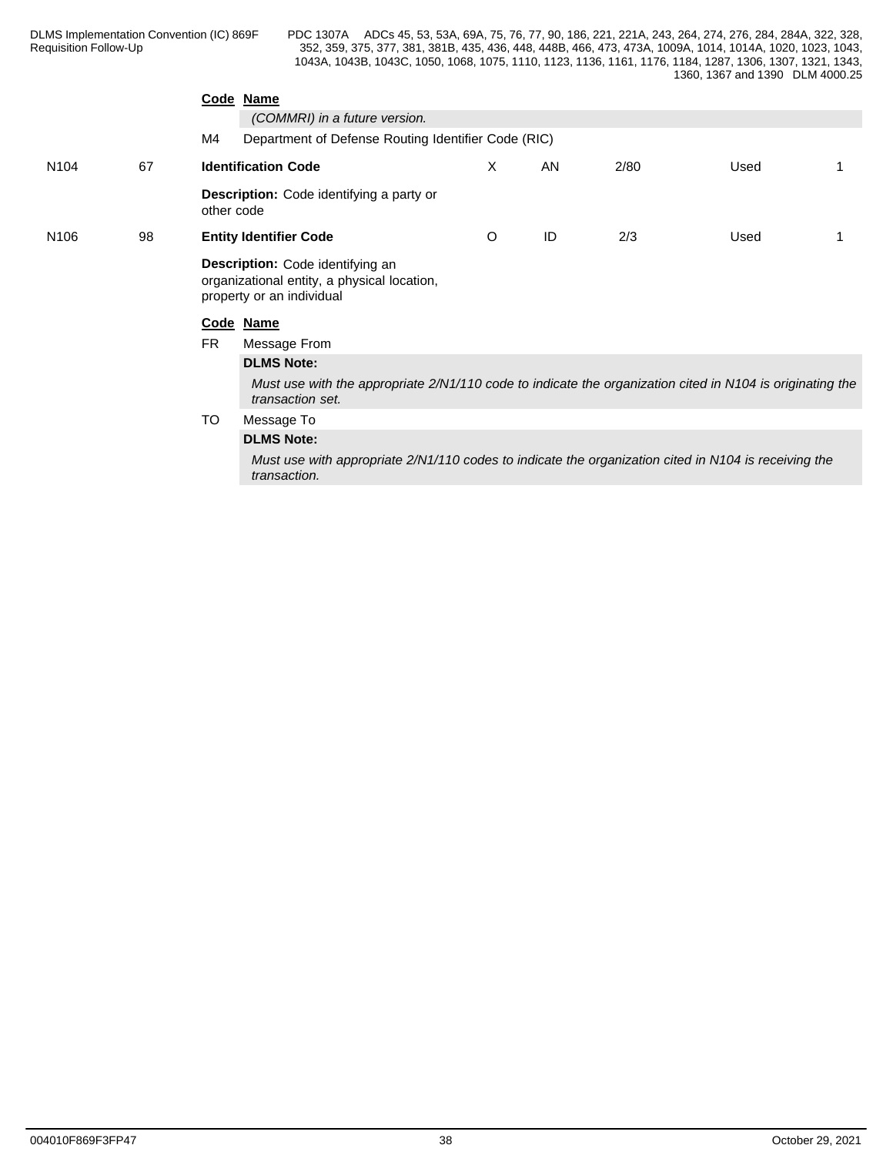|                  |    |                                                                                                                               | Code Name                                                                                                            |         |    |      |      |  |
|------------------|----|-------------------------------------------------------------------------------------------------------------------------------|----------------------------------------------------------------------------------------------------------------------|---------|----|------|------|--|
|                  |    |                                                                                                                               | (COMMRI) in a future version.                                                                                        |         |    |      |      |  |
|                  |    | M4                                                                                                                            | Department of Defense Routing Identifier Code (RIC)                                                                  |         |    |      |      |  |
| N <sub>104</sub> | 67 |                                                                                                                               | <b>Identification Code</b>                                                                                           | X       | AN | 2/80 | Used |  |
|                  |    | other code                                                                                                                    | Description: Code identifying a party or                                                                             |         |    |      |      |  |
| N <sub>106</sub> | 98 |                                                                                                                               | <b>Entity Identifier Code</b>                                                                                        | $\circ$ | ID | 2/3  | Used |  |
|                  |    |                                                                                                                               | Description: Code identifying an<br>organizational entity, a physical location,<br>property or an individual         |         |    |      |      |  |
|                  |    |                                                                                                                               | Code Name                                                                                                            |         |    |      |      |  |
|                  |    | <b>FR</b>                                                                                                                     | Message From                                                                                                         |         |    |      |      |  |
|                  |    |                                                                                                                               | <b>DLMS Note:</b>                                                                                                    |         |    |      |      |  |
|                  |    | Must use with the appropriate 2/N1/110 code to indicate the organization cited in N104 is originating the<br>transaction set. |                                                                                                                      |         |    |      |      |  |
|                  |    | TO                                                                                                                            | Message To                                                                                                           |         |    |      |      |  |
|                  |    |                                                                                                                               | <b>DLMS Note:</b>                                                                                                    |         |    |      |      |  |
|                  |    |                                                                                                                               | Must use with appropriate 2/N1/110 codes to indicate the organization cited in N104 is receiving the<br>transaction. |         |    |      |      |  |
|                  |    |                                                                                                                               |                                                                                                                      |         |    |      |      |  |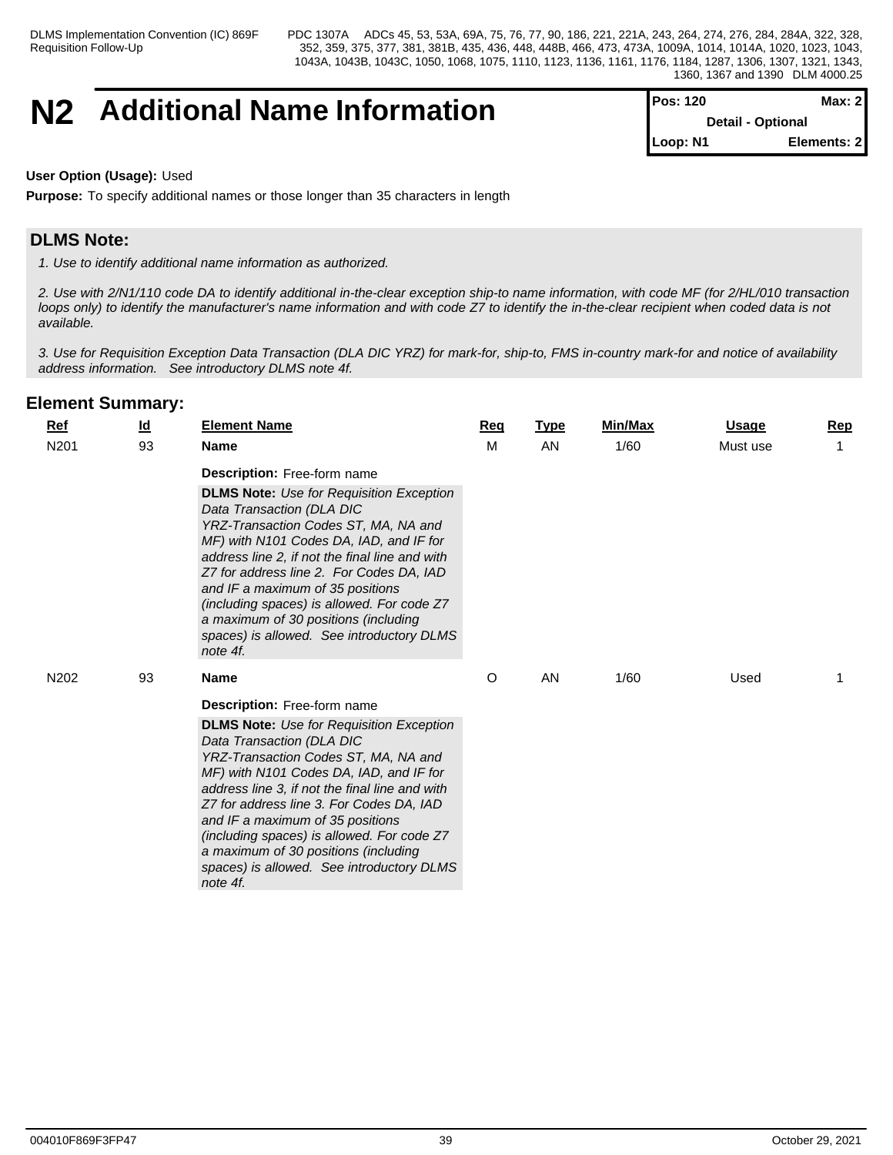# **N2** Additional Name Information

| <b>Pos: 120</b> | Max: 2 <sub>l</sub>      |
|-----------------|--------------------------|
|                 | <b>Detail - Optional</b> |
| Loop: N1        | Elements: 2              |

## **User Option (Usage):** Used

**Purpose:** To specify additional names or those longer than 35 characters in length

# **DLMS Note:**

*1. Use to identify additional name information as authorized.*

*2. Use with 2/N1/110 code DA to identify additional in-the-clear exception ship-to name information, with code MF (for 2/HL/010 transaction loops only) to identify the manufacturer's name information and with code Z7 to identify the in-the-clear recipient when coded data is not available.*

*3. Use for Requisition Exception Data Transaction (DLA DIC YRZ) for mark-for, ship-to, FMS in-country mark-for and notice of availability address information. See introductory DLMS note 4f.*

| <b>Ref</b>       | $\underline{\mathsf{Id}}$ | <b>Element Name</b>                                                                                                                                                                                                                                                                                                                                                                                                                                                                    | Req | <b>Type</b> | Min/Max | Usage    | <b>Rep</b> |
|------------------|---------------------------|----------------------------------------------------------------------------------------------------------------------------------------------------------------------------------------------------------------------------------------------------------------------------------------------------------------------------------------------------------------------------------------------------------------------------------------------------------------------------------------|-----|-------------|---------|----------|------------|
| N201             | 93                        | <b>Name</b>                                                                                                                                                                                                                                                                                                                                                                                                                                                                            | M   | AN          | 1/60    | Must use |            |
|                  |                           | <b>Description:</b> Free-form name<br><b>DLMS Note:</b> Use for Requisition Exception<br>Data Transaction (DLA DIC<br>YRZ-Transaction Codes ST, MA, NA and<br>MF) with N101 Codes DA, IAD, and IF for<br>address line 2, if not the final line and with<br>Z7 for address line 2. For Codes DA, IAD<br>and IF a maximum of 35 positions<br>(including spaces) is allowed. For code Z7<br>a maximum of 30 positions (including<br>spaces) is allowed. See introductory DLMS<br>note 4f. |     |             |         |          |            |
| N <sub>202</sub> | 93                        | <b>Name</b>                                                                                                                                                                                                                                                                                                                                                                                                                                                                            | O   | AN          | 1/60    | Used     |            |
|                  |                           | Description: Free-form name<br><b>DLMS Note:</b> Use for Requisition Exception<br>Data Transaction (DLA DIC<br>YRZ-Transaction Codes ST, MA, NA and<br>MF) with N101 Codes DA, IAD, and IF for<br>address line 3, if not the final line and with<br>Z7 for address line 3. For Codes DA, IAD<br>and IF a maximum of 35 positions<br>(including spaces) is allowed. For code Z7<br>a maximum of 30 positions (including<br>spaces) is allowed. See introductory DLMS<br>note 4f.        |     |             |         |          |            |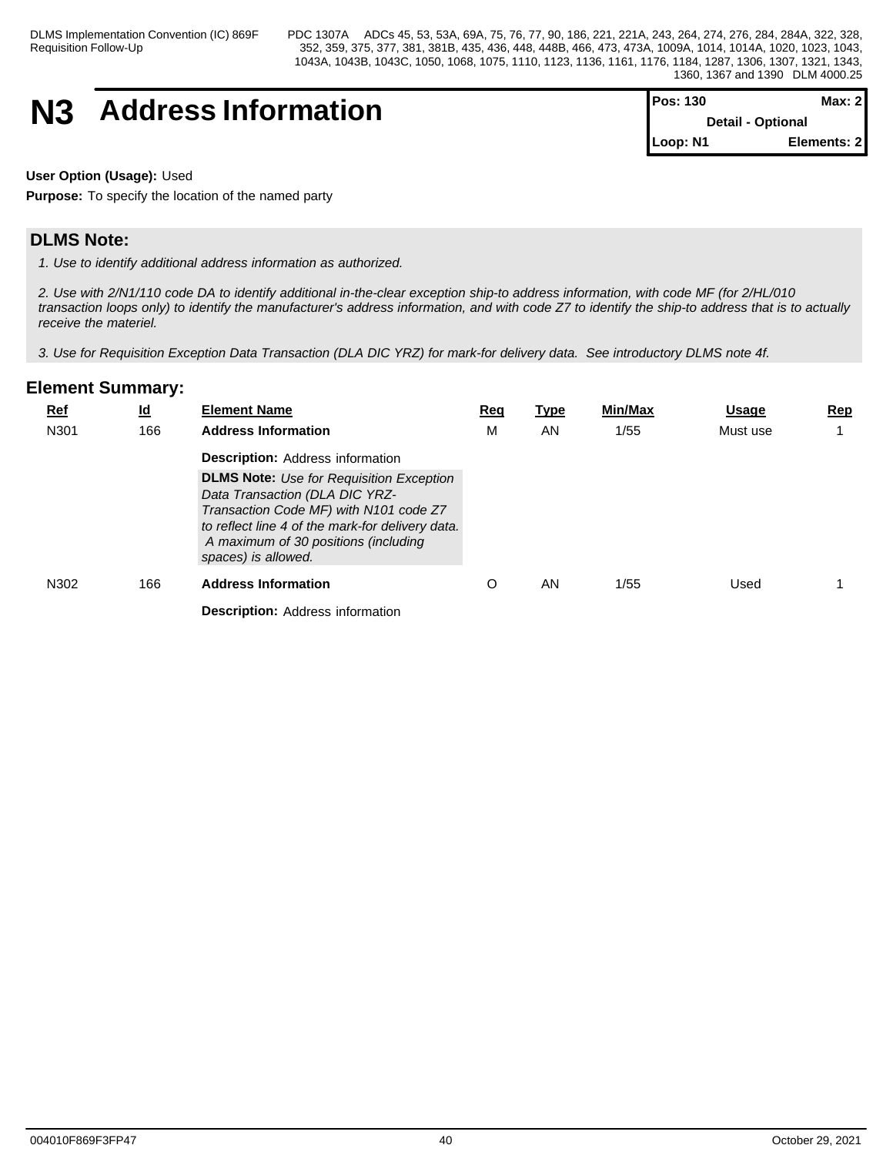# **N3** Address Information

| $Pos: 130$               | Max: 2I     |  |
|--------------------------|-------------|--|
| <b>Detail - Optional</b> |             |  |
| $\blacksquare$ Loop: N1  | Elements: 2 |  |

**User Option (Usage):** Used

**Purpose:** To specify the location of the named party

# **DLMS Note:**

*1. Use to identify additional address information as authorized.*

*2. Use with 2/N1/110 code DA to identify additional in-the-clear exception ship-to address information, with code MF (for 2/HL/010 transaction loops only) to identify the manufacturer's address information, and with code Z7 to identify the ship-to address that is to actually receive the materiel.*

*3. Use for Requisition Exception Data Transaction (DLA DIC YRZ) for mark-for delivery data. See introductory DLMS note 4f.*

| <b>Ref</b><br>N301 | $\underline{\mathsf{Id}}$<br>166 | <b>Element Name</b><br><b>Address Information</b>                                                                                                                                                                                                                                         | <u>Req</u><br>М | <u>Type</u><br>AN | Min/Max<br>1/55 | <b>Usage</b><br>Must use | <b>Rep</b> |
|--------------------|----------------------------------|-------------------------------------------------------------------------------------------------------------------------------------------------------------------------------------------------------------------------------------------------------------------------------------------|-----------------|-------------------|-----------------|--------------------------|------------|
|                    |                                  | <b>Description: Address information</b><br><b>DLMS Note:</b> Use for Requisition Exception<br>Data Transaction (DLA DIC YRZ-<br>Transaction Code MF) with N101 code Z7<br>to reflect line 4 of the mark-for delivery data.<br>A maximum of 30 positions (including<br>spaces) is allowed. |                 |                   |                 |                          |            |
| N302               | 166                              | <b>Address Information</b>                                                                                                                                                                                                                                                                |                 | AN                | 1/55            | Used                     |            |
|                    |                                  | <b>Description: Address information</b>                                                                                                                                                                                                                                                   |                 |                   |                 |                          |            |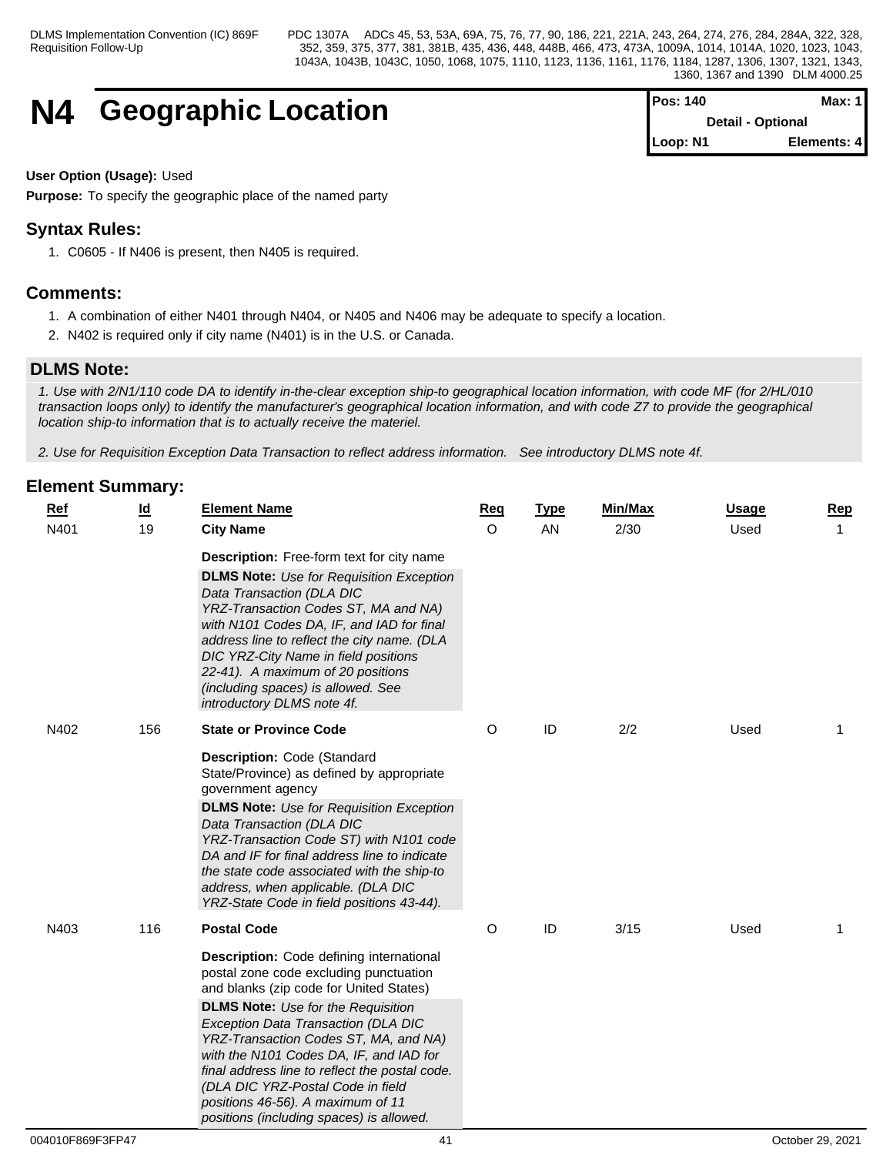# **N4 Geographic Location**

| <b>Pos: 140</b> | <b>Max: 1</b>            |
|-----------------|--------------------------|
|                 | <b>Detail - Optional</b> |
| Loop: N1        | Elements: 4              |

## **User Option (Usage):** Used

**Purpose:** To specify the geographic place of the named party

# **Syntax Rules:**

1. C0605 - If N406 is present, then N405 is required.

# **Comments:**

- 1. A combination of either N401 through N404, or N405 and N406 may be adequate to specify a location.
- 2. N402 is required only if city name (N401) is in the U.S. or Canada.

# **DLMS Note:**

*1. Use with 2/N1/110 code DA to identify in-the-clear exception ship-to geographical location information, with code MF (for 2/HL/010 transaction loops only) to identify the manufacturer's geographical location information, and with code Z7 to provide the geographical location ship-to information that is to actually receive the materiel.*

*2. Use for Requisition Exception Data Transaction to reflect address information. See introductory DLMS note 4f.*

| $Ref$ | $\underline{\mathsf{Id}}$ | <b>Element Name</b>                                                                                                                                                                                                                                                                                                                                                                                                                                                           | <b>Req</b> | <b>Type</b> | Min/Max | <b>Usage</b> | <b>Rep</b>   |
|-------|---------------------------|-------------------------------------------------------------------------------------------------------------------------------------------------------------------------------------------------------------------------------------------------------------------------------------------------------------------------------------------------------------------------------------------------------------------------------------------------------------------------------|------------|-------------|---------|--------------|--------------|
| N401  | 19                        | <b>City Name</b>                                                                                                                                                                                                                                                                                                                                                                                                                                                              | $\Omega$   | AN          | 2/30    | Used         | $\mathbf{1}$ |
|       |                           | <b>Description:</b> Free-form text for city name                                                                                                                                                                                                                                                                                                                                                                                                                              |            |             |         |              |              |
|       |                           | <b>DLMS Note:</b> Use for Requisition Exception<br>Data Transaction (DLA DIC<br>YRZ-Transaction Codes ST, MA and NA)<br>with N101 Codes DA, IF, and IAD for final<br>address line to reflect the city name. (DLA<br>DIC YRZ-City Name in field positions<br>22-41). A maximum of 20 positions<br>(including spaces) is allowed. See<br>introductory DLMS note 4f.                                                                                                             |            |             |         |              |              |
| N402  | 156                       | <b>State or Province Code</b>                                                                                                                                                                                                                                                                                                                                                                                                                                                 | O          | ID          | 2/2     | Used         | -1           |
|       |                           | Description: Code (Standard<br>State/Province) as defined by appropriate<br>government agency<br><b>DLMS Note:</b> Use for Requisition Exception<br>Data Transaction (DLA DIC<br>YRZ-Transaction Code ST) with N101 code<br>DA and IF for final address line to indicate<br>the state code associated with the ship-to<br>address, when applicable. (DLA DIC<br>YRZ-State Code in field positions 43-44).                                                                     |            |             |         |              |              |
| N403  | 116                       | <b>Postal Code</b>                                                                                                                                                                                                                                                                                                                                                                                                                                                            | $\circ$    | ID          | 3/15    | Used         | $\mathbf 1$  |
|       |                           | Description: Code defining international<br>postal zone code excluding punctuation<br>and blanks (zip code for United States)<br><b>DLMS Note:</b> Use for the Requisition<br>Exception Data Transaction (DLA DIC<br>YRZ-Transaction Codes ST, MA, and NA)<br>with the N101 Codes DA, IF, and IAD for<br>final address line to reflect the postal code.<br>(DLA DIC YRZ-Postal Code in field<br>positions 46-56). A maximum of 11<br>positions (including spaces) is allowed. |            |             |         |              |              |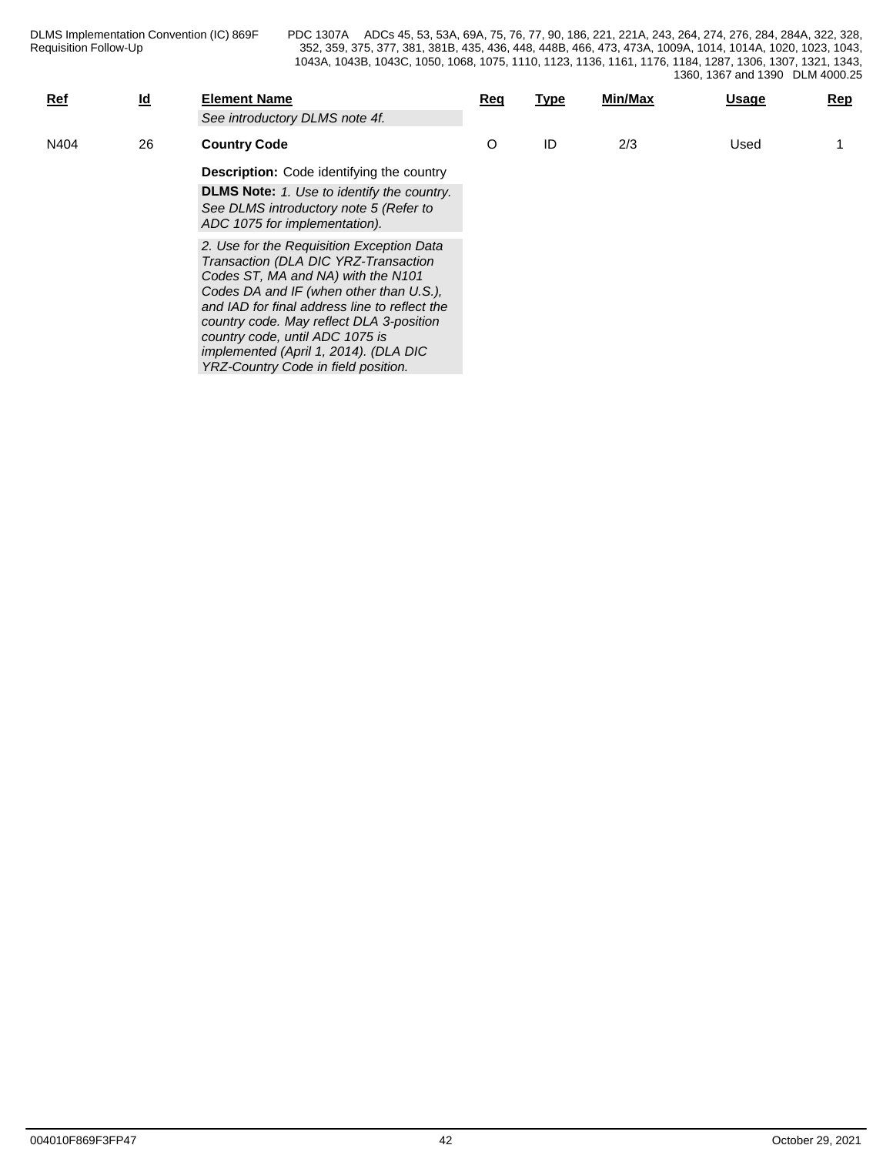| Ref  | $\underline{\mathsf{Id}}$ | <b>Element Name</b><br>See introductory DLMS note 4f.                                                                                                                                                                                                                                                                                                                              | Req | Type | Min/Max | <b>Usage</b> | Rep |
|------|---------------------------|------------------------------------------------------------------------------------------------------------------------------------------------------------------------------------------------------------------------------------------------------------------------------------------------------------------------------------------------------------------------------------|-----|------|---------|--------------|-----|
| N404 | 26                        | <b>Country Code</b>                                                                                                                                                                                                                                                                                                                                                                | O   | ID   | 2/3     | Used         |     |
|      |                           | <b>Description:</b> Code identifying the country                                                                                                                                                                                                                                                                                                                                   |     |      |         |              |     |
|      |                           | <b>DLMS Note:</b> 1. Use to identify the country.<br>See DLMS introductory note 5 (Refer to<br>ADC 1075 for implementation).                                                                                                                                                                                                                                                       |     |      |         |              |     |
|      |                           | 2. Use for the Requisition Exception Data<br>Transaction (DLA DIC YRZ-Transaction<br>Codes ST, MA and NA) with the N101<br>Codes DA and IF (when other than U.S.),<br>and IAD for final address line to reflect the<br>country code. May reflect DLA 3-position<br>country code, until ADC 1075 is<br>implemented (April 1, 2014). (DLA DIC<br>YRZ-Country Code in field position. |     |      |         |              |     |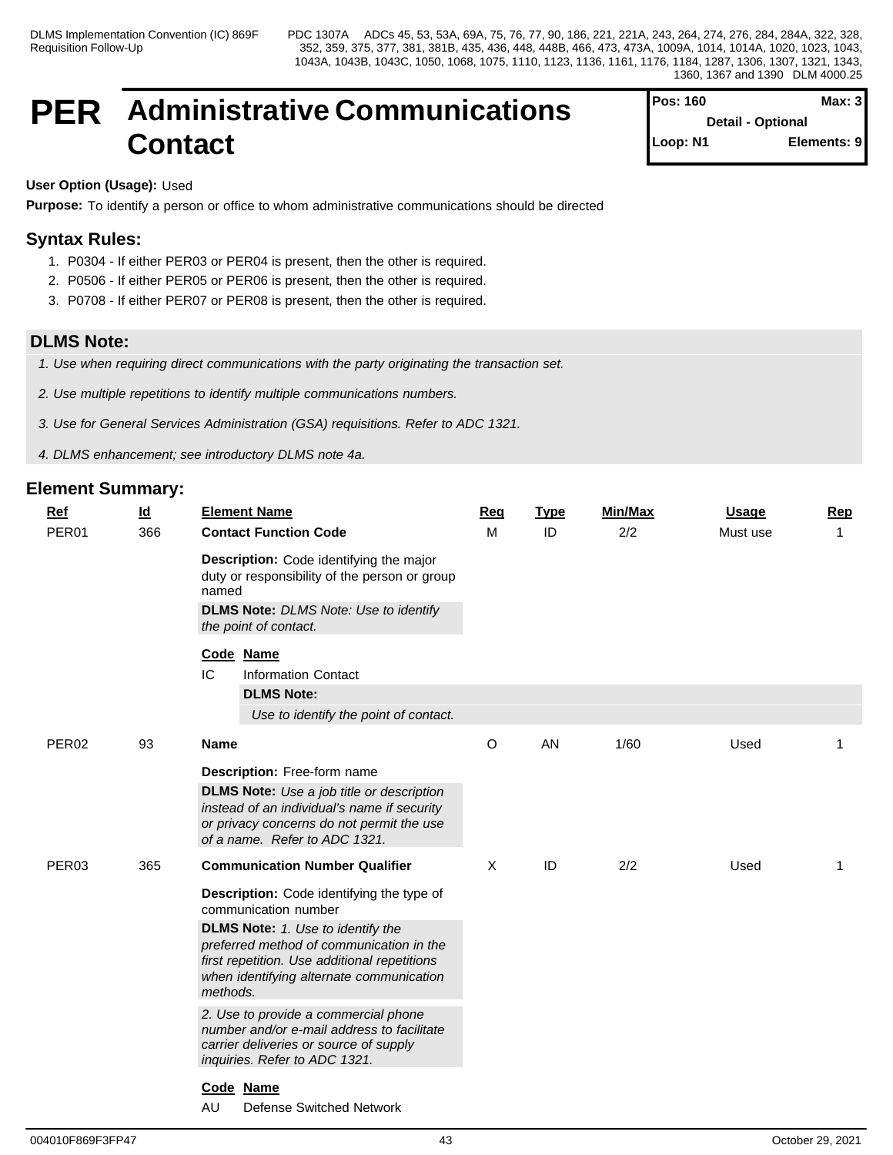# **PER Administrative Communications Contact**

| Pos: 160 | Max: $3$                 |
|----------|--------------------------|
|          | <b>Detail - Optional</b> |
| Loop: N1 | Elements: 9              |

## **User Option (Usage):** Used

**Purpose:** To identify a person or office to whom administrative communications should be directed

# **Syntax Rules:**

- 1. P0304 If either PER03 or PER04 is present, then the other is required.
- 2. P0506 If either PER05 or PER06 is present, then the other is required.
- 3. P0708 If either PER07 or PER08 is present, then the other is required.

## **DLMS Note:**

*1. Use when requiring direct communications with the party originating the transaction set.*

*2. Use multiple repetitions to identify multiple communications numbers.*

- *3. Use for General Services Administration (GSA) requisitions. Refer to ADC 1321.*
- *4. DLMS enhancement; see introductory DLMS note 4a.*

| Ref<br>PER01      | $\underline{\mathsf{Id}}$<br>366 |             | <b>Element Name</b><br><b>Contact Function Code</b>                                                                                                                              | Req<br>M | <b>Type</b><br>ID | <b>Min/Max</b><br>2/2 | <b>Usage</b><br>Must use | <b>Rep</b><br>$\mathbf{1}$ |
|-------------------|----------------------------------|-------------|----------------------------------------------------------------------------------------------------------------------------------------------------------------------------------|----------|-------------------|-----------------------|--------------------------|----------------------------|
|                   |                                  | named       | Description: Code identifying the major<br>duty or responsibility of the person or group<br><b>DLMS Note: DLMS Note: Use to identify</b>                                         |          |                   |                       |                          |                            |
|                   |                                  |             | the point of contact.                                                                                                                                                            |          |                   |                       |                          |                            |
|                   |                                  | IC          | Code Name<br><b>Information Contact</b>                                                                                                                                          |          |                   |                       |                          |                            |
|                   |                                  |             | <b>DLMS Note:</b><br>Use to identify the point of contact.                                                                                                                       |          |                   |                       |                          |                            |
| PER <sub>02</sub> | 93                               | <b>Name</b> |                                                                                                                                                                                  | $\circ$  | AN                | 1/60                  | Used                     | 1                          |
|                   |                                  |             | Description: Free-form name                                                                                                                                                      |          |                   |                       |                          |                            |
|                   |                                  |             | <b>DLMS Note:</b> Use a job title or description<br>instead of an individual's name if security<br>or privacy concerns do not permit the use<br>of a name. Refer to ADC 1321.    |          |                   |                       |                          |                            |
| PER03             | 365                              |             | <b>Communication Number Qualifier</b>                                                                                                                                            | $\times$ | ID                | 2/2                   | Used                     | $\mathbf 1$                |
|                   |                                  |             | <b>Description:</b> Code identifying the type of<br>communication number                                                                                                         |          |                   |                       |                          |                            |
|                   |                                  | methods.    | <b>DLMS Note:</b> 1. Use to identify the<br>preferred method of communication in the<br>first repetition. Use additional repetitions<br>when identifying alternate communication |          |                   |                       |                          |                            |
|                   |                                  |             | 2. Use to provide a commercial phone<br>number and/or e-mail address to facilitate<br>carrier deliveries or source of supply<br>inquiries. Refer to ADC 1321.                    |          |                   |                       |                          |                            |
|                   |                                  |             | Code Name                                                                                                                                                                        |          |                   |                       |                          |                            |
|                   |                                  | AU          | <b>Defense Switched Network</b>                                                                                                                                                  |          |                   |                       |                          |                            |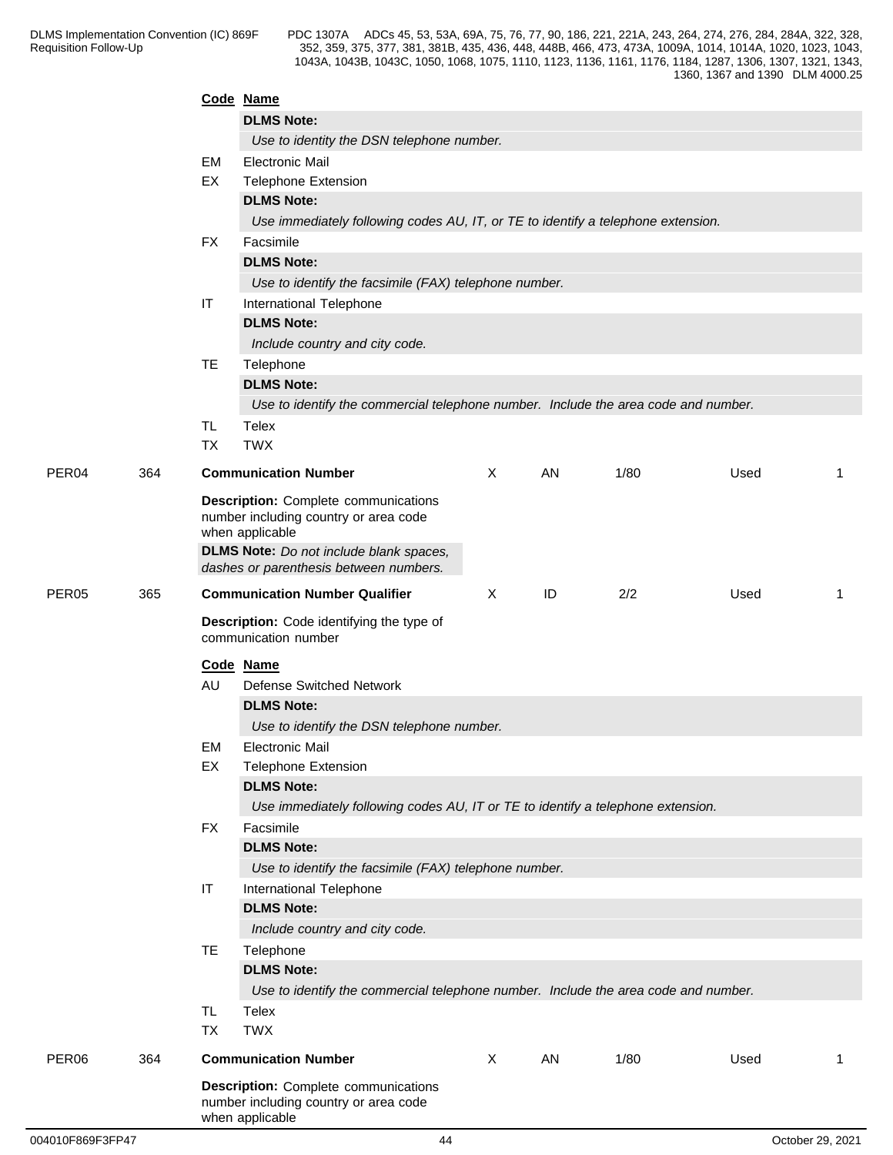|                   |     |                        | Code Name                                                                                                                                                                                           |          |    |      |      |             |
|-------------------|-----|------------------------|-----------------------------------------------------------------------------------------------------------------------------------------------------------------------------------------------------|----------|----|------|------|-------------|
|                   |     |                        | <b>DLMS Note:</b>                                                                                                                                                                                   |          |    |      |      |             |
|                   |     |                        | Use to identity the DSN telephone number.                                                                                                                                                           |          |    |      |      |             |
|                   |     | EM                     | <b>Electronic Mail</b>                                                                                                                                                                              |          |    |      |      |             |
|                   |     | EX                     | <b>Telephone Extension</b>                                                                                                                                                                          |          |    |      |      |             |
|                   |     |                        | <b>DLMS Note:</b>                                                                                                                                                                                   |          |    |      |      |             |
|                   |     |                        | Use immediately following codes AU, IT, or TE to identify a telephone extension.                                                                                                                    |          |    |      |      |             |
|                   |     | <b>FX</b>              | Facsimile                                                                                                                                                                                           |          |    |      |      |             |
|                   |     |                        | <b>DLMS Note:</b>                                                                                                                                                                                   |          |    |      |      |             |
|                   |     |                        | Use to identify the facsimile (FAX) telephone number.                                                                                                                                               |          |    |      |      |             |
|                   |     | IT                     | International Telephone                                                                                                                                                                             |          |    |      |      |             |
|                   |     |                        | <b>DLMS Note:</b>                                                                                                                                                                                   |          |    |      |      |             |
|                   |     |                        | Include country and city code.                                                                                                                                                                      |          |    |      |      |             |
|                   |     | TE                     | Telephone                                                                                                                                                                                           |          |    |      |      |             |
|                   |     |                        | <b>DLMS Note:</b>                                                                                                                                                                                   |          |    |      |      |             |
|                   |     |                        | Use to identify the commercial telephone number. Include the area code and number.                                                                                                                  |          |    |      |      |             |
|                   |     | <b>TL</b>              | Telex                                                                                                                                                                                               |          |    |      |      |             |
|                   |     | <b>TX</b>              | <b>TWX</b>                                                                                                                                                                                          |          |    |      |      |             |
| PER <sub>04</sub> | 364 |                        | <b>Communication Number</b>                                                                                                                                                                         | $\times$ | AN | 1/80 | Used | 1           |
|                   |     |                        | <b>Description:</b> Complete communications<br>number including country or area code<br>when applicable<br><b>DLMS Note:</b> Do not include blank spaces,<br>dashes or parenthesis between numbers. |          |    |      |      |             |
| PER05             | 365 |                        | <b>Communication Number Qualifier</b>                                                                                                                                                               | $\times$ | ID | 2/2  | Used | $\mathbf 1$ |
|                   |     |                        | Description: Code identifying the type of<br>communication number                                                                                                                                   |          |    |      |      |             |
|                   |     |                        | Code Name                                                                                                                                                                                           |          |    |      |      |             |
|                   |     | AU                     | <b>Defense Switched Network</b>                                                                                                                                                                     |          |    |      |      |             |
|                   |     |                        | <b>DLMS Note:</b>                                                                                                                                                                                   |          |    |      |      |             |
|                   |     |                        | Use to identify the DSN telephone number.                                                                                                                                                           |          |    |      |      |             |
|                   |     | EM                     | Electronic Mail                                                                                                                                                                                     |          |    |      |      |             |
|                   |     | EX                     | <b>Telephone Extension</b>                                                                                                                                                                          |          |    |      |      |             |
|                   |     |                        | <b>DLMS Note:</b>                                                                                                                                                                                   |          |    |      |      |             |
|                   |     |                        | Use immediately following codes AU, IT or TE to identify a telephone extension.                                                                                                                     |          |    |      |      |             |
|                   |     | FX                     | Facsimile                                                                                                                                                                                           |          |    |      |      |             |
|                   |     |                        | <b>DLMS Note:</b>                                                                                                                                                                                   |          |    |      |      |             |
|                   |     |                        | Use to identify the facsimile (FAX) telephone number.                                                                                                                                               |          |    |      |      |             |
|                   |     | $\mathsf{I}\mathsf{T}$ | International Telephone                                                                                                                                                                             |          |    |      |      |             |
|                   |     |                        | <b>DLMS Note:</b>                                                                                                                                                                                   |          |    |      |      |             |
|                   |     |                        | Include country and city code.                                                                                                                                                                      |          |    |      |      |             |
|                   |     | TE                     | Telephone                                                                                                                                                                                           |          |    |      |      |             |
|                   |     |                        | <b>DLMS Note:</b>                                                                                                                                                                                   |          |    |      |      |             |
|                   |     |                        | Use to identify the commercial telephone number. Include the area code and number.                                                                                                                  |          |    |      |      |             |
|                   |     | <b>TL</b><br><b>TX</b> | Telex<br><b>TWX</b>                                                                                                                                                                                 |          |    |      |      |             |
| PER <sub>06</sub> | 364 |                        | <b>Communication Number</b>                                                                                                                                                                         | X        | AN | 1/80 | Used | $\mathbf 1$ |
|                   |     |                        |                                                                                                                                                                                                     |          |    |      |      |             |
|                   |     |                        | <b>Description:</b> Complete communications<br>number including country or area code<br>when applicable                                                                                             |          |    |      |      |             |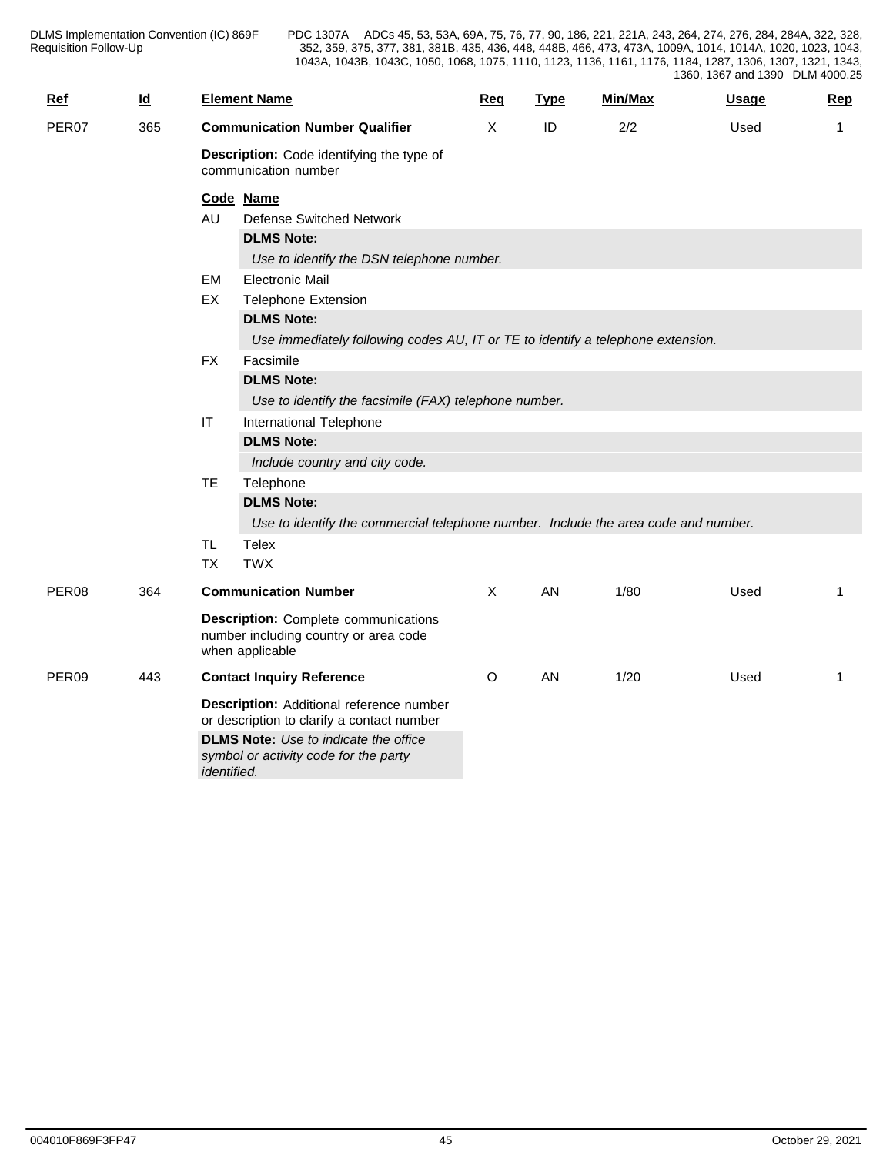| $Ref$             | $\underline{\mathsf{Id}}$ | <b>Element Name</b>                                                                                                                                                                                                                                                                                                                                                                                      | Req          | <b>Type</b> | Min/Max | <b>Usage</b> | Rep            |
|-------------------|---------------------------|----------------------------------------------------------------------------------------------------------------------------------------------------------------------------------------------------------------------------------------------------------------------------------------------------------------------------------------------------------------------------------------------------------|--------------|-------------|---------|--------------|----------------|
| PER07             | 365                       | <b>Communication Number Qualifier</b>                                                                                                                                                                                                                                                                                                                                                                    | X            | ID          | 2/2     | Used         | $\mathbf{1}$   |
|                   |                           | Description: Code identifying the type of<br>communication number                                                                                                                                                                                                                                                                                                                                        |              |             |         |              |                |
|                   |                           | Code Name<br>AU<br><b>Defense Switched Network</b><br><b>DLMS Note:</b><br>Use to identify the DSN telephone number.<br><b>Electronic Mail</b><br>EM<br>EX<br><b>Telephone Extension</b><br><b>DLMS Note:</b><br>Use immediately following codes AU, IT or TE to identify a telephone extension.<br><b>FX</b><br>Facsimile<br><b>DLMS Note:</b><br>Use to identify the facsimile (FAX) telephone number. |              |             |         |              |                |
|                   |                           | $\sf IT$<br>International Telephone<br><b>DLMS Note:</b><br>Include country and city code.<br><b>TE</b><br>Telephone<br><b>DLMS Note:</b><br>Use to identify the commercial telephone number. Include the area code and number.<br>TL.<br><b>Telex</b>                                                                                                                                                   |              |             |         |              |                |
|                   |                           | <b>TWX</b><br><b>TX</b>                                                                                                                                                                                                                                                                                                                                                                                  |              |             |         |              |                |
| PER08             | 364                       | <b>Communication Number</b><br><b>Description:</b> Complete communications<br>number including country or area code<br>when applicable                                                                                                                                                                                                                                                                   | $\mathsf{X}$ | AN          | 1/80    | Used         | 1              |
| PER <sub>09</sub> | 443                       | <b>Contact Inquiry Reference</b><br>Description: Additional reference number<br>or description to clarify a contact number<br><b>DLMS Note:</b> Use to indicate the office<br>symbol or activity code for the party<br>identified.                                                                                                                                                                       | $\circ$      | AN          | 1/20    | Used         | $\overline{1}$ |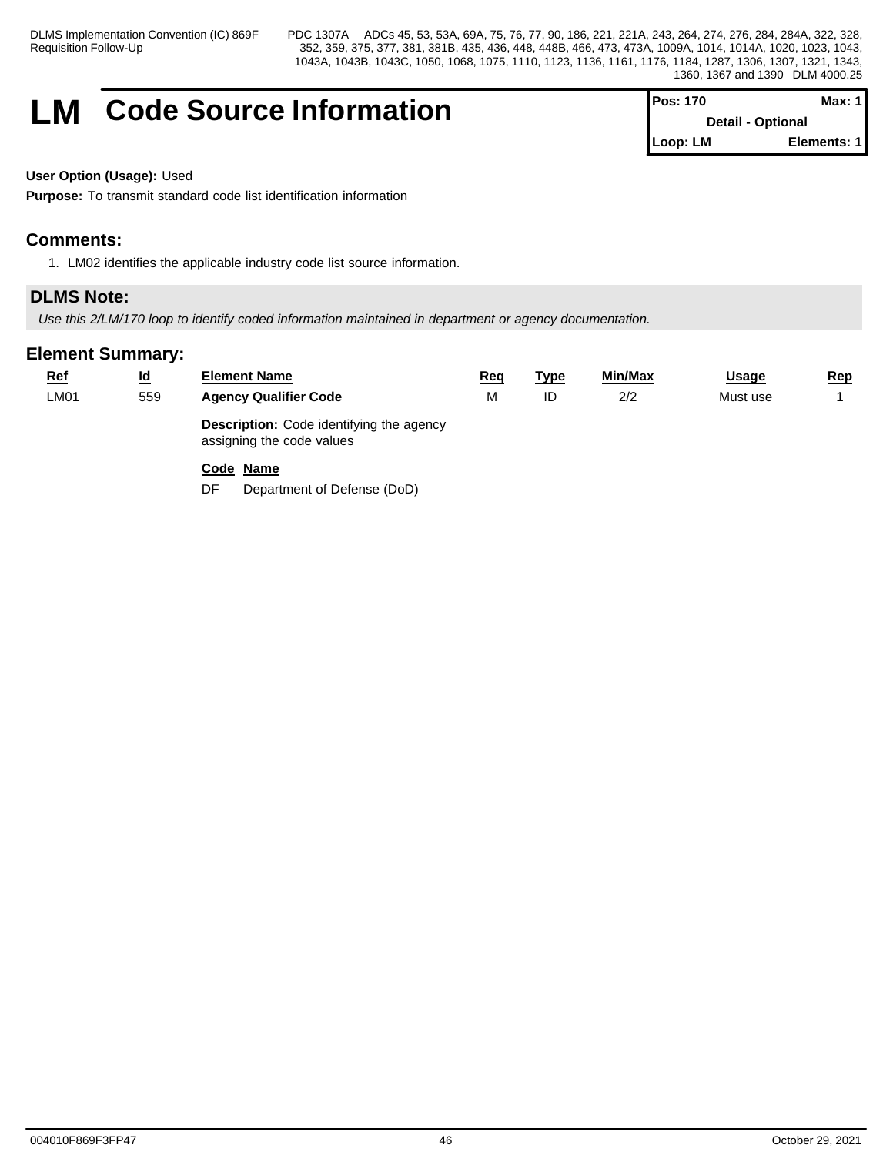Requisition Follow-Up

DLMS Implementation Convention (IC) 869F PDC 1307A ADCs 45, 53, 53A, 69A, 75, 76, 77, 90, 186, 221, 221A, 243, 264, 274, 276, 284, 284A, 322, 328, 352, 359, 375, 377, 381, 381B, 435, 436, 448, 448B, 466, 473, 473A, 1009A, 1014, 1014A, 1020, 1023, 1043, 1043A, 1043B, 1043C, 1050, 1068, 1075, 1110, 1123, 1136, 1161, 1176, 1184, 1287, 1306, 1307, 1321, 1343, 1360, 1367 and 1390 DLM 4000.25

# **LM** Code Source Information

| <b>IPos: 170</b>         | Max: 1      |  |
|--------------------------|-------------|--|
| <b>Detail - Optional</b> |             |  |
| Loop: LM                 | Elements: 1 |  |

**User Option (Usage):** Used

**Purpose:** To transmit standard code list identification information

# **Comments:**

1. LM02 identifies the applicable industry code list source information.

# **DLMS Note:**

*Use this 2/LM/170 loop to identify coded information maintained in department or agency documentation.*

# **Element Summary:**

| $Ref$       | $\underline{\mathsf{Id}}$ | <b>Element Name</b>                                                          | <u>Req</u> | <u>Type</u> | Min/Max | <u>Usage</u> | <u>Rep</u> |
|-------------|---------------------------|------------------------------------------------------------------------------|------------|-------------|---------|--------------|------------|
| <b>LM01</b> | 559                       | <b>Agency Qualifier Code</b>                                                 | М          | ID          | 2/2     | Must use     |            |
|             |                           | <b>Description:</b> Code identifying the agency<br>assigning the code values |            |             |         |              |            |
|             |                           | Code Name                                                                    |            |             |         |              |            |

DF Department of Defense (DoD)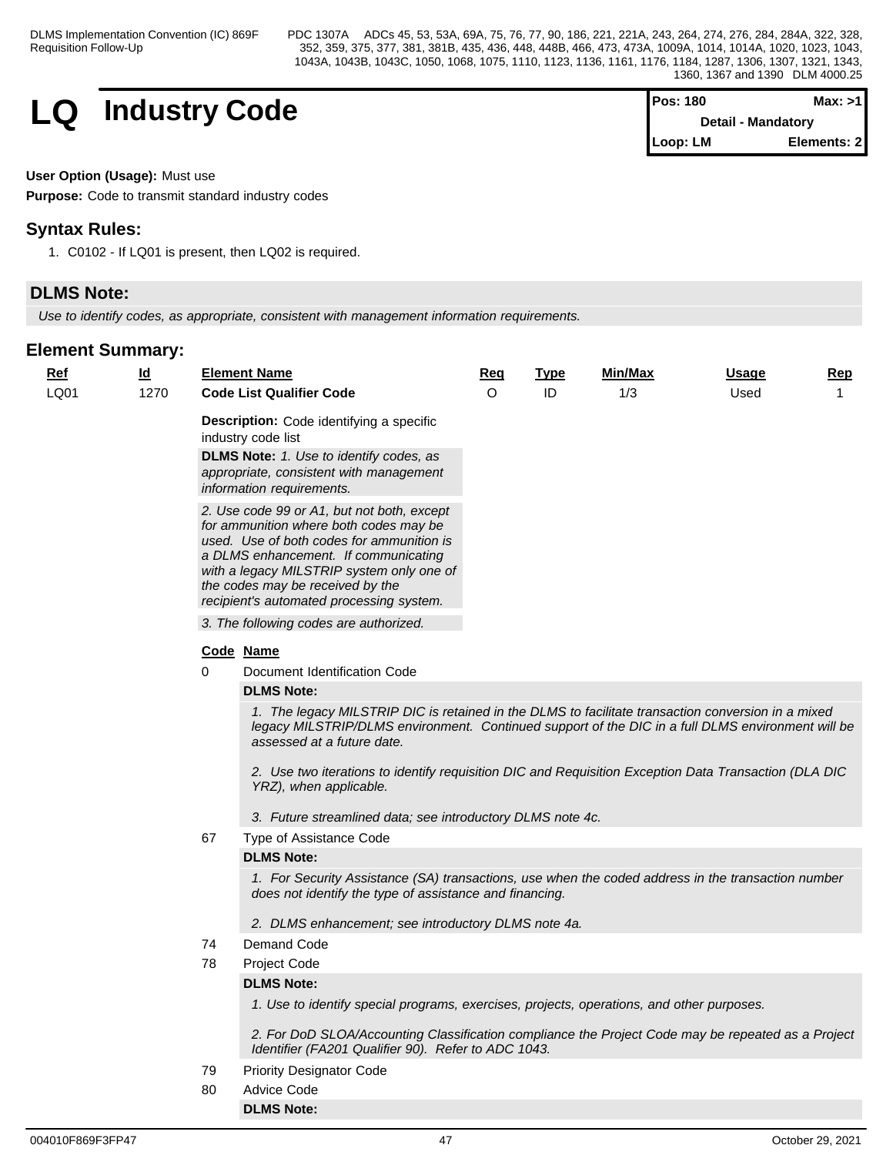

| <b>Pos: 180</b> | Max: >11                  |
|-----------------|---------------------------|
|                 | <b>Detail - Mandatory</b> |
| Loop: LM        | Elements: 2               |

## **User Option (Usage):** Must use

**Purpose:** Code to transmit standard industry codes

# **Syntax Rules:**

1. C0102 - If LQ01 is present, then LQ02 is required.

# **DLMS Note:**

*Use to identify codes, as appropriate, consistent with management information requirements.*

# **Element Summary:**

| <u>Ref</u> | $\underline{\mathsf{Id}}$ |          | <b>Element Name</b>                                                                                                                                                                                                                                                                                                                                                      | <u>Req</u> | <b>Type</b> | Min/Max | <b>Usage</b> | <u>Rep</u> |
|------------|---------------------------|----------|--------------------------------------------------------------------------------------------------------------------------------------------------------------------------------------------------------------------------------------------------------------------------------------------------------------------------------------------------------------------------|------------|-------------|---------|--------------|------------|
| LQ01       | 1270                      |          | <b>Code List Qualifier Code</b>                                                                                                                                                                                                                                                                                                                                          | $\circ$    | ID          | 1/3     | Used         | 1          |
|            |                           |          | <b>Description:</b> Code identifying a specific<br>industry code list                                                                                                                                                                                                                                                                                                    |            |             |         |              |            |
|            |                           |          | DLMS Note: 1. Use to identify codes, as                                                                                                                                                                                                                                                                                                                                  |            |             |         |              |            |
|            |                           |          | appropriate, consistent with management                                                                                                                                                                                                                                                                                                                                  |            |             |         |              |            |
|            |                           |          | information requirements.                                                                                                                                                                                                                                                                                                                                                |            |             |         |              |            |
|            |                           |          | 2. Use code 99 or A1, but not both, except<br>for ammunition where both codes may be<br>used. Use of both codes for ammunition is<br>a DLMS enhancement. If communicating<br>with a legacy MILSTRIP system only one of<br>the codes may be received by the                                                                                                               |            |             |         |              |            |
|            |                           |          | recipient's automated processing system.                                                                                                                                                                                                                                                                                                                                 |            |             |         |              |            |
|            |                           |          | 3. The following codes are authorized.                                                                                                                                                                                                                                                                                                                                   |            |             |         |              |            |
|            |                           |          | Code Name                                                                                                                                                                                                                                                                                                                                                                |            |             |         |              |            |
|            |                           | $\Omega$ | Document Identification Code                                                                                                                                                                                                                                                                                                                                             |            |             |         |              |            |
|            |                           |          | <b>DLMS Note:</b>                                                                                                                                                                                                                                                                                                                                                        |            |             |         |              |            |
|            |                           |          | 1. The legacy MILSTRIP DIC is retained in the DLMS to facilitate transaction conversion in a mixed<br>legacy MILSTRIP/DLMS environment. Continued support of the DIC in a full DLMS environment will be<br>assessed at a future date.<br>2. Use two iterations to identify requisition DIC and Requisition Exception Data Transaction (DLA DIC<br>YRZ), when applicable. |            |             |         |              |            |
|            |                           |          | 3. Future streamlined data; see introductory DLMS note 4c.                                                                                                                                                                                                                                                                                                               |            |             |         |              |            |
|            |                           | 67       | Type of Assistance Code                                                                                                                                                                                                                                                                                                                                                  |            |             |         |              |            |
|            |                           |          | <b>DLMS Note:</b>                                                                                                                                                                                                                                                                                                                                                        |            |             |         |              |            |
|            |                           |          | 1. For Security Assistance (SA) transactions, use when the coded address in the transaction number<br>does not identify the type of assistance and financing.                                                                                                                                                                                                            |            |             |         |              |            |
|            |                           |          | 2. DLMS enhancement; see introductory DLMS note 4a.                                                                                                                                                                                                                                                                                                                      |            |             |         |              |            |
|            |                           | 74       | Demand Code                                                                                                                                                                                                                                                                                                                                                              |            |             |         |              |            |
|            |                           | 78       | Project Code<br><b>DLMS Note:</b>                                                                                                                                                                                                                                                                                                                                        |            |             |         |              |            |
|            |                           |          | 1. Use to identify special programs, exercises, projects, operations, and other purposes.                                                                                                                                                                                                                                                                                |            |             |         |              |            |
|            |                           |          | 2. For DoD SLOA/Accounting Classification compliance the Project Code may be repeated as a Project<br>Identifier (FA201 Qualifier 90). Refer to ADC 1043.                                                                                                                                                                                                                |            |             |         |              |            |
|            |                           | 79       | <b>Priority Designator Code</b>                                                                                                                                                                                                                                                                                                                                          |            |             |         |              |            |
|            |                           | 80       | Advice Code                                                                                                                                                                                                                                                                                                                                                              |            |             |         |              |            |

**DLMS Note:**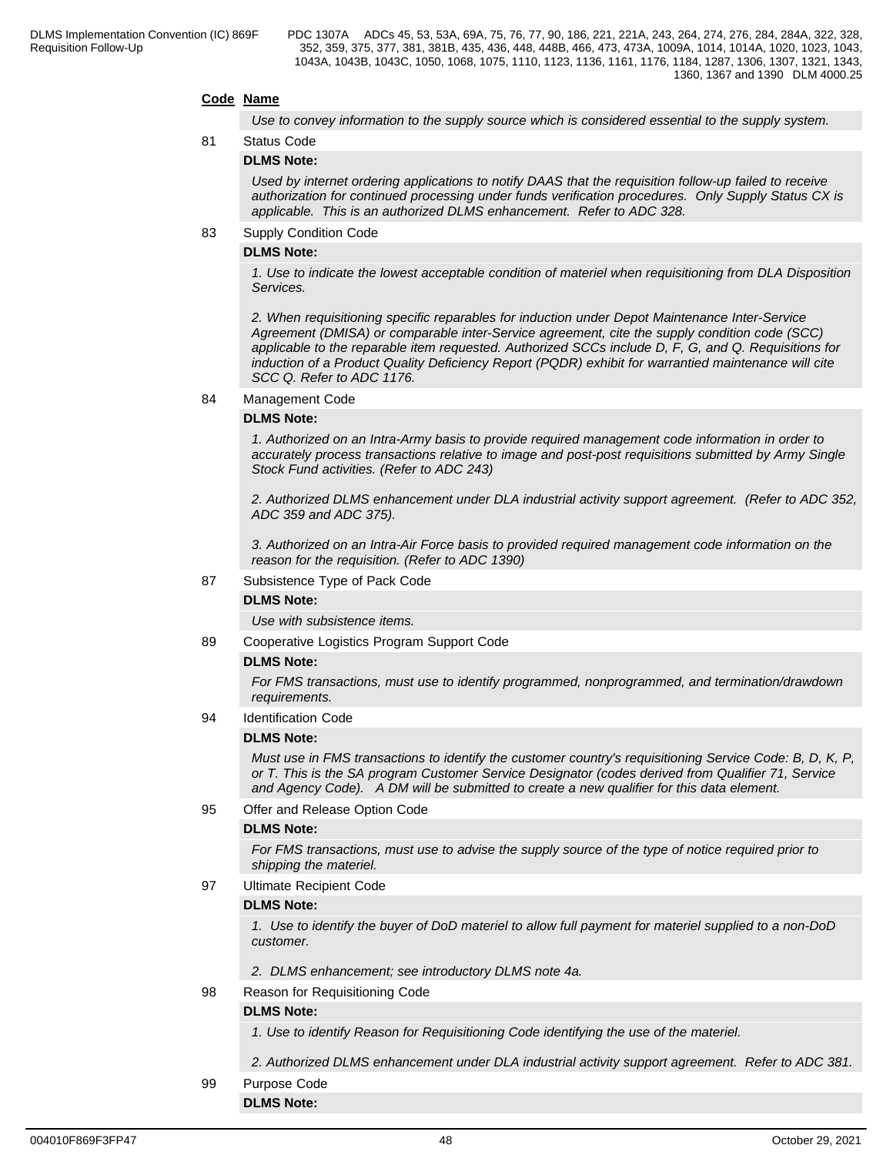## **Code Name**

*Use to convey information to the supply source which is considered essential to the supply system.*

## 81 Status Code **DLMS Note:**

*Used by internet ordering applications to notify DAAS that the requisition follow-up failed to receive authorization for continued processing under funds verification procedures. Only Supply Status CX is applicable. This is an authorized DLMS enhancement. Refer to ADC 328.*

## 83 Supply Condition Code

### **DLMS Note:**

*1. Use to indicate the lowest acceptable condition of materiel when requisitioning from DLA Disposition Services.*

*2. When requisitioning specific reparables for induction under Depot Maintenance Inter-Service Agreement (DMISA) or comparable inter-Service agreement, cite the supply condition code (SCC) applicable to the reparable item requested. Authorized SCCs include D, F, G, and Q. Requisitions for induction of a Product Quality Deficiency Report (PQDR) exhibit for warrantied maintenance will cite SCC Q. Refer to ADC 1176.*

84 Management Code

## **DLMS Note:**

*1. Authorized on an Intra-Army basis to provide required management code information in order to accurately process transactions relative to image and post-post requisitions submitted by Army Single Stock Fund activities. (Refer to ADC 243)*

*2. Authorized DLMS enhancement under DLA industrial activity support agreement. (Refer to ADC 352, ADC 359 and ADC 375).*

*3. Authorized on an Intra-Air Force basis to provided required management code information on the reason for the requisition. (Refer to ADC 1390)*

87 Subsistence Type of Pack Code

### **DLMS Note:**

*Use with subsistence items.*

89 Cooperative Logistics Program Support Code

## **DLMS Note:**

*For FMS transactions, must use to identify programmed, nonprogrammed, and termination/drawdown requirements.*

94 Identification Code

## **DLMS Note:**

*Must use in FMS transactions to identify the customer country's requisitioning Service Code: B, D, K, P, or T. This is the SA program Customer Service Designator (codes derived from Qualifier 71, Service and Agency Code). A DM will be submitted to create a new qualifier for this data element.*

95 Offer and Release Option Code

## **DLMS Note:**

*For FMS transactions, must use to advise the supply source of the type of notice required prior to shipping the materiel.*

97 Ultimate Recipient Code

## **DLMS Note:**

*1. Use to identify the buyer of DoD materiel to allow full payment for materiel supplied to a non-DoD customer.*

- *2. DLMS enhancement; see introductory DLMS note 4a.*
- 98 Reason for Requisitioning Code

## **DLMS Note:**

*1. Use to identify Reason for Requisitioning Code identifying the use of the materiel.* 

*2. Authorized DLMS enhancement under DLA industrial activity support agreement. Refer to ADC 381.*

99 Purpose Code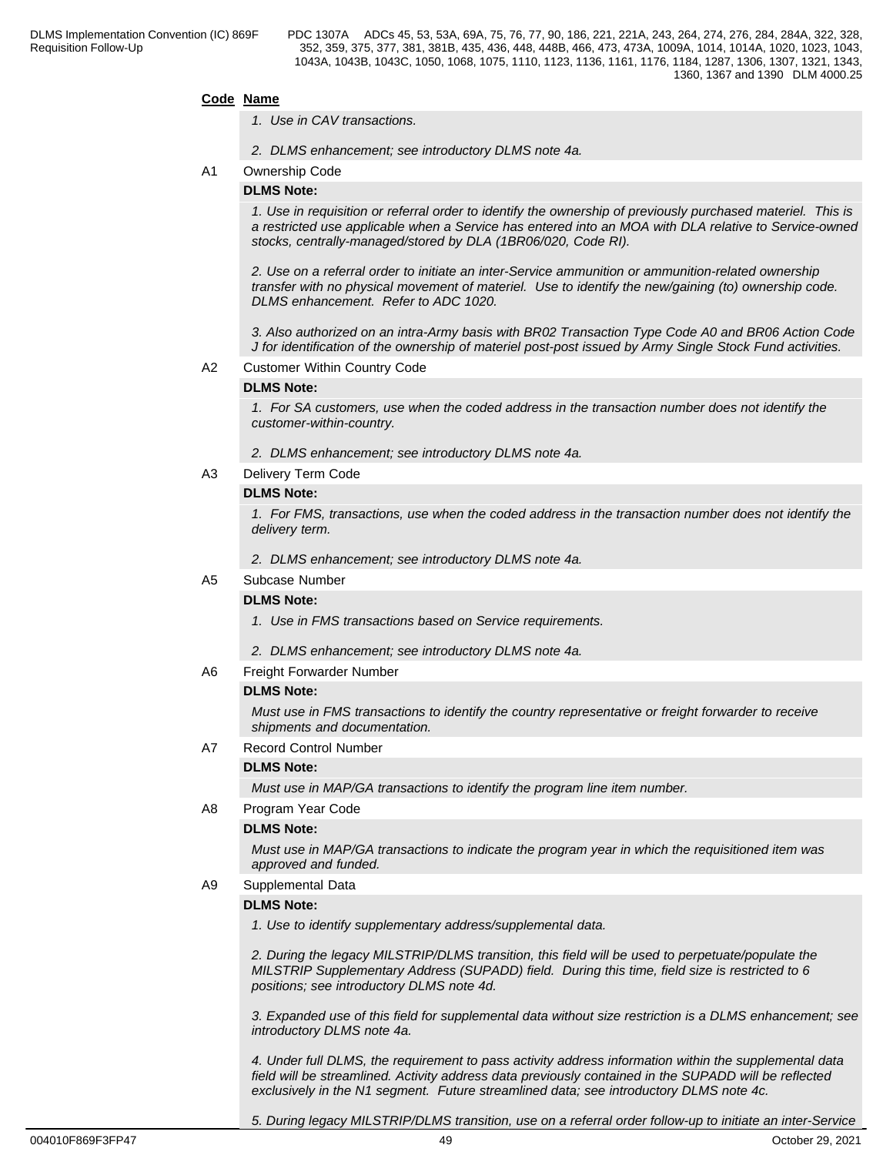## **Code Name**

- *1. Use in CAV transactions.*
- *2. DLMS enhancement; see introductory DLMS note 4a.*

## A1 Ownership Code

### **DLMS Note:**

*1. Use in requisition or referral order to identify the ownership of previously purchased materiel. This is a restricted use applicable when a Service has entered into an MOA with DLA relative to Service-owned stocks, centrally-managed/stored by DLA (1BR06/020, Code RI).*

*2. Use on a referral order to initiate an inter-Service ammunition or ammunition-related ownership transfer with no physical movement of materiel. Use to identify the new/gaining (to) ownership code. DLMS enhancement. Refer to ADC 1020.*

*3. Also authorized on an intra-Army basis with BR02 Transaction Type Code A0 and BR06 Action Code J for identification of the ownership of materiel post-post issued by Army Single Stock Fund activities.*

## A2 Customer Within Country Code

## **DLMS Note:**

*1. For SA customers, use when the coded address in the transaction number does not identify the customer-within-country.*

- *2. DLMS enhancement; see introductory DLMS note 4a.*
- A3 Delivery Term Code

### **DLMS Note:**

*1. For FMS, transactions, use when the coded address in the transaction number does not identify the delivery term.*

*2. DLMS enhancement; see introductory DLMS note 4a.*

#### A5 Subcase Number

### **DLMS Note:**

*1. Use in FMS transactions based on Service requirements.*

- *2. DLMS enhancement; see introductory DLMS note 4a.*
- A6 Freight Forwarder Number

## **DLMS Note:**

*Must use in FMS transactions to identify the country representative or freight forwarder to receive shipments and documentation.*

## A7 Record Control Number

### **DLMS Note:**

*Must use in MAP/GA transactions to identify the program line item number.*

A8 Program Year Code

## **DLMS Note:**

*Must use in MAP/GA transactions to indicate the program year in which the requisitioned item was approved and funded.*

## A9 Supplemental Data

## **DLMS Note:**

*1. Use to identify supplementary address/supplemental data.*

*2. During the legacy MILSTRIP/DLMS transition, this field will be used to perpetuate/populate the MILSTRIP Supplementary Address (SUPADD) field. During this time, field size is restricted to 6 positions; see introductory DLMS note 4d.*

*3. Expanded use of this field for supplemental data without size restriction is a DLMS enhancement; see introductory DLMS note 4a.*

*4. Under full DLMS, the requirement to pass activity address information within the supplemental data field will be streamlined. Activity address data previously contained in the SUPADD will be reflected exclusively in the N1 segment. Future streamlined data; see introductory DLMS note 4c.*

*5. During legacy MILSTRIP/DLMS transition, use on a referral order follow-up to initiate an inter-Service*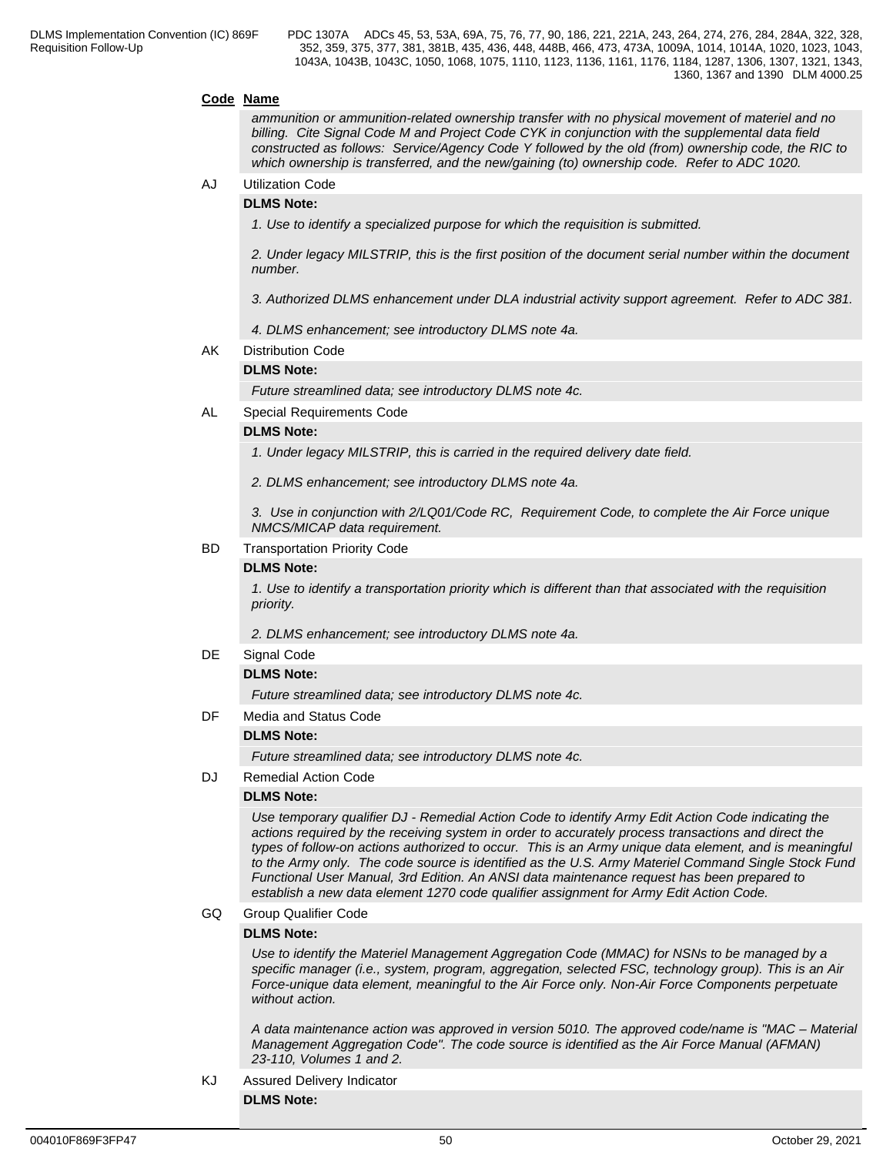### **Code Name**

*ammunition or ammunition-related ownership transfer with no physical movement of materiel and no billing. Cite Signal Code M and Project Code CYK in conjunction with the supplemental data field constructed as follows: Service/Agency Code Y followed by the old (from) ownership code, the RIC to which ownership is transferred, and the new/gaining (to) ownership code. Refer to ADC 1020.*

## AJ Utilization Code

### **DLMS Note:**

*1. Use to identify a specialized purpose for which the requisition is submitted.*

*2. Under legacy MILSTRIP, this is the first position of the document serial number within the document number.*

*3. Authorized DLMS enhancement under DLA industrial activity support agreement. Refer to ADC 381.*

- *4. DLMS enhancement; see introductory DLMS note 4a.*
- AK Distribution Code

## **DLMS Note:**

*Future streamlined data; see introductory DLMS note 4c.*

AL Special Requirements Code

### **DLMS Note:**

*1. Under legacy MILSTRIP, this is carried in the required delivery date field.*

*2. DLMS enhancement; see introductory DLMS note 4a.*

*3. Use in conjunction with 2/LQ01/Code RC, Requirement Code, to complete the Air Force unique NMCS/MICAP data requirement.* 

### BD Transportation Priority Code

### **DLMS Note:**

*1. Use to identify a transportation priority which is different than that associated with the requisition priority.*

*2. DLMS enhancement; see introductory DLMS note 4a.*

DE Signal Code

### **DLMS Note:**

*Future streamlined data; see introductory DLMS note 4c.*

### DF Media and Status Code

## **DLMS Note:**

*Future streamlined data; see introductory DLMS note 4c.*

DJ Remedial Action Code

### **DLMS Note:**

*Use temporary qualifier DJ - Remedial Action Code to identify Army Edit Action Code indicating the actions required by the receiving system in order to accurately process transactions and direct the types of follow-on actions authorized to occur. This is an Army unique data element, and is meaningful to the Army only. The code source is identified as the U.S. Army Materiel Command Single Stock Fund Functional User Manual, 3rd Edition. An ANSI data maintenance request has been prepared to establish a new data element 1270 code qualifier assignment for Army Edit Action Code.*

GQ Group Qualifier Code

### **DLMS Note:**

*Use to identify the Materiel Management Aggregation Code (MMAC) for NSNs to be managed by a specific manager (i.e., system, program, aggregation, selected FSC, technology group). This is an Air Force-unique data element, meaningful to the Air Force only. Non-Air Force Components perpetuate without action.*

*A data maintenance action was approved in version 5010. The approved code/name is "MAC – Material Management Aggregation Code". The code source is identified as the Air Force Manual (AFMAN) 23-110, Volumes 1 and 2.*

# KJ Assured Delivery Indicator

**DLMS Note:**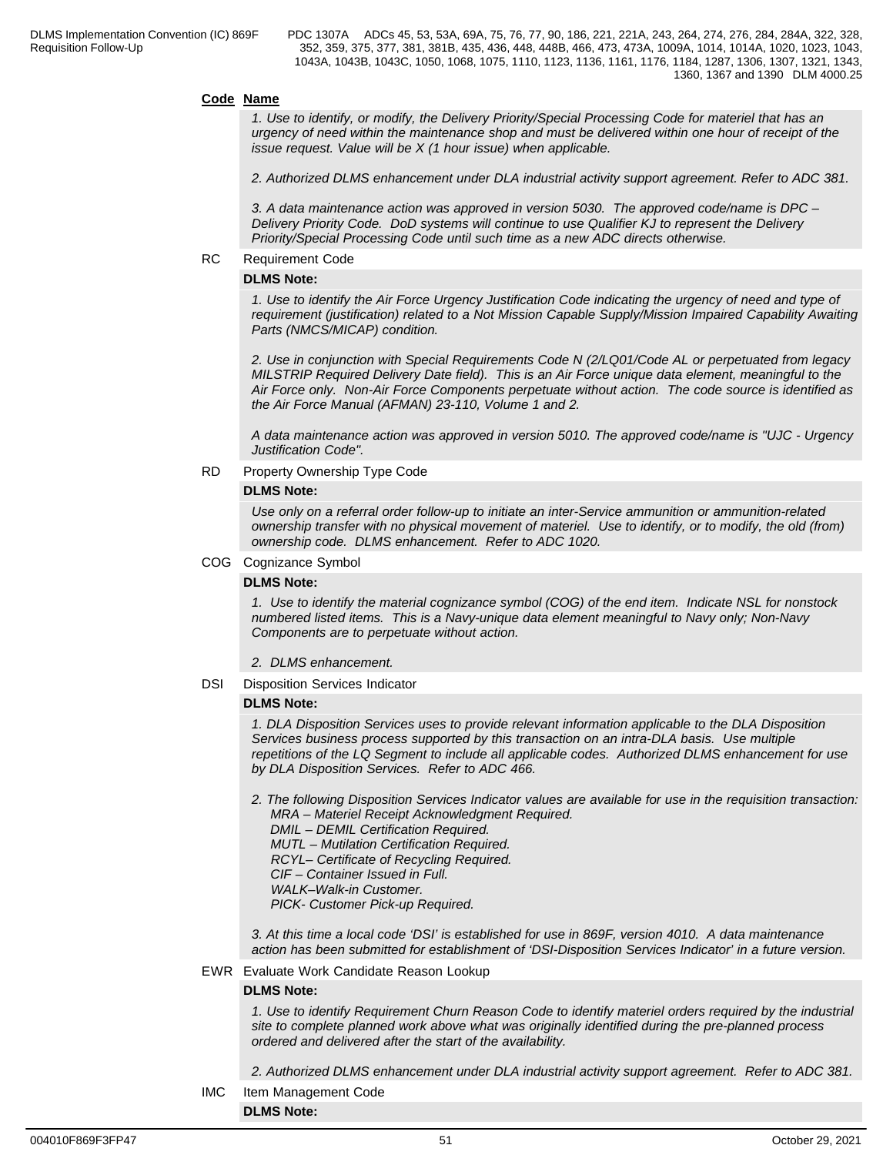### **Code Name**

*1. Use to identify, or modify, the Delivery Priority/Special Processing Code for materiel that has an urgency of need within the maintenance shop and must be delivered within one hour of receipt of the issue request. Value will be X (1 hour issue) when applicable.*

*2. Authorized DLMS enhancement under DLA industrial activity support agreement. Refer to ADC 381.*

*3. A data maintenance action was approved in version 5030. The approved code/name is DPC – Delivery Priority Code. DoD systems will continue to use Qualifier KJ to represent the Delivery Priority/Special Processing Code until such time as a new ADC directs otherwise.*

## RC Requirement Code

## **DLMS Note:**

*1. Use to identify the Air Force Urgency Justification Code indicating the urgency of need and type of requirement (justification) related to a Not Mission Capable Supply/Mission Impaired Capability Awaiting Parts (NMCS/MICAP) condition.* 

*2. Use in conjunction with Special Requirements Code N (2/LQ01/Code AL or perpetuated from legacy MILSTRIP Required Delivery Date field). This is an Air Force unique data element, meaningful to the Air Force only. Non-Air Force Components perpetuate without action. The code source is identified as the Air Force Manual (AFMAN) 23-110, Volume 1 and 2.*

*A data maintenance action was approved in version 5010. The approved code/name is "UJC - Urgency Justification Code".* 

#### RD Property Ownership Type Code

### **DLMS Note:**

*Use only on a referral order follow-up to initiate an inter-Service ammunition or ammunition-related ownership transfer with no physical movement of materiel. Use to identify, or to modify, the old (from) ownership code. DLMS enhancement. Refer to ADC 1020.*

### COG Cognizance Symbol

### **DLMS Note:**

*1. Use to identify the material cognizance symbol (COG) of the end item. Indicate NSL for nonstock numbered listed items. This is a Navy-unique data element meaningful to Navy only; Non-Navy Components are to perpetuate without action.*

*2. DLMS enhancement.*

### DSI Disposition Services Indicator

### **DLMS Note:**

*1. DLA Disposition Services uses to provide relevant information applicable to the DLA Disposition Services business process supported by this transaction on an intra-DLA basis. Use multiple repetitions of the LQ Segment to include all applicable codes. Authorized DLMS enhancement for use by DLA Disposition Services. Refer to ADC 466.*

- *2. The following Disposition Services Indicator values are available for use in the requisition transaction: MRA – Materiel Receipt Acknowledgment Required.* 
	- *DMIL DEMIL Certification Required.*
	- *MUTL Mutilation Certification Required.*
	- *RCYL– Certificate of Recycling Required.*
	- *CIF Container Issued in Full.*
	- *WALK–Walk-in Customer.*

 *PICK- Customer Pick-up Required.*

*3. At this time a local code 'DSI' is established for use in 869F, version 4010. A data maintenance action has been submitted for establishment of 'DSI-Disposition Services Indicator' in a future version.*

### EWR Evaluate Work Candidate Reason Lookup

## **DLMS Note:**

*1. Use to identify Requirement Churn Reason Code to identify materiel orders required by the industrial site to complete planned work above what was originally identified during the pre-planned process ordered and delivered after the start of the availability.* 

*2. Authorized DLMS enhancement under DLA industrial activity support agreement. Refer to ADC 381.*

IMC Item Management Code

**DLMS Note:**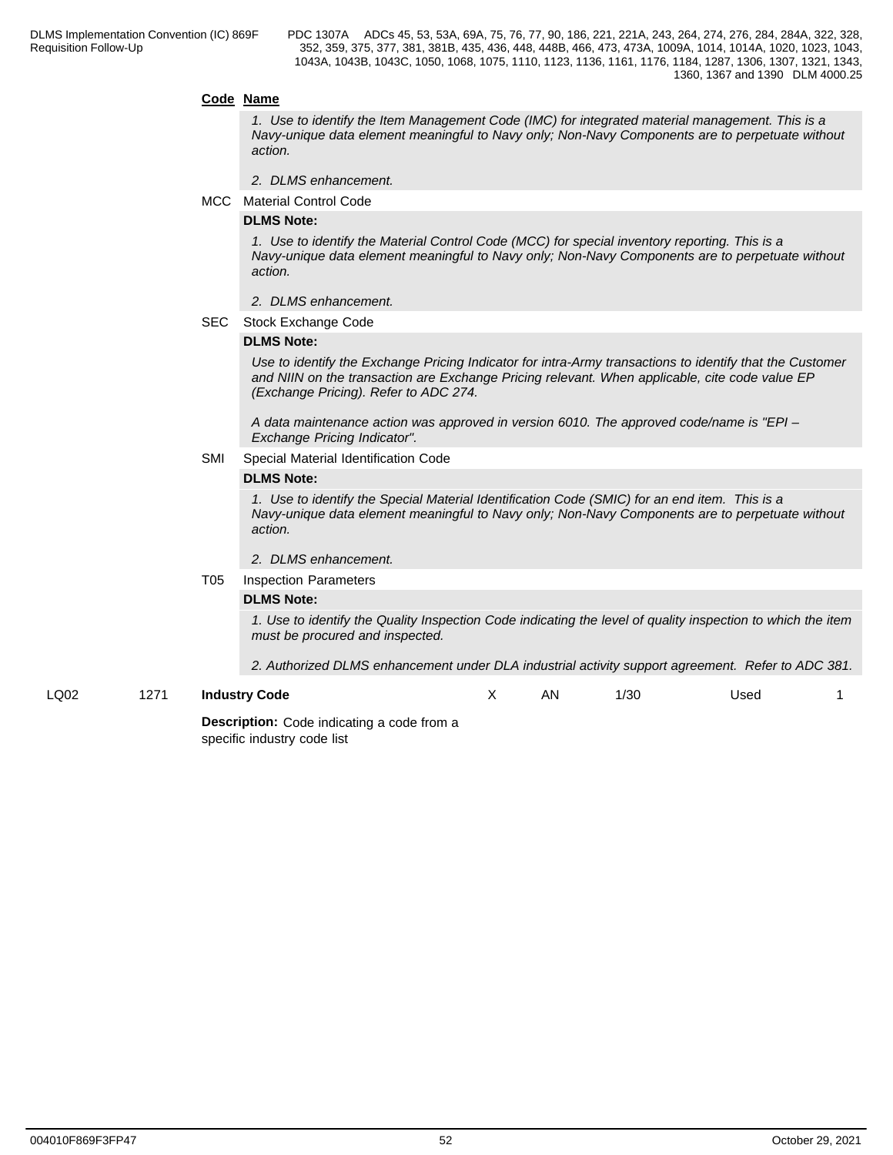### **Code Name**

*1. Use to identify the Item Management Code (IMC) for integrated material management. This is a Navy-unique data element meaningful to Navy only; Non-Navy Components are to perpetuate without action.*

- *2. DLMS enhancement.*
- MCC Material Control Code

## **DLMS Note:**

*1. Use to identify the Material Control Code (MCC) for special inventory reporting. This is a Navy-unique data element meaningful to Navy only; Non-Navy Components are to perpetuate without action.*

- *2. DLMS enhancement.*
- SEC Stock Exchange Code

### **DLMS Note:**

*Use to identify the Exchange Pricing Indicator for intra-Army transactions to identify that the Customer and NIIN on the transaction are Exchange Pricing relevant. When applicable, cite code value EP (Exchange Pricing). Refer to ADC 274.*

*A data maintenance action was approved in version 6010. The approved code/name is "EPI – Exchange Pricing Indicator".*

SMI Special Material Identification Code

#### **DLMS Note:**

*1. Use to identify the Special Material Identification Code (SMIC) for an end item. This is a Navy-unique data element meaningful to Navy only; Non-Navy Components are to perpetuate without action.*

#### *2. DLMS enhancement.*

#### T05 Inspection Parameters

### **DLMS Note:**

*1. Use to identify the Quality Inspection Code indicating the level of quality inspection to which the item must be procured and inspected.*

*2. Authorized DLMS enhancement under DLA industrial activity support agreement. Refer to ADC 381.*

LQ02 1271 **Industry Code** X AN 1/30 Used 1

> **Description:** Code indicating a code from a specific industry code list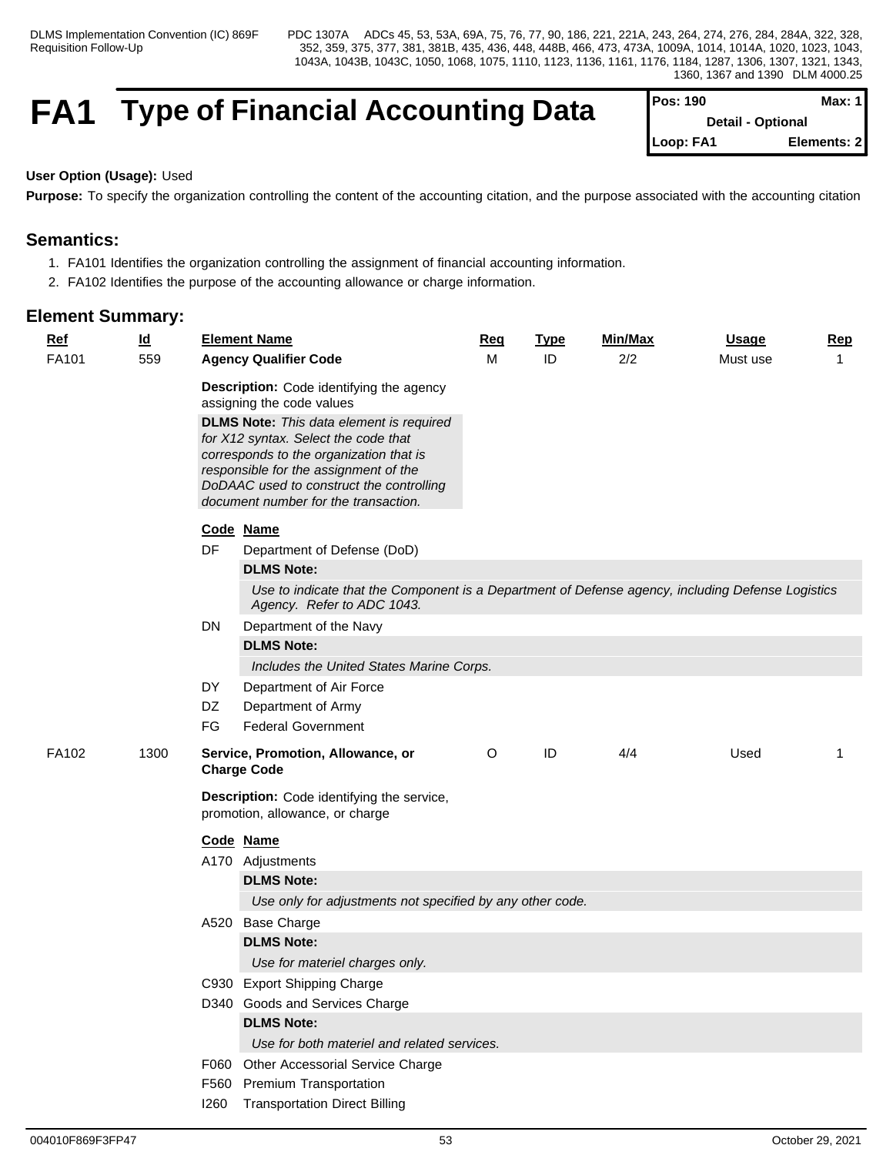# **FA1** Type of Financial Accounting Data

| <b>IPos: 190</b>         | Max: 1      |
|--------------------------|-------------|
| <b>Detail - Optional</b> |             |
| Loop: FA1                | Elements: 2 |

## **User Option (Usage):** Used

**Purpose:** To specify the organization controlling the content of the accounting citation, and the purpose associated with the accounting citation

# **Semantics:**

- 1. FA101 Identifies the organization controlling the assignment of financial accounting information.
- 2. FA102 Identifies the purpose of the accounting allowance or charge information.

## **Element Summary:**

| <b>Ref</b> | $\underline{\mathsf{Id}}$ |           | <b>Element Name</b>                                                                                                                                                                                                     | Req | <b>Type</b> | Min/Max | <b>Usage</b> | <b>Rep</b> |
|------------|---------------------------|-----------|-------------------------------------------------------------------------------------------------------------------------------------------------------------------------------------------------------------------------|-----|-------------|---------|--------------|------------|
| FA101      | 559                       |           | <b>Agency Qualifier Code</b>                                                                                                                                                                                            | м   | ID          | 2/2     | Must use     | 1          |
|            |                           |           | <b>Description:</b> Code identifying the agency<br>assigning the code values                                                                                                                                            |     |             |         |              |            |
|            |                           |           | <b>DLMS Note:</b> This data element is required<br>for X12 syntax. Select the code that<br>corresponds to the organization that is<br>responsible for the assignment of the<br>DoDAAC used to construct the controlling |     |             |         |              |            |
|            |                           |           | document number for the transaction.                                                                                                                                                                                    |     |             |         |              |            |
|            |                           |           | Code Name                                                                                                                                                                                                               |     |             |         |              |            |
|            |                           | DF        | Department of Defense (DoD)                                                                                                                                                                                             |     |             |         |              |            |
|            |                           |           | <b>DLMS Note:</b>                                                                                                                                                                                                       |     |             |         |              |            |
|            |                           |           | Use to indicate that the Component is a Department of Defense agency, including Defense Logistics<br>Agency. Refer to ADC 1043.                                                                                         |     |             |         |              |            |
|            |                           | <b>DN</b> | Department of the Navy                                                                                                                                                                                                  |     |             |         |              |            |
|            |                           |           | <b>DLMS Note:</b>                                                                                                                                                                                                       |     |             |         |              |            |
|            |                           |           | Includes the United States Marine Corps.                                                                                                                                                                                |     |             |         |              |            |
|            |                           | DY        | Department of Air Force                                                                                                                                                                                                 |     |             |         |              |            |
|            |                           | DZ        | Department of Army                                                                                                                                                                                                      |     |             |         |              |            |
|            |                           | FG        | <b>Federal Government</b>                                                                                                                                                                                               |     |             |         |              |            |
| FA102      | 1300                      |           | Service, Promotion, Allowance, or<br><b>Charge Code</b>                                                                                                                                                                 | O   | ID          | 4/4     | Used         | -1         |
|            |                           |           | Description: Code identifying the service,<br>promotion, allowance, or charge                                                                                                                                           |     |             |         |              |            |
|            |                           |           | Code Name                                                                                                                                                                                                               |     |             |         |              |            |
|            |                           |           | A170 Adjustments                                                                                                                                                                                                        |     |             |         |              |            |
|            |                           |           | <b>DLMS Note:</b>                                                                                                                                                                                                       |     |             |         |              |            |
|            |                           |           | Use only for adjustments not specified by any other code.                                                                                                                                                               |     |             |         |              |            |
|            |                           |           | A520 Base Charge                                                                                                                                                                                                        |     |             |         |              |            |
|            |                           |           | <b>DLMS Note:</b>                                                                                                                                                                                                       |     |             |         |              |            |
|            |                           |           | Use for materiel charges only.                                                                                                                                                                                          |     |             |         |              |            |
|            |                           |           | C930 Export Shipping Charge                                                                                                                                                                                             |     |             |         |              |            |
|            |                           |           | D340 Goods and Services Charge                                                                                                                                                                                          |     |             |         |              |            |
|            |                           |           | <b>DLMS Note:</b>                                                                                                                                                                                                       |     |             |         |              |            |
|            |                           |           | Use for both materiel and related services.                                                                                                                                                                             |     |             |         |              |            |
|            |                           |           | F060 Other Accessorial Service Charge                                                                                                                                                                                   |     |             |         |              |            |
|            |                           |           | F560 Premium Transportation                                                                                                                                                                                             |     |             |         |              |            |

I260 Transportation Direct Billing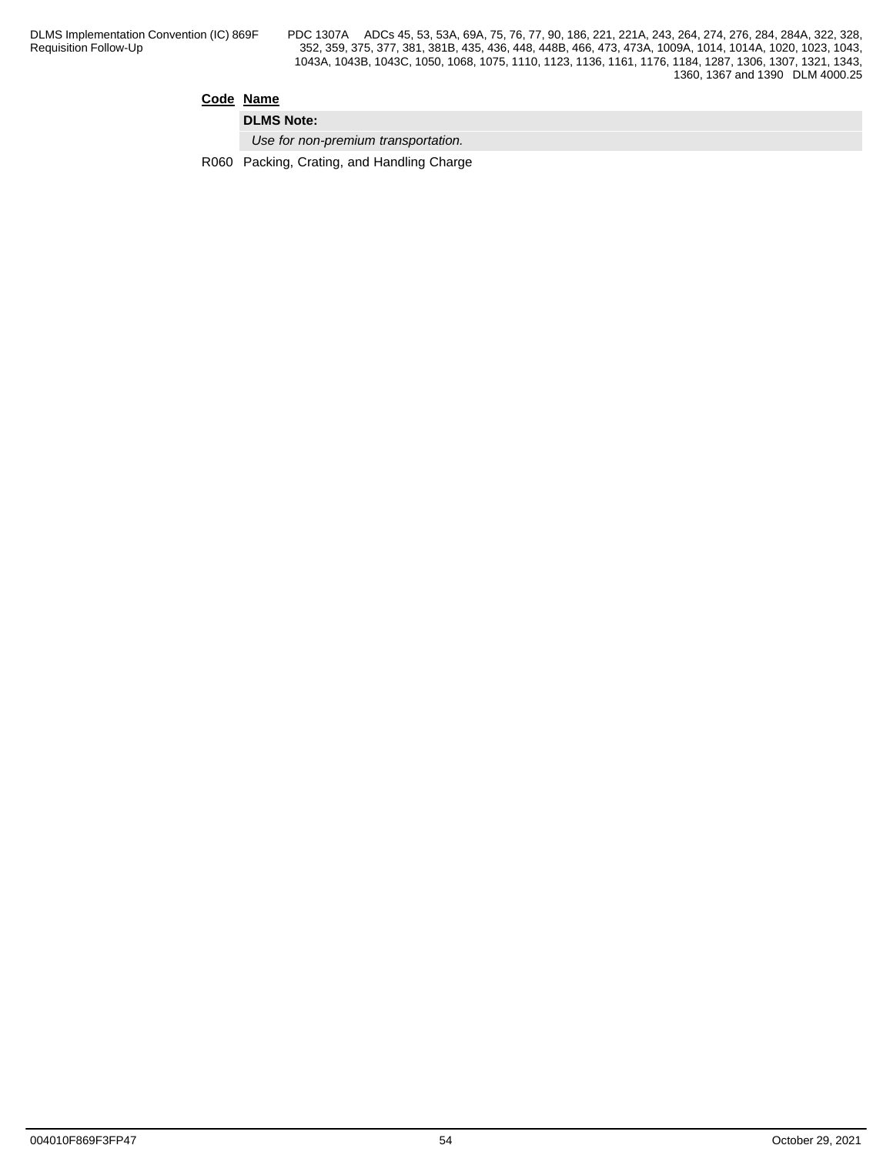## **Code Name**

**DLMS Note:**

*Use for non-premium transportation.*

R060 Packing, Crating, and Handling Charge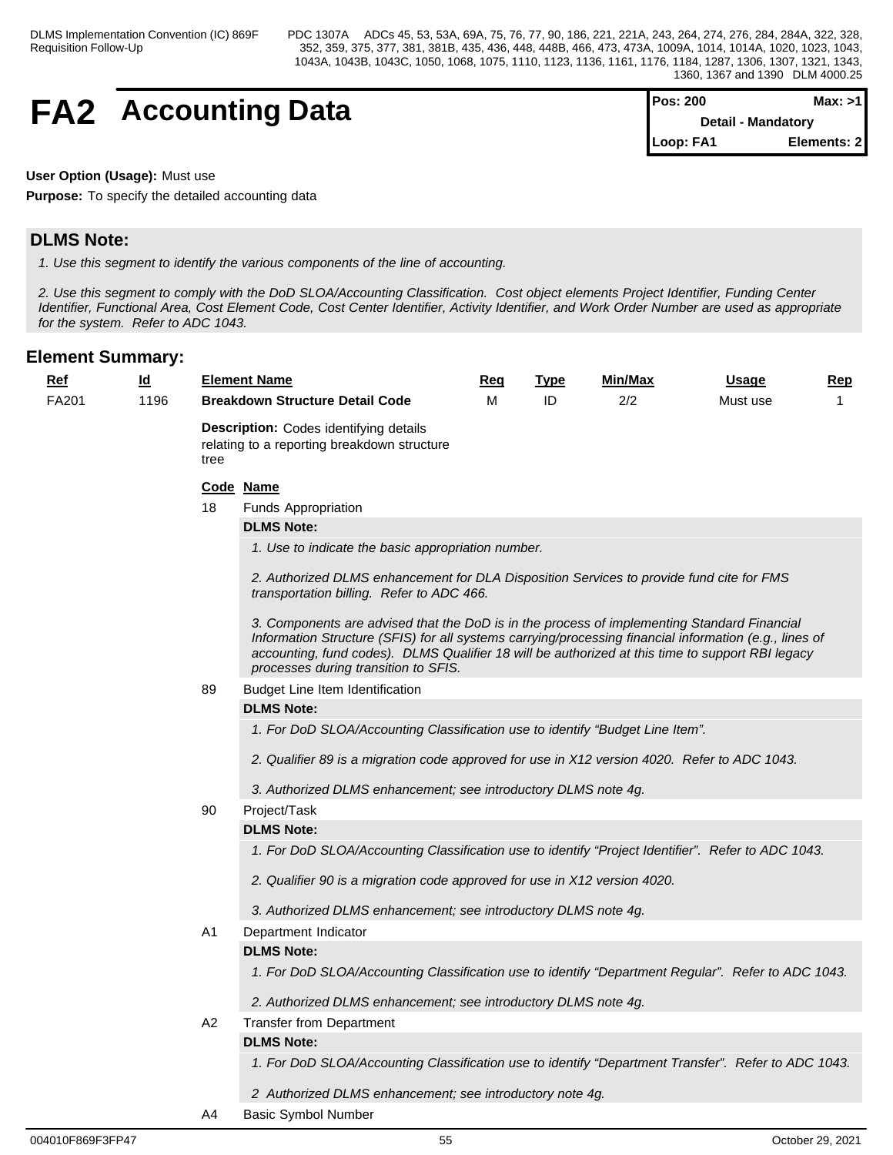# **FA2** Accounting Data

| <b>IPos: 200</b>   | Max: >11    |  |
|--------------------|-------------|--|
| Detail - Mandatory |             |  |
| Loop: FA1          | Elements: 2 |  |

## **User Option (Usage):** Must use

**Purpose:** To specify the detailed accounting data

# **DLMS Note:**

*1. Use this segment to identify the various components of the line of accounting.*

*2. Use this segment to comply with the DoD SLOA/Accounting Classification. Cost object elements Project Identifier, Funding Center Identifier, Functional Area, Cost Element Code, Cost Center Identifier, Activity Identifier, and Work Order Number are used as appropriate for the system. Refer to ADC 1043.*

| <u>Ref</u> | $\underline{\mathsf{Id}}$ |                                                                                                      | <b>Element Name</b>                                                                                                                                                                                                                                                                                                                               | Req | <b>Type</b> | Min/Max | <u>Usage</u> | <u>Rep</u> |  |  |  |  |
|------------|---------------------------|------------------------------------------------------------------------------------------------------|---------------------------------------------------------------------------------------------------------------------------------------------------------------------------------------------------------------------------------------------------------------------------------------------------------------------------------------------------|-----|-------------|---------|--------------|------------|--|--|--|--|
| FA201      | 1196                      |                                                                                                      | <b>Breakdown Structure Detail Code</b>                                                                                                                                                                                                                                                                                                            | м   | ID          | 2/2     | Must use     | 1          |  |  |  |  |
|            |                           | <b>Description:</b> Codes identifying details<br>relating to a reporting breakdown structure<br>tree |                                                                                                                                                                                                                                                                                                                                                   |     |             |         |              |            |  |  |  |  |
|            |                           |                                                                                                      | Code Name                                                                                                                                                                                                                                                                                                                                         |     |             |         |              |            |  |  |  |  |
|            |                           | 18                                                                                                   | <b>Funds Appropriation</b>                                                                                                                                                                                                                                                                                                                        |     |             |         |              |            |  |  |  |  |
|            |                           |                                                                                                      | <b>DLMS Note:</b>                                                                                                                                                                                                                                                                                                                                 |     |             |         |              |            |  |  |  |  |
|            |                           |                                                                                                      | 1. Use to indicate the basic appropriation number.                                                                                                                                                                                                                                                                                                |     |             |         |              |            |  |  |  |  |
|            |                           |                                                                                                      | 2. Authorized DLMS enhancement for DLA Disposition Services to provide fund cite for FMS<br>transportation billing. Refer to ADC 466.                                                                                                                                                                                                             |     |             |         |              |            |  |  |  |  |
|            |                           |                                                                                                      | 3. Components are advised that the DoD is in the process of implementing Standard Financial<br>Information Structure (SFIS) for all systems carrying/processing financial information (e.g., lines of<br>accounting, fund codes). DLMS Qualifier 18 will be authorized at this time to support RBI legacy<br>processes during transition to SFIS. |     |             |         |              |            |  |  |  |  |
|            |                           | 89                                                                                                   | Budget Line Item Identification                                                                                                                                                                                                                                                                                                                   |     |             |         |              |            |  |  |  |  |
|            |                           | <b>DLMS Note:</b>                                                                                    |                                                                                                                                                                                                                                                                                                                                                   |     |             |         |              |            |  |  |  |  |
|            |                           |                                                                                                      | 1. For DoD SLOA/Accounting Classification use to identify "Budget Line Item".                                                                                                                                                                                                                                                                     |     |             |         |              |            |  |  |  |  |
|            |                           |                                                                                                      | 2. Qualifier 89 is a migration code approved for use in X12 version 4020. Refer to ADC 1043.                                                                                                                                                                                                                                                      |     |             |         |              |            |  |  |  |  |
|            |                           |                                                                                                      | 3. Authorized DLMS enhancement; see introductory DLMS note 4g.                                                                                                                                                                                                                                                                                    |     |             |         |              |            |  |  |  |  |
|            |                           | 90                                                                                                   | Project/Task                                                                                                                                                                                                                                                                                                                                      |     |             |         |              |            |  |  |  |  |
|            |                           |                                                                                                      | <b>DLMS Note:</b>                                                                                                                                                                                                                                                                                                                                 |     |             |         |              |            |  |  |  |  |
|            |                           |                                                                                                      | 1. For DoD SLOA/Accounting Classification use to identify "Project Identifier". Refer to ADC 1043.                                                                                                                                                                                                                                                |     |             |         |              |            |  |  |  |  |
|            |                           |                                                                                                      | 2. Qualifier 90 is a migration code approved for use in X12 version 4020.                                                                                                                                                                                                                                                                         |     |             |         |              |            |  |  |  |  |
|            |                           |                                                                                                      | 3. Authorized DLMS enhancement; see introductory DLMS note 4g.                                                                                                                                                                                                                                                                                    |     |             |         |              |            |  |  |  |  |
|            |                           | A1                                                                                                   | Department Indicator                                                                                                                                                                                                                                                                                                                              |     |             |         |              |            |  |  |  |  |
|            |                           |                                                                                                      | <b>DLMS Note:</b>                                                                                                                                                                                                                                                                                                                                 |     |             |         |              |            |  |  |  |  |
|            |                           |                                                                                                      | 1. For DoD SLOA/Accounting Classification use to identify "Department Regular". Refer to ADC 1043.                                                                                                                                                                                                                                                |     |             |         |              |            |  |  |  |  |
|            |                           |                                                                                                      | 2. Authorized DLMS enhancement; see introductory DLMS note 4g.                                                                                                                                                                                                                                                                                    |     |             |         |              |            |  |  |  |  |
|            |                           | A2                                                                                                   | <b>Transfer from Department</b>                                                                                                                                                                                                                                                                                                                   |     |             |         |              |            |  |  |  |  |
|            |                           |                                                                                                      | <b>DLMS Note:</b>                                                                                                                                                                                                                                                                                                                                 |     |             |         |              |            |  |  |  |  |
|            |                           |                                                                                                      | 1. For DoD SLOA/Accounting Classification use to identify "Department Transfer". Refer to ADC 1043.                                                                                                                                                                                                                                               |     |             |         |              |            |  |  |  |  |
|            |                           |                                                                                                      | 2 Authorized DLMS enhancement; see introductory note 4g.                                                                                                                                                                                                                                                                                          |     |             |         |              |            |  |  |  |  |
|            |                           | A4                                                                                                   | <b>Basic Symbol Number</b>                                                                                                                                                                                                                                                                                                                        |     |             |         |              |            |  |  |  |  |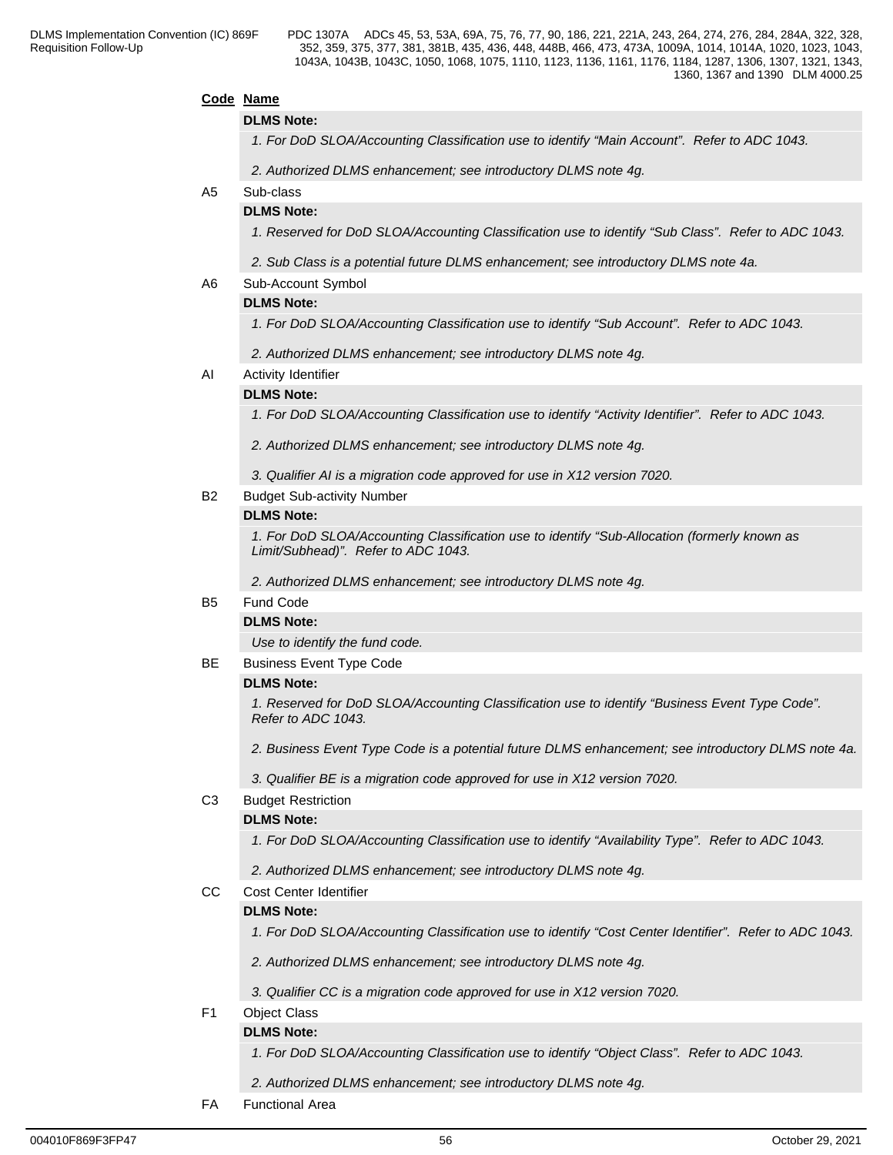## **Code Name**

### **DLMS Note:**

*1. For DoD SLOA/Accounting Classification use to identify "Main Account". Refer to ADC 1043.*

*2. Authorized DLMS enhancement; see introductory DLMS note 4g.*

## A5 Sub-class

## **DLMS Note:**

*1. Reserved for DoD SLOA/Accounting Classification use to identify "Sub Class". Refer to ADC 1043.*

*2. Sub Class is a potential future DLMS enhancement; see introductory DLMS note 4a.*

A6 Sub-Account Symbol

## **DLMS Note:**

*1. For DoD SLOA/Accounting Classification use to identify "Sub Account". Refer to ADC 1043.*

*2. Authorized DLMS enhancement; see introductory DLMS note 4g.*

AI Activity Identifier

## **DLMS Note:**

*1. For DoD SLOA/Accounting Classification use to identify "Activity Identifier". Refer to ADC 1043.*

*2. Authorized DLMS enhancement; see introductory DLMS note 4g.*

*3. Qualifier AI is a migration code approved for use in X12 version 7020.*

B2 Budget Sub-activity Number

### **DLMS Note:**

*1. For DoD SLOA/Accounting Classification use to identify "Sub-Allocation (formerly known as Limit/Subhead)". Refer to ADC 1043.*

*2. Authorized DLMS enhancement; see introductory DLMS note 4g.*

## B5 Fund Code

## **DLMS Note:**

*Use to identify the fund code.*

BE Business Event Type Code

## **DLMS Note:**

*1. Reserved for DoD SLOA/Accounting Classification use to identify "Business Event Type Code". Refer to ADC 1043.*

*2. Business Event Type Code is a potential future DLMS enhancement; see introductory DLMS note 4a.*

*3. Qualifier BE is a migration code approved for use in X12 version 7020.*

## C3 Budget Restriction

## **DLMS Note:**

*1. For DoD SLOA/Accounting Classification use to identify "Availability Type". Refer to ADC 1043.*

*2. Authorized DLMS enhancement; see introductory DLMS note 4g.*

## CC Cost Center Identifier

## **DLMS Note:**

*1. For DoD SLOA/Accounting Classification use to identify "Cost Center Identifier". Refer to ADC 1043.*

*2. Authorized DLMS enhancement; see introductory DLMS note 4g.*

*3. Qualifier CC is a migration code approved for use in X12 version 7020.*

F1 Object Class

# **DLMS Note:**

*1. For DoD SLOA/Accounting Classification use to identify "Object Class". Refer to ADC 1043.*

*2. Authorized DLMS enhancement; see introductory DLMS note 4g.*

FA Functional Area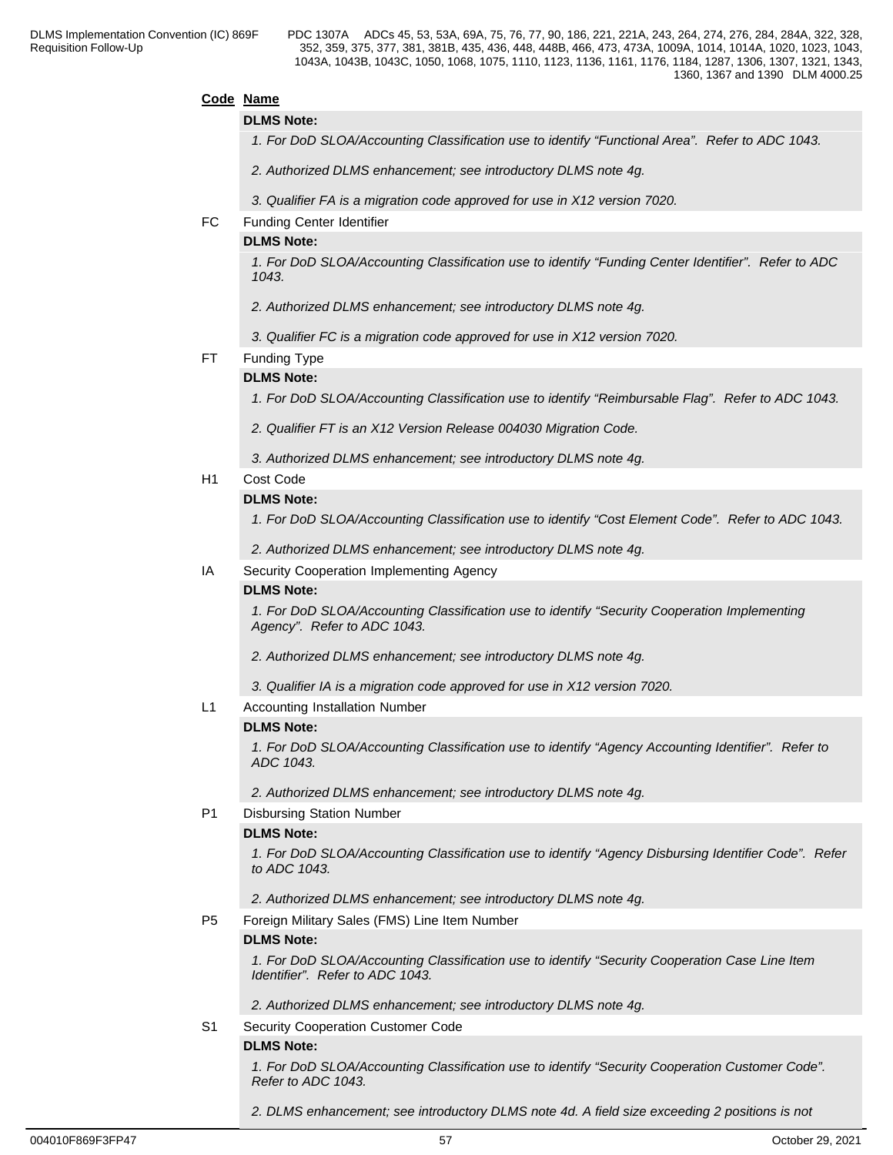## **Code Name**

### **DLMS Note:**

*1. For DoD SLOA/Accounting Classification use to identify "Functional Area". Refer to ADC 1043.*

- *2. Authorized DLMS enhancement; see introductory DLMS note 4g.*
- *3. Qualifier FA is a migration code approved for use in X12 version 7020.*
- FC Funding Center Identifier

### **DLMS Note:**

*1. For DoD SLOA/Accounting Classification use to identify "Funding Center Identifier". Refer to ADC 1043.*

*2. Authorized DLMS enhancement; see introductory DLMS note 4g.*

*3. Qualifier FC is a migration code approved for use in X12 version 7020.*

## FT Funding Type

## **DLMS Note:**

*1. For DoD SLOA/Accounting Classification use to identify "Reimbursable Flag". Refer to ADC 1043.* 

*2. Qualifier FT is an X12 Version Release 004030 Migration Code.* 

*3. Authorized DLMS enhancement; see introductory DLMS note 4g.*

### H1 Cost Code

## **DLMS Note:**

*1. For DoD SLOA/Accounting Classification use to identify "Cost Element Code". Refer to ADC 1043.*

*2. Authorized DLMS enhancement; see introductory DLMS note 4g.*

## IA Security Cooperation Implementing Agency

## **DLMS Note:**

*1. For DoD SLOA/Accounting Classification use to identify "Security Cooperation Implementing Agency". Refer to ADC 1043.*

*2. Authorized DLMS enhancement; see introductory DLMS note 4g.*

*3. Qualifier IA is a migration code approved for use in X12 version 7020.*

### L1 Accounting Installation Number

### **DLMS Note:**

*1. For DoD SLOA/Accounting Classification use to identify "Agency Accounting Identifier". Refer to ADC 1043.* 

*2. Authorized DLMS enhancement; see introductory DLMS note 4g.*

### P1 Disbursing Station Number

### **DLMS Note:**

*1. For DoD SLOA/Accounting Classification use to identify "Agency Disbursing Identifier Code". Refer to ADC 1043.*

*2. Authorized DLMS enhancement; see introductory DLMS note 4g.*

P5 Foreign Military Sales (FMS) Line Item Number

## **DLMS Note:**

*1. For DoD SLOA/Accounting Classification use to identify "Security Cooperation Case Line Item Identifier". Refer to ADC 1043.*

*2. Authorized DLMS enhancement; see introductory DLMS note 4g.*

S1 Security Cooperation Customer Code

## **DLMS Note:**

*1. For DoD SLOA/Accounting Classification use to identify "Security Cooperation Customer Code". Refer to ADC 1043.*

*2. DLMS enhancement; see introductory DLMS note 4d. A field size exceeding 2 positions is not*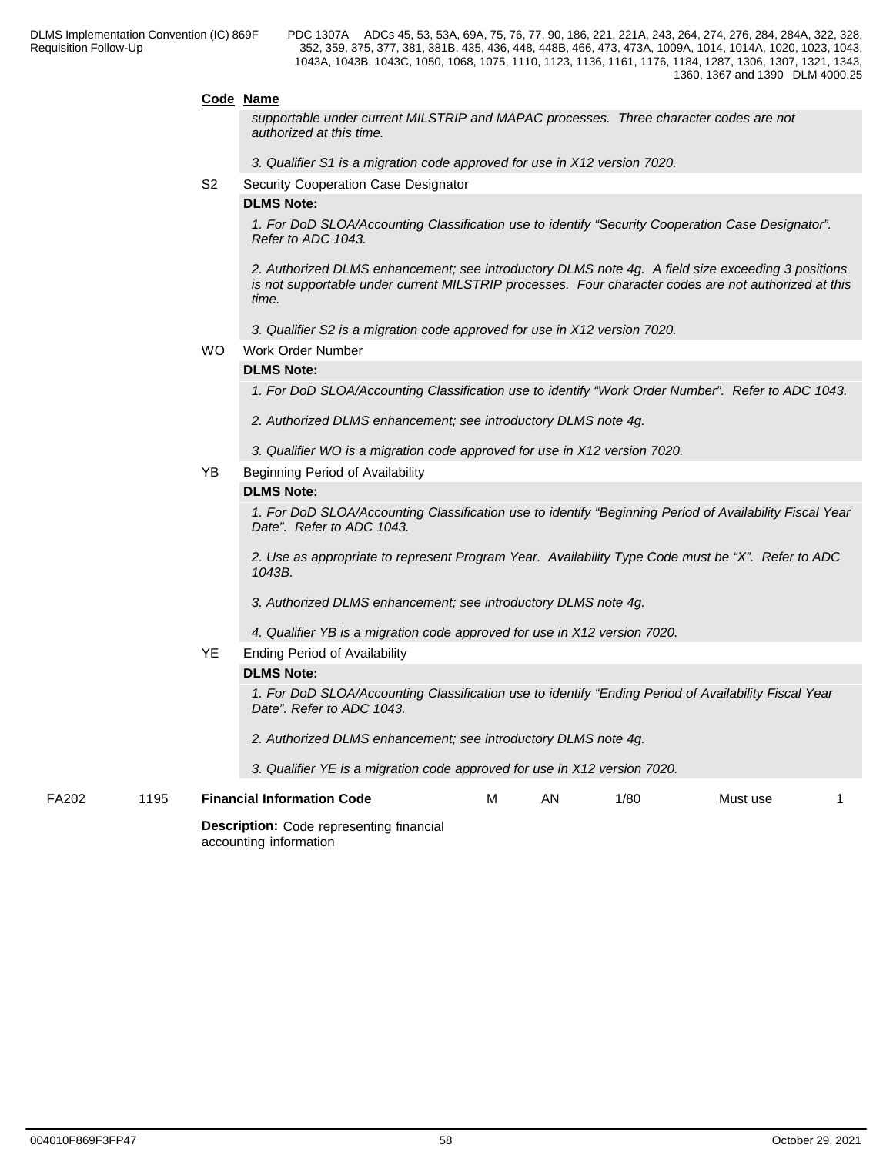### **Code Name**

*supportable under current MILSTRIP and MAPAC processes. Three character codes are not authorized at this time.*

*3. Qualifier S1 is a migration code approved for use in X12 version 7020.*

S2 Security Cooperation Case Designator

### **DLMS Note:**

*1. For DoD SLOA/Accounting Classification use to identify "Security Cooperation Case Designator". Refer to ADC 1043.*

*2. Authorized DLMS enhancement; see introductory DLMS note 4g. A field size exceeding 3 positions is not supportable under current MILSTRIP processes. Four character codes are not authorized at this time.*

- *3. Qualifier S2 is a migration code approved for use in X12 version 7020.*
- WO Work Order Number

## **DLMS Note:**

*1. For DoD SLOA/Accounting Classification use to identify "Work Order Number". Refer to ADC 1043.*

*2. Authorized DLMS enhancement; see introductory DLMS note 4g.*

- *3. Qualifier WO is a migration code approved for use in X12 version 7020.*
- YB Beginning Period of Availability

### **DLMS Note:**

*1. For DoD SLOA/Accounting Classification use to identify "Beginning Period of Availability Fiscal Year Date". Refer to ADC 1043.*

*2. Use as appropriate to represent Program Year. Availability Type Code must be "X". Refer to ADC 1043B.*

*3. Authorized DLMS enhancement; see introductory DLMS note 4g.*

*4. Qualifier YB is a migration code approved for use in X12 version 7020.*

YE Ending Period of Availability

## **DLMS Note:**

*1. For DoD SLOA/Accounting Classification use to identify "Ending Period of Availability Fiscal Year Date". Refer to ADC 1043.* 

*2. Authorized DLMS enhancement; see introductory DLMS note 4g.*

*3. Qualifier YE is a migration code approved for use in X12 version 7020.*

**Description:** Code representing financial accounting information